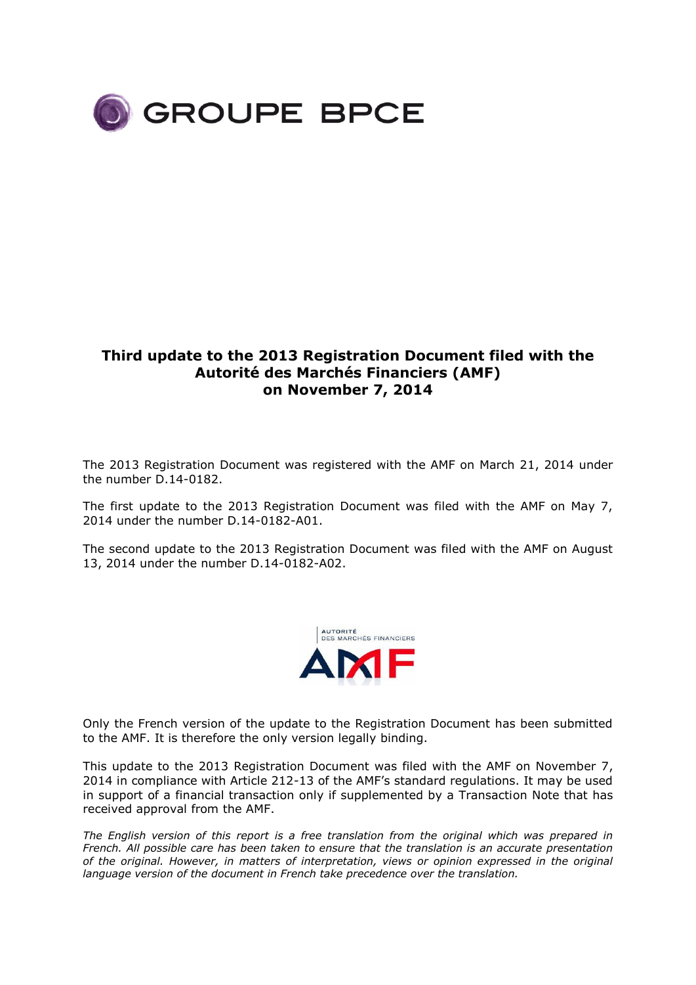

## **Third update to the 2013 Registration Document filed with the Autorité des Marchés Financiers (AMF) on November 7, 2014**

The 2013 Registration Document was registered with the AMF on March 21, 2014 under the number D.14-0182.

The first update to the 2013 Registration Document was filed with the AMF on May 7, 2014 under the number D.14-0182-A01.

The second update to the 2013 Registration Document was filed with the AMF on August 13, 2014 under the number D.14-0182-A02.



Only the French version of the update to the Registration Document has been submitted to the AMF. It is therefore the only version legally binding.

This update to the 2013 Registration Document was filed with the AMF on November 7, 2014 in compliance with Article 212-13 of the AMF's standard regulations. It may be used in support of a financial transaction only if supplemented by a Transaction Note that has received approval from the AMF.

*The English version of this report is a free translation from the original which was prepared in French. All possible care has been taken to ensure that the translation is an accurate presentation of the original. However, in matters of interpretation, views or opinion expressed in the original language version of the document in French take precedence over the translation.*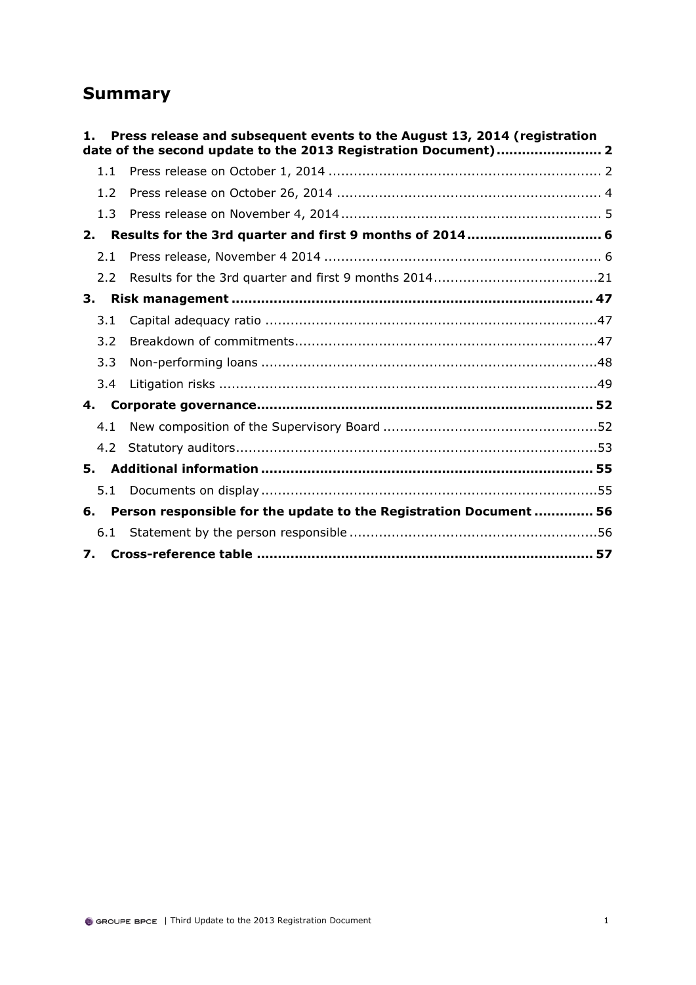## **Summary**

| 1.  | Press release and subsequent events to the August 13, 2014 (registration<br>date of the second update to the 2013 Registration Document) 2 |  |
|-----|--------------------------------------------------------------------------------------------------------------------------------------------|--|
| 1.1 |                                                                                                                                            |  |
| 1.2 |                                                                                                                                            |  |
| 1.3 |                                                                                                                                            |  |
| 2.  | Results for the 3rd quarter and first 9 months of 2014 6                                                                                   |  |
| 2.1 |                                                                                                                                            |  |
| 2.2 |                                                                                                                                            |  |
| 3.  |                                                                                                                                            |  |
| 3.1 |                                                                                                                                            |  |
| 3.2 |                                                                                                                                            |  |
| 3.3 |                                                                                                                                            |  |
| 3.4 |                                                                                                                                            |  |
| 4.  |                                                                                                                                            |  |
| 4.1 |                                                                                                                                            |  |
| 4.2 |                                                                                                                                            |  |
| 5.  |                                                                                                                                            |  |
| 5.1 |                                                                                                                                            |  |
| 6.  | Person responsible for the update to the Registration Document  56                                                                         |  |
| 6.1 |                                                                                                                                            |  |
|     |                                                                                                                                            |  |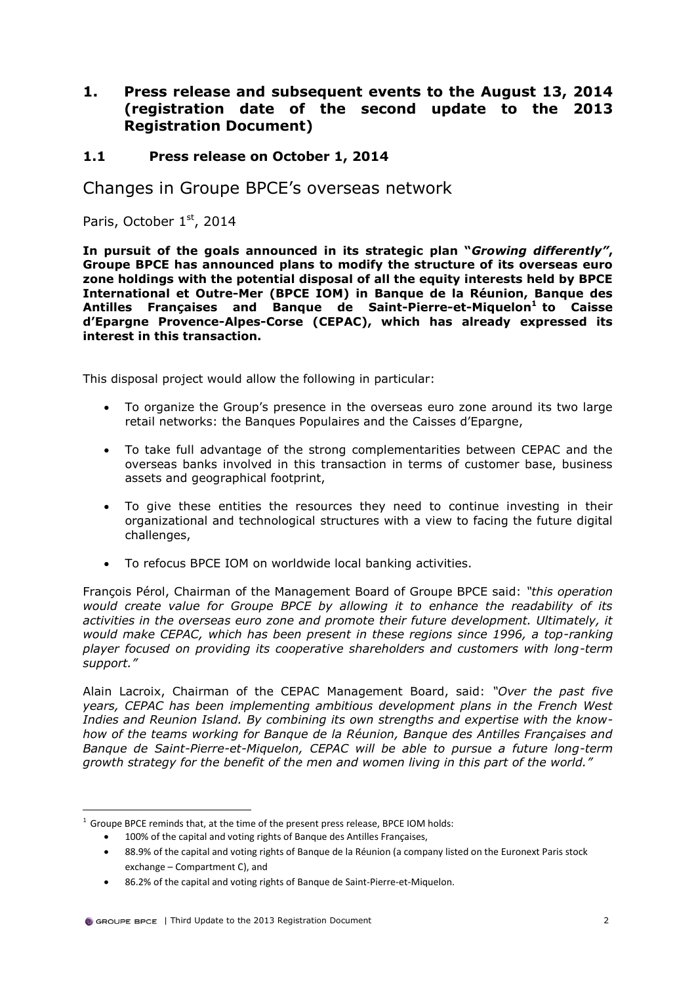## <span id="page-2-0"></span>**1. Press release and subsequent events to the August 13, 2014 (registration date of the second update to the 2013 Registration Document)**

## <span id="page-2-1"></span>**1.1 Press release on October 1, 2014**

Changes in Groupe BPCE's overseas network

Paris, October 1st, 2014

**In pursuit of the goals announced in its strategic plan "***Growing differently"***, Groupe BPCE has announced plans to modify the structure of its overseas euro zone holdings with the potential disposal of all the equity interests held by BPCE International et Outre-Mer (BPCE IOM) in Banque de la Réunion, Banque des Antilles Françaises and Banque de Saint-Pierre-et-Miquelon<sup>10</sup> to Caisse d'Epargne Provence-Alpes-Corse (CEPAC), which has already expressed its interest in this transaction.**

This disposal project would allow the following in particular:

- To organize the Group's presence in the overseas euro zone around its two large retail networks: the Banques Populaires and the Caisses d'Epargne,
- To take full advantage of the strong complementarities between CEPAC and the overseas banks involved in this transaction in terms of customer base, business assets and geographical footprint,
- To give these entities the resources they need to continue investing in their organizational and technological structures with a view to facing the future digital challenges,
- To refocus BPCE IOM on worldwide local banking activities.

François Pérol, Chairman of the Management Board of Groupe BPCE said: *"this operation would create value for Groupe BPCE by allowing it to enhance the readability of its activities in the overseas euro zone and promote their future development. Ultimately, it would make CEPAC, which has been present in these regions since 1996, a top-ranking player focused on providing its cooperative shareholders and customers with long-term support."*

Alain Lacroix, Chairman of the CEPAC Management Board, said: *"Over the past five years, CEPAC has been implementing ambitious development plans in the French West Indies and Reunion Island. By combining its own strengths and expertise with the knowhow of the teams working for Banque de la Réunion, Banque des Antilles Françaises and Banque de Saint-Pierre-et-Miquelon, CEPAC will be able to pursue a future long-term growth strategy for the benefit of the men and women living in this part of the world."*

<sup>&</sup>lt;sup>1</sup> Groupe BPCE reminds that, at the time of the present press release, BPCE IOM holds:

100% of the capital and voting rights of Banque des Antilles Françaises,

88.9% of the capital and voting rights of Banque de la Réunion (a company listed on the Euronext Paris stock exchange – Compartment C), and

86.2% of the capital and voting rights of Banque de Saint-Pierre-et-Miquelon.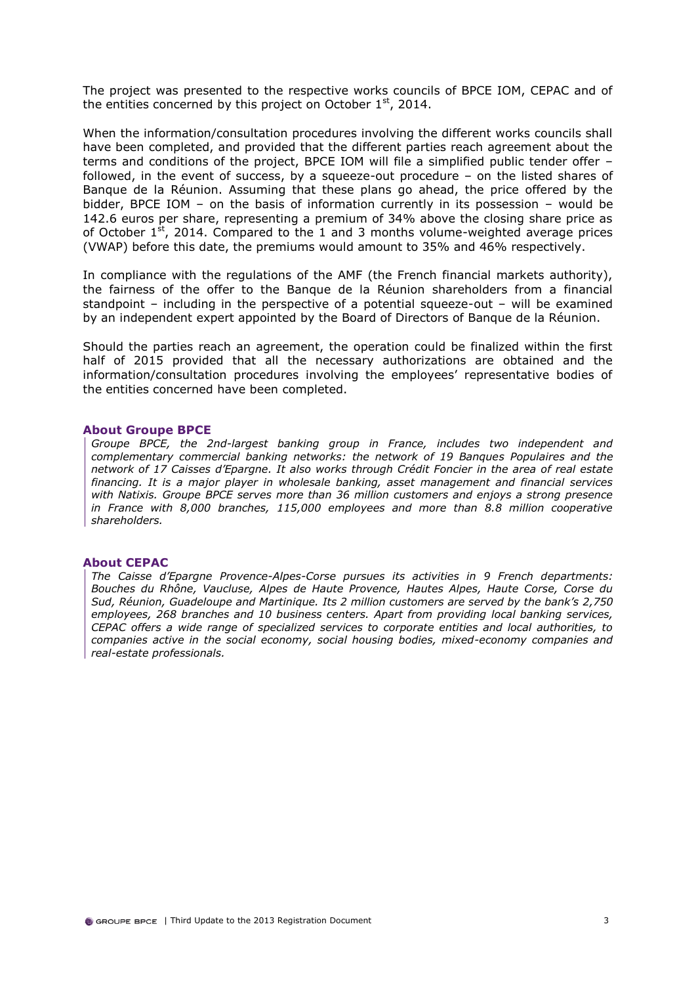The project was presented to the respective works councils of BPCE IOM, CEPAC and of the entities concerned by this project on October  $1<sup>st</sup>$ , 2014.

When the information/consultation procedures involving the different works councils shall have been completed, and provided that the different parties reach agreement about the terms and conditions of the project, BPCE IOM will file a simplified public tender offer – followed, in the event of success, by a squeeze-out procedure – on the listed shares of Banque de la Réunion. Assuming that these plans go ahead, the price offered by the bidder, BPCE IOM – on the basis of information currently in its possession – would be 142.6 euros per share, representing a premium of 34% above the closing share price as of October  $1<sup>st</sup>$ , 2014. Compared to the 1 and 3 months volume-weighted average prices (VWAP) before this date, the premiums would amount to 35% and 46% respectively.

In compliance with the regulations of the AMF (the French financial markets authority), the fairness of the offer to the Banque de la Réunion shareholders from a financial standpoint – including in the perspective of a potential squeeze-out – will be examined by an independent expert appointed by the Board of Directors of Banque de la Réunion.

Should the parties reach an agreement, the operation could be finalized within the first half of 2015 provided that all the necessary authorizations are obtained and the information/consultation procedures involving the employees' representative bodies of the entities concerned have been completed.

### **About Groupe BPCE**

*Groupe BPCE, the 2nd-largest banking group in France, includes two independent and complementary commercial banking networks: the network of 19 Banques Populaires and the network of 17 Caisses d'Epargne. It also works through Crédit Foncier in the area of real estate financing. It is a major player in wholesale banking, asset management and financial services with Natixis. Groupe BPCE serves more than 36 million customers and enjoys a strong presence in France with 8,000 branches, 115,000 employees and more than 8.8 million cooperative shareholders.*

### **About CEPAC**

*The Caisse d'Epargne Provence-Alpes-Corse pursues its activities in 9 French departments: Bouches du Rhône, Vaucluse, Alpes de Haute Provence, Hautes Alpes, Haute Corse, Corse du Sud, Réunion, Guadeloupe and Martinique. Its 2 million customers are served by the bank's 2,750 employees, 268 branches and 10 business centers. Apart from providing local banking services, CEPAC offers a wide range of specialized services to corporate entities and local authorities, to companies active in the social economy, social housing bodies, mixed-economy companies and real-estate professionals.*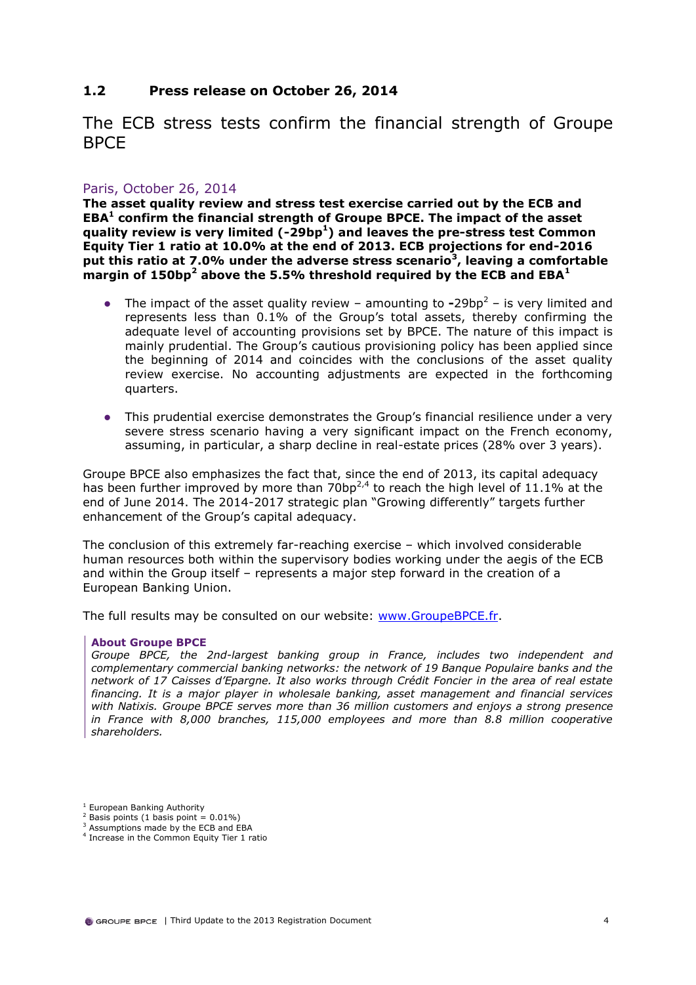## <span id="page-4-0"></span>**1.2 Press release on October 26, 2014**

The ECB stress tests confirm the financial strength of Groupe BPCE

## Paris, October 26, 2014

**The asset quality review and stress test exercise carried out by the ECB and EBA<sup>1</sup> confirm the financial strength of Groupe BPCE. The impact of the asset quality review is very limited (-29bp<sup>1</sup> ) and leaves the pre-stress test Common Equity Tier 1 ratio at 10.0% at the end of 2013. ECB projections for end-2016 put this ratio at 7.0% under the adverse stress scenario<sup>3</sup> , leaving a comfortable margin of 150bp<sup>2</sup> above the 5.5% threshold required by the ECB and EBA<sup>1</sup>**

- $\bullet$  The impact of the asset quality review amounting to  $\text{-}29bp^2$  is very limited and represents less than 0.1% of the Group's total assets, thereby confirming the adequate level of accounting provisions set by BPCE. The nature of this impact is mainly prudential. The Group's cautious provisioning policy has been applied since the beginning of 2014 and coincides with the conclusions of the asset quality review exercise. No accounting adjustments are expected in the forthcoming quarters.
- This prudential exercise demonstrates the Group's financial resilience under a very severe stress scenario having a very significant impact on the French economy, assuming, in particular, a sharp decline in real-estate prices (28% over 3 years).

Groupe BPCE also emphasizes the fact that, since the end of 2013, its capital adequacy has been further improved by more than 70bp<sup>2,4</sup> to reach the high level of 11.1% at the end of June 2014. The 2014-2017 strategic plan "Growing differently" targets further enhancement of the Group's capital adequacy.

The conclusion of this extremely far-reaching exercise – which involved considerable human resources both within the supervisory bodies working under the aegis of the ECB and within the Group itself – represents a major step forward in the creation of a European Banking Union.

The full results may be consulted on our website: [www.GroupeBPCE.fr.](http://www.groupebpce.fr/)

### **About Groupe BPCE**

*Groupe BPCE, the 2nd-largest banking group in France, includes two independent and complementary commercial banking networks: the network of 19 Banque Populaire banks and the network of 17 Caisses d'Epargne. It also works through Crédit Foncier in the area of real estate financing. It is a major player in wholesale banking, asset management and financial services with Natixis. Groupe BPCE serves more than 36 million customers and enjoys a strong presence in France with 8,000 branches, 115,000 employees and more than 8.8 million cooperative shareholders.*

<sup>&</sup>lt;sup>1</sup> European Banking Authority

 $2$  Basis points (1 basis point =  $0.01\%$ )

<sup>&</sup>lt;sup>3</sup> Assumptions made by the ECB and EBA

<sup>4</sup> Increase in the Common Equity Tier 1 ratio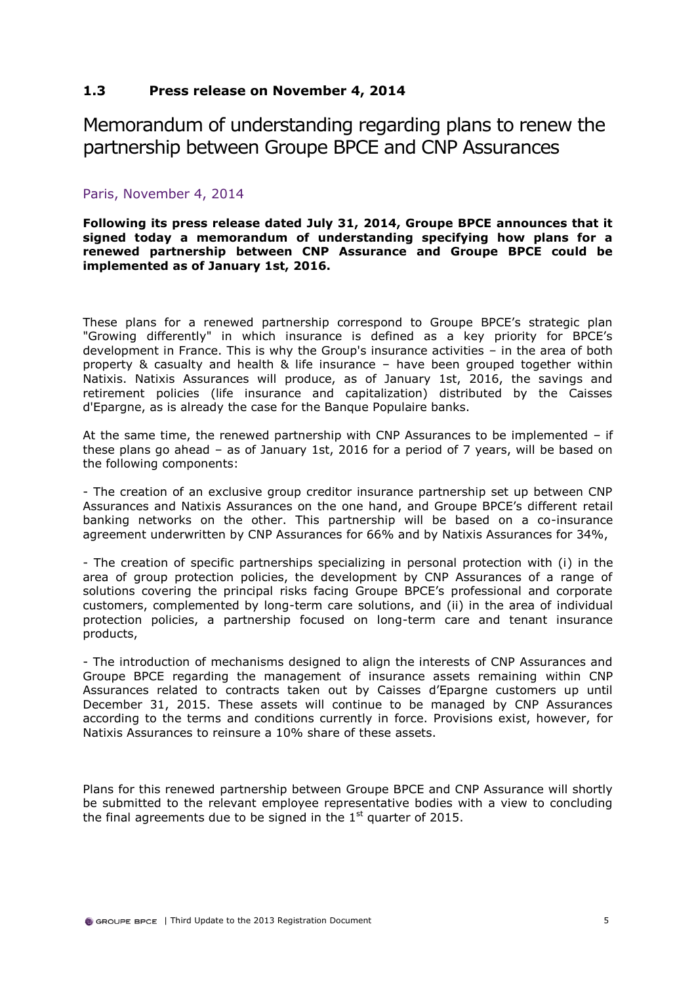## <span id="page-5-0"></span>**1.3 Press release on November 4, 2014**

Memorandum of understanding regarding plans to renew the partnership between Groupe BPCE and CNP Assurances

## Paris, November 4, 2014

**Following its press release dated July 31, 2014, Groupe BPCE announces that it signed today a memorandum of understanding specifying how plans for a renewed partnership between CNP Assurance and Groupe BPCE could be implemented as of January 1st, 2016.**

These plans for a renewed partnership correspond to Groupe BPCE's strategic plan "Growing differently" in which insurance is defined as a key priority for BPCE's development in France. This is why the Group's insurance activities – in the area of both property & casualty and health & life insurance – have been grouped together within Natixis. Natixis Assurances will produce, as of January 1st, 2016, the savings and retirement policies (life insurance and capitalization) distributed by the Caisses d'Epargne, as is already the case for the Banque Populaire banks.

At the same time, the renewed partnership with CNP Assurances to be implemented  $-$  if these plans go ahead – as of January 1st, 2016 for a period of 7 years, will be based on the following components:

- The creation of an exclusive group creditor insurance partnership set up between CNP Assurances and Natixis Assurances on the one hand, and Groupe BPCE's different retail banking networks on the other. This partnership will be based on a co-insurance agreement underwritten by CNP Assurances for 66% and by Natixis Assurances for 34%,

- The creation of specific partnerships specializing in personal protection with (i) in the area of group protection policies, the development by CNP Assurances of a range of solutions covering the principal risks facing Groupe BPCE's professional and corporate customers, complemented by long-term care solutions, and (ii) in the area of individual protection policies, a partnership focused on long-term care and tenant insurance products,

- The introduction of mechanisms designed to align the interests of CNP Assurances and Groupe BPCE regarding the management of insurance assets remaining within CNP Assurances related to contracts taken out by Caisses d'Epargne customers up until December 31, 2015. These assets will continue to be managed by CNP Assurances according to the terms and conditions currently in force. Provisions exist, however, for Natixis Assurances to reinsure a 10% share of these assets.

Plans for this renewed partnership between Groupe BPCE and CNP Assurance will shortly be submitted to the relevant employee representative bodies with a view to concluding the final agreements due to be signed in the  $1<sup>st</sup>$  quarter of 2015.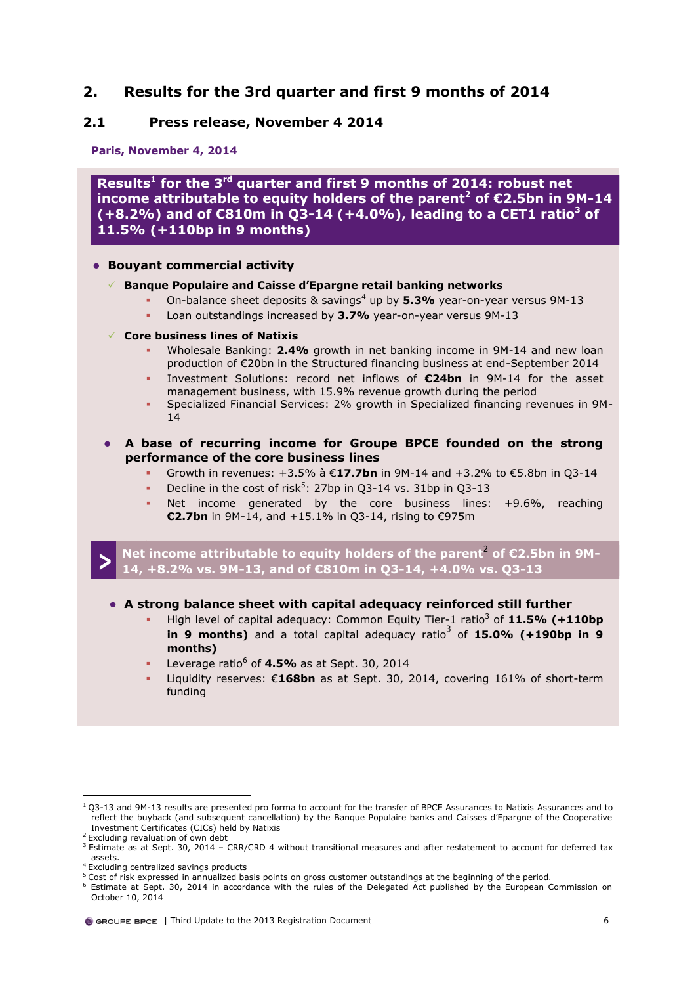## <span id="page-6-0"></span>**2. Results for the 3rd quarter and first 9 months of 2014**

## <span id="page-6-1"></span>**2.1 Press release, November 4 2014**

**Paris, November 4, 2014** 

**Results<sup>1</sup> for the 3rd quarter and first 9 months of 2014: robust net income attributable to equity holders of the parent<sup>2</sup> of €2.5bn in 9M-14 (+8.2%) and of €810m in Q3-14 (+4.0%), leading to a CET1 ratio<sup>3</sup> of 11.5% (+110bp in 9 months)**

### **Bouyant commercial activity**

### **Banque Populaire and Caisse d'Epargne retail banking networks**

- <span id="page-6-3"></span><span id="page-6-2"></span>On-balance sheet deposits & savings<sup>4</sup> up by 5.3% year-on-year versus 9M-13
	- Loan outstandings increased by **3.7%** year-on-year versus 9M-13

### **Core business lines of Natixis**

- Wholesale Banking: **2.4%** growth in net banking income in 9M-14 and new loan production of €20bn in the Structured financing business at end-September 2014
- Investment Solutions: record net inflows of **€24bn** in 9M-14 for the asset management business, with 15.9% revenue growth during the period
- Specialized Financial Services: 2% growth in Specialized financing revenues in 9M-14
- <span id="page-6-4"></span> **A base of recurring income for Groupe BPCE founded on the strong performance of the core business lines**
	- Growth in revenues: +3.5% à €**17.7bn** in 9M-14 and +3.2% to €5.8bn in Q3-14
	- Decline in the cost of risk<sup>5</sup>: 27bp in Q3-14 vs. 31bp in Q3-13
	- Net income generated by the core business lines: +9.6%, reaching **€2.7bn** in 9M-14, and +15.1% in Q3-14, rising to €975m

**> Net income attributable to equity holders of the parent<sup>[2](#page-6-2)</sup> of €2.5bn in 9M-14, +8.2% vs. 9M-13, and of €810m in Q3-14, +4.0% vs. Q3-13**

### **A strong balance sheet with capital adequacy reinforced still further**

- High level of capital adequacy: Common Equity Tier-1 ratio<sup>[3](#page-6-3)</sup> of 11.5% (+110bp  $\overline{p}$  **in**  $\overline{p}$  **months**) and a total capital adequacy ratio<sup>[3](#page-6-3)</sup> of **15.0% (+190bp in 9 months)**
- Leverage ratio<sup>6</sup> of **4.5%** as at Sept. 30, 2014
- Liquidity reserves: €**168bn** as at Sept. 30, 2014, covering 161% of short-term funding

 $1$  Q3-13 and 9M-13 results are presented pro forma to account for the transfer of BPCE Assurances to Natixis Assurances and to reflect the buyback (and subsequent cancellation) by the Banque Populaire banks and Caisses d'Epargne of the Cooperative Investment Certificates (CICs) held by Natixis

<sup>&</sup>lt;sup>2</sup> Excluding revaluation of own debt

 $3$  Estimate as at Sept. 30, 2014 – CRR/CRD 4 without transitional measures and after restatement to account for deferred tax assets.

<sup>&</sup>lt;sup>4</sup> Excluding centralized savings products

<sup>5</sup> Cost of risk expressed in annualized basis points on gross customer outstandings at the beginning of the period.

Estimate at Sept. 30, 2014 in accordance with the rules of the Delegated Act published by the European Commission on October 10, 2014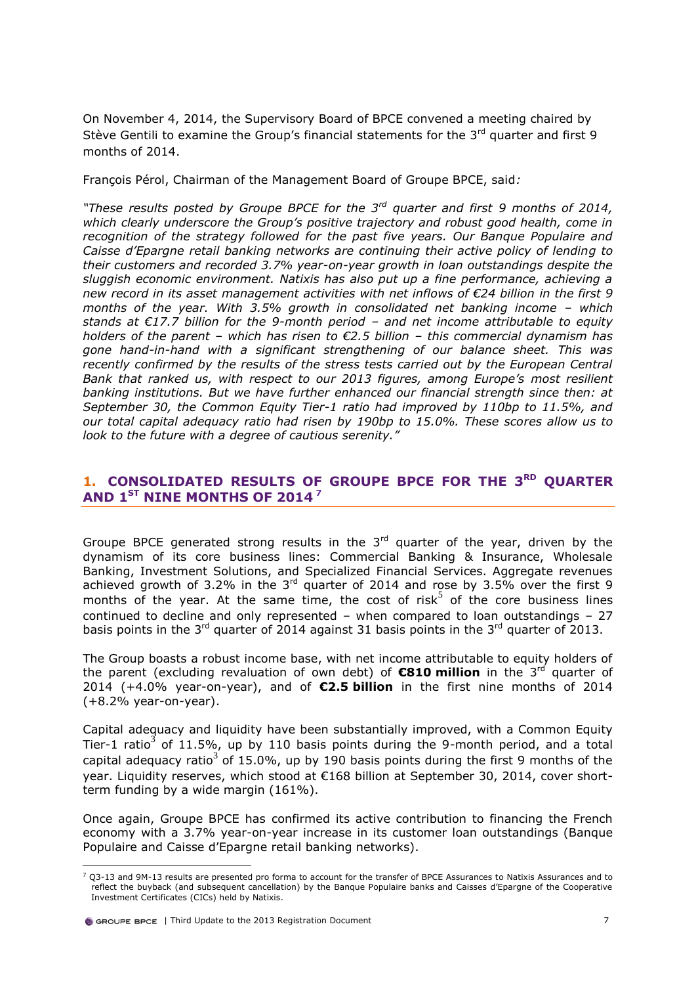On November 4, 2014, the Supervisory Board of BPCE convened a meeting chaired by Stève Gentili to examine the Group's financial statements for the 3<sup>rd</sup> quarter and first 9 months of 2014.

François Pérol, Chairman of the Management Board of Groupe BPCE, said*:* 

*"These results posted by Groupe BPCE for the 3rd quarter and first 9 months of 2014, which clearly underscore the Group's positive trajectory and robust good health, come in recognition of the strategy followed for the past five years. Our Banque Populaire and Caisse d'Epargne retail banking networks are continuing their active policy of lending to their customers and recorded 3.7% year-on-year growth in loan outstandings despite the sluggish economic environment. Natixis has also put up a fine performance, achieving a new record in its asset management activities with net inflows of €24 billion in the first 9 months of the year. With 3.5% growth in consolidated net banking income – which stands at €17.7 billion for the 9-month period – and net income attributable to equity holders of the parent – which has risen to €2.5 billion – this commercial dynamism has gone hand-in-hand with a significant strengthening of our balance sheet. This was recently confirmed by the results of the stress tests carried out by the European Central Bank that ranked us, with respect to our 2013 figures, among Europe's most resilient banking institutions. But we have further enhanced our financial strength since then: at September 30, the Common Equity Tier-1 ratio had improved by 110bp to 11.5%, and our total capital adequacy ratio had risen by 190bp to 15.0%. These scores allow us to look to the future with a degree of cautious serenity."*

## <span id="page-7-0"></span>**1. CONSOLIDATED RESULTS OF GROUPE BPCE FOR THE 3RD QUARTER AND 1ST NINE MONTHS OF 2014 <sup>7</sup>**

Groupe BPCE generated strong results in the  $3<sup>rd</sup>$  quarter of the year, driven by the dynamism of its core business lines: Commercial Banking & Insurance, Wholesale Banking, Investment Solutions, and Specialized Financial Services. Aggregate revenues achieved growth of 3.2% in the 3rd quarter of 2014 and rose by 3.5% over the first 9 months of the year. At the same time, the cost of risk<sup>[5](#page-6-4)</sup> of the core business lines continued to decline and only represented – when compared to loan outstandings – 27 basis points in the  $3^{rd}$  quarter of 2014 against 31 basis points in the  $3^{rd}$  quarter of 2013.

The Group boasts a robust income base, with net income attributable to equity holders of the parent (excluding revaluation of own debt) of **€810 million** in the 3<sup>rd</sup> quarter of 2014 (+4.0% year-on-year), and of **€2.5 billion** in the first nine months of 2014 (+8.2% year-on-year).

Capital adequacy and liquidity have been substantially improved, with a Common Equity Tier-1 ratio<sup>[3](#page-6-3)</sup> of 11.5%, up by 110 basis points during the 9-month period, and a total capital adequacy ratio<sup>[3](#page-6-3)</sup> of 15.0%, up by 190 basis points during the first 9 months of the year. Liquidity reserves, which stood at €168 billion at September 30, 2014, cover shortterm funding by a wide margin (161%).

Once again, Groupe BPCE has confirmed its active contribution to financing the French economy with a 3.7% year-on-year increase in its customer loan outstandings (Banque Populaire and Caisse d'Epargne retail banking networks).

 $7$  Q3-13 and 9M-13 results are presented pro forma to account for the transfer of BPCE Assurances to Natixis Assurances and to reflect the buyback (and subsequent cancellation) by the Banque Populaire banks and Caisses d'Epargne of the Cooperative Investment Certificates (CICs) held by Natixis.

**O** GROUPE BPCE | Third Update to the 2013 Registration Document 7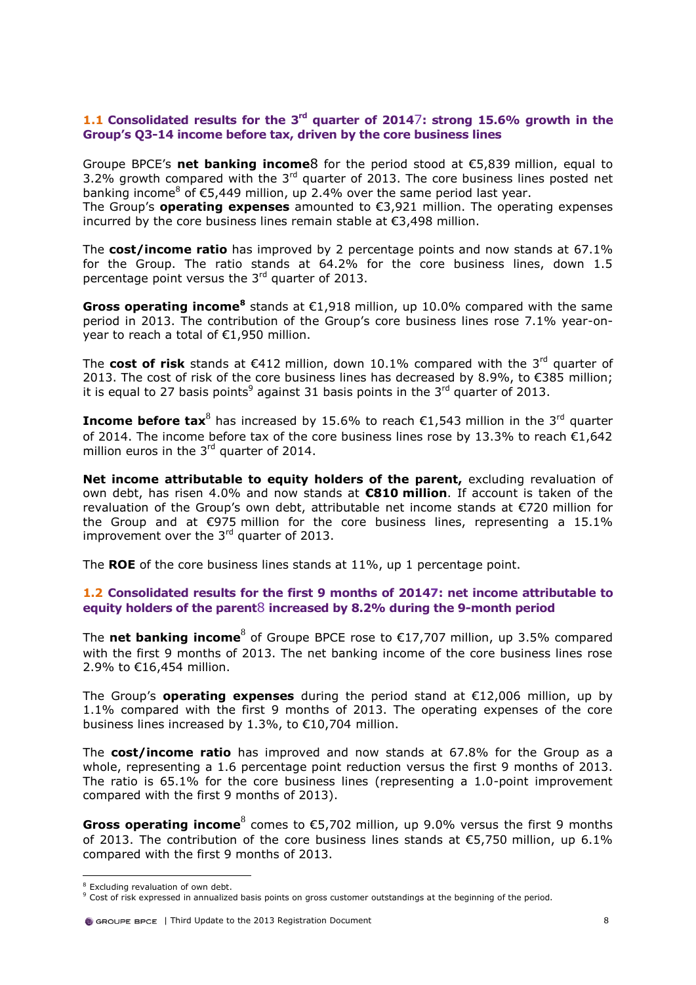### **1.1 Consolidated results for the 3rd quarter of 2014**[7](#page-7-0)**: strong 15.6% growth in the Group's Q3-14 income before tax, driven by the core business lines**

Groupe BPCE's **net banking income**[8](#page-8-0) for the period stood at €5,839 million, equal to 3.2% growth compared with the  $3<sup>rd</sup>$  quarter of 2013. The core business lines posted net banking income<sup>8</sup> of  $\epsilon$ 5,449 million, up 2.4% over the same period last year. The Group's **operating expenses** amounted to €3,921 million. The operating expenses incurred by the core business lines remain stable at €3,498 million.

The **cost/income ratio** has improved by 2 percentage points and now stands at 67.1% for the Group. The ratio stands at 64.2% for the core business lines, down 1.5 percentage point versus the 3rd quarter of 2013.

<span id="page-8-0"></span>Gross operating income<sup>8</sup> stands at €1,918 million, up 10.0% compared with the same period in 2013. The contribution of the Group's core business lines rose 7.1% year-onyear to reach a total of €1,950 million.

The **cost of risk** stands at  $\epsilon$ 412 million, down 10.1% compared with the 3<sup>rd</sup> quarter of 2013. The cost of risk of the core business lines has decreased by 8.9%, to €385 million; it is equal to 27 basis points<sup>9</sup> against 31 basis points in the 3<sup>rd</sup> quarter of 2013.

**Income before tax**<sup>[8](#page-8-0)</sup> has increased by 15.6% to reach €1,543 million in the 3<sup>rd</sup> quarter of 2014. The income before tax of the core business lines rose by 13.3% to reach  $\epsilon$ 1,642 million euros in the  $3<sup>rd</sup>$  quarter of 2014.

**Net income attributable to equity holders of the parent, excluding revaluation of** own debt, has risen 4.0% and now stands at **€810 million**. If account is taken of the revaluation of the Group's own debt, attributable net income stands at €720 million for the Group and at  $\epsilon$ 975 million for the core business lines, representing a 15.1% improvement over the  $3<sup>rd</sup>$  quarter of 2013.

The **ROE** of the core business lines stands at 11%, up 1 percentage point.

### **1.2 Consolidated results for the first 9 months of 201[47:](#page-7-0) net income attributable to equity holders of the parent**[8](#page-8-0) **increased by 8.2% during the 9-month period**

The **net banking income**<sup>[8](#page-8-0)</sup> of Groupe BPCE rose to €17,707 million, up 3.5% compared with the first 9 months of 2013. The net banking income of the core business lines rose 2.9% to €16,454 million.

The Group's **operating expenses** during the period stand at €12,006 million, up by 1.1% compared with the first 9 months of 2013. The operating expenses of the core business lines increased by 1.3%, to €10,704 million.

The **cost/income ratio** has improved and now stands at 67.8% for the Group as a whole, representing a 1.6 percentage point reduction versus the first 9 months of 2013. The ratio is 65.1% for the core business lines (representing a 1.0-point improvement compared with the first 9 months of 2013).

Gross operating income<sup>[8](#page-8-0)</sup> comes to €5,702 million, up 9.0% versus the first 9 months of 2013. The contribution of the core business lines stands at  $\epsilon$ 5.750 million, up 6.1% compared with the first 9 months of 2013.

<sup>&</sup>lt;sup>8</sup> Excluding revaluation of own debt.

<sup>9</sup> Cost of risk expressed in annualized basis points on gross customer outstandings at the beginning of the period.

G GROUPE BPCE | Third Update to the 2013 Registration Document 8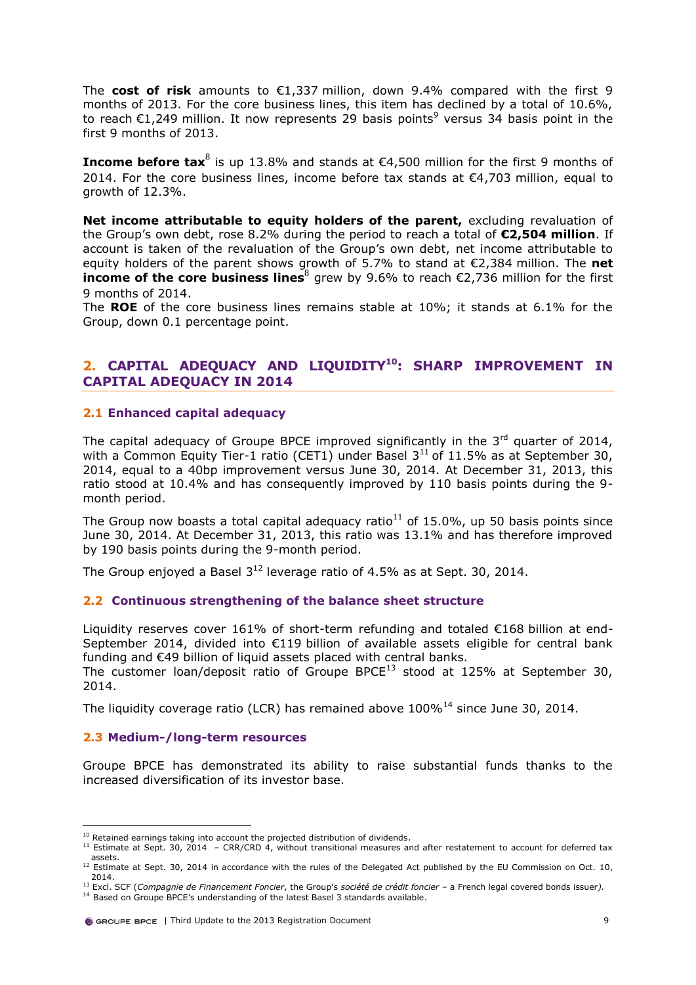The **cost of risk** amounts to €1,337 million, down 9.4% compared with the first 9 months of 2013. For the core business lines, this item has declined by a total of 10.6%, to reach  $E1,249$  million. It now represents 29 basis points<sup>9</sup> versus 34 basis point in the first 9 months of 2013.

**Income before tax**<sup>[8](#page-8-0)</sup> is up 13.8% and stands at €4,500 million for the first 9 months of 2014. For the core business lines, income before tax stands at  $\epsilon$ 4,703 million, equal to growth of 12.3%.

**Net income attributable to equity holders of the parent, excluding revaluation of** the Group's own debt, rose 8.2% during the period to reach a total of **€2,504 million**. If account is taken of the revaluation of the Group's own debt, net income attributable to equity holders of the parent shows growth of 5.7% to stand at €2,384 million. The **net income of the core business lines**<sup>[8](#page-8-0)</sup> grew by 9.6% to reach €2,736 million for the first 9 months of 2014.

The **ROE** of the core business lines remains stable at 10%; it stands at 6.1% for the Group, down 0.1 percentage point.

## **2. CAPITAL ADEQUACY AND LIQUIDITY<sup>10</sup>: SHARP IMPROVEMENT IN CAPITAL ADEQUACY IN 2014**

### **2.1 Enhanced capital adequacy**

<span id="page-9-0"></span>The capital adequacy of Groupe BPCE improved significantly in the  $3<sup>rd</sup>$  quarter of 2014, with a Common Equity Tier-1 ratio (CET1) under Basel  $3^{11}$  of 11.5% as at September 30, 2014, equal to a 40bp improvement versus June 30, 2014. At December 31, 2013, this ratio stood at 10.4% and has consequently improved by 110 basis points during the 9 month period.

The Group now boasts a total capital adequacy ratio<sup>[11](#page-9-0)</sup> of 15.0%, up 50 basis points since June 30, 2014. At December 31, 2013, this ratio was 13.1% and has therefore improved by 190 basis points during the 9-month period.

The Group enjoyed a Basel  $3^{12}$  leverage ratio of 4.5% as at Sept. 30, 2014.

### **2.2 Continuous strengthening of the balance sheet structure**

Liquidity reserves cover 161% of short-term refunding and totaled €168 billion at end-September 2014, divided into €119 billion of available assets eligible for central bank funding and €49 billion of liquid assets placed with central banks.

The customer loan/deposit ratio of Groupe BPCE<sup>13</sup> stood at 125% at September 30, 2014.

The liquidity coverage ratio (LCR) has remained above  $100\%$ <sup>14</sup> since June 30, 2014.

## **2.3 Medium-/long-term resources**

 $\overline{a}$ 

Groupe BPCE has demonstrated its ability to raise substantial funds thanks to the increased diversification of its investor base.

 $10$  Retained earnings taking into account the projected distribution of dividends.

<sup>&</sup>lt;sup>11</sup> Estimate at Sept. 30, 2014 – CRR/CRD 4, without transitional measures and after restatement to account for deferred tax

assets.<br><sup>12</sup> Estimate at Sept. 30, 2014 in accordance with the rules of the Delegated Act published by the EU Commission on Oct. 10, 2014.

<sup>13</sup> Excl. SCF (*Compagnie de Financement Foncier*, the Group's *société de crédit foncier –* a French legal covered bonds issuer*).* <sup>14</sup> Based on Groupe BPCE's understanding of the latest Basel 3 standards available.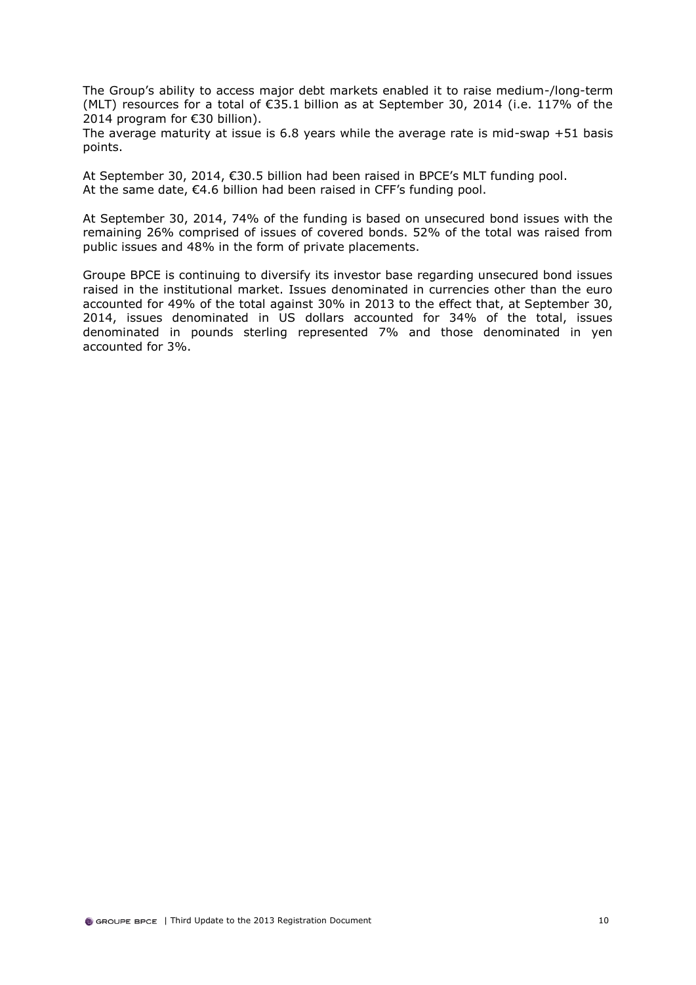The Group's ability to access major debt markets enabled it to raise medium-/long-term (MLT) resources for a total of  $\epsilon$ 35.1 billion as at September 30, 2014 (i.e. 117% of the 2014 program for €30 billion).

The average maturity at issue is 6.8 years while the average rate is mid-swap +51 basis points.

At September 30, 2014, €30.5 billion had been raised in BPCE's MLT funding pool. At the same date, €4.6 billion had been raised in CFF's funding pool.

At September 30, 2014, 74% of the funding is based on unsecured bond issues with the remaining 26% comprised of issues of covered bonds. 52% of the total was raised from public issues and 48% in the form of private placements.

Groupe BPCE is continuing to diversify its investor base regarding unsecured bond issues raised in the institutional market. Issues denominated in currencies other than the euro accounted for 49% of the total against 30% in 2013 to the effect that, at September 30, 2014, issues denominated in US dollars accounted for 34% of the total, issues denominated in pounds sterling represented 7% and those denominated in yen accounted for 3%.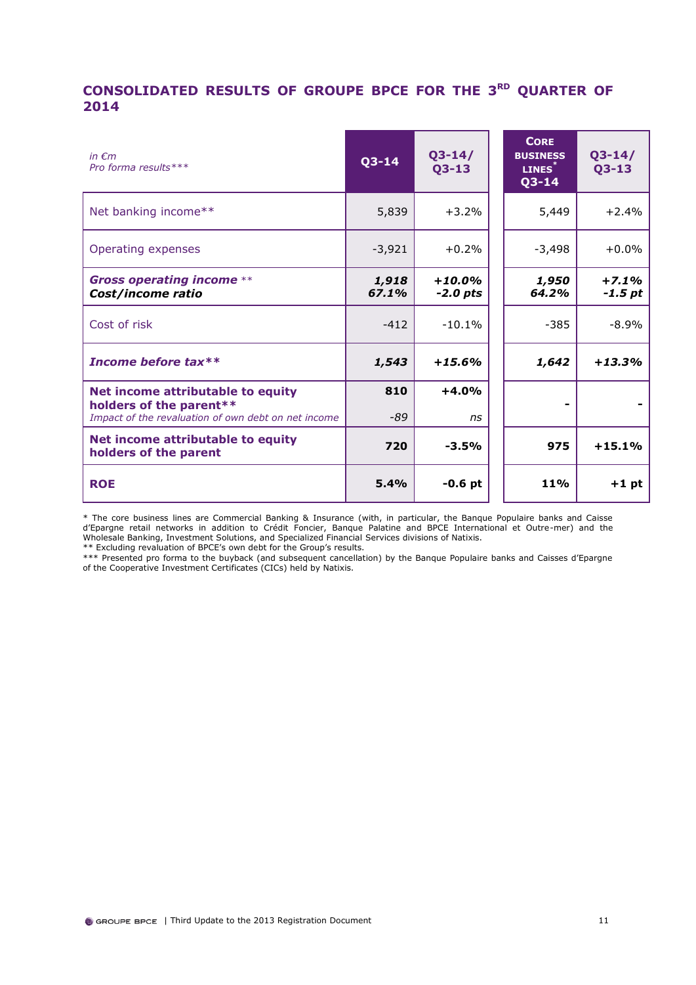## **CONSOLIDATED RESULTS OF GROUPE BPCE FOR THE 3 RD QUARTER OF 2014**

| in $\epsilon$ m<br>Pro forma results ***                                                                            | $Q3 - 14$      | $Q3 - 14/$<br>$Q3 - 13$ | <b>CORE</b><br><b>BUSINESS</b><br>LINES <sup>*</sup><br>$Q3 - 14$ | $Q3 - 14/$<br>$Q3 - 13$ |
|---------------------------------------------------------------------------------------------------------------------|----------------|-------------------------|-------------------------------------------------------------------|-------------------------|
| Net banking income**                                                                                                | 5,839          | $+3.2%$                 | 5,449                                                             | $+2.4%$                 |
| Operating expenses                                                                                                  | $-3,921$       | $+0.2%$                 | $-3,498$                                                          | $+0.0%$                 |
| <b>Gross operating income **</b><br>Cost/income ratio                                                               | 1,918<br>67.1% | $+10.0%$<br>$-2.0$ pts  | 1,950<br>64.2%                                                    | $+7.1%$<br>$-1.5$ pt    |
| Cost of risk                                                                                                        | $-412$         | $-10.1%$                | -385                                                              | $-8.9\%$                |
| Income before tax**                                                                                                 | 1,543          | $+15.6%$                | 1,642                                                             | $+13.3%$                |
| Net income attributable to equity<br>holders of the parent**<br>Impact of the revaluation of own debt on net income | 810<br>$-89$   | $+4.0%$<br>ns           |                                                                   |                         |
| Net income attributable to equity<br>holders of the parent                                                          | 720            | $-3.5%$                 | 975                                                               | $+15.1%$                |
| <b>ROE</b>                                                                                                          | 5.4%           | $-0.6$ pt               | <b>11%</b>                                                        | $+1$ pt                 |

\* The core business lines are Commercial Banking & Insurance (with, in particular, the Banque Populaire banks and Caisse d'Epargne retail networks in addition to Crédit Foncier, Banque Palatine and BPCE International et Outre-mer) and the Wholesale Banking, Investment Solutions, and Specialized Financial Services divisions of Natixis. \*\* Excluding revaluation of BPCE's own debt for the Group's results.

\*\*\* Presented pro forma to the buyback (and subsequent cancellation) by the Banque Populaire banks and Caisses d'Epargne of the Cooperative Investment Certificates (CICs) held by Natixis.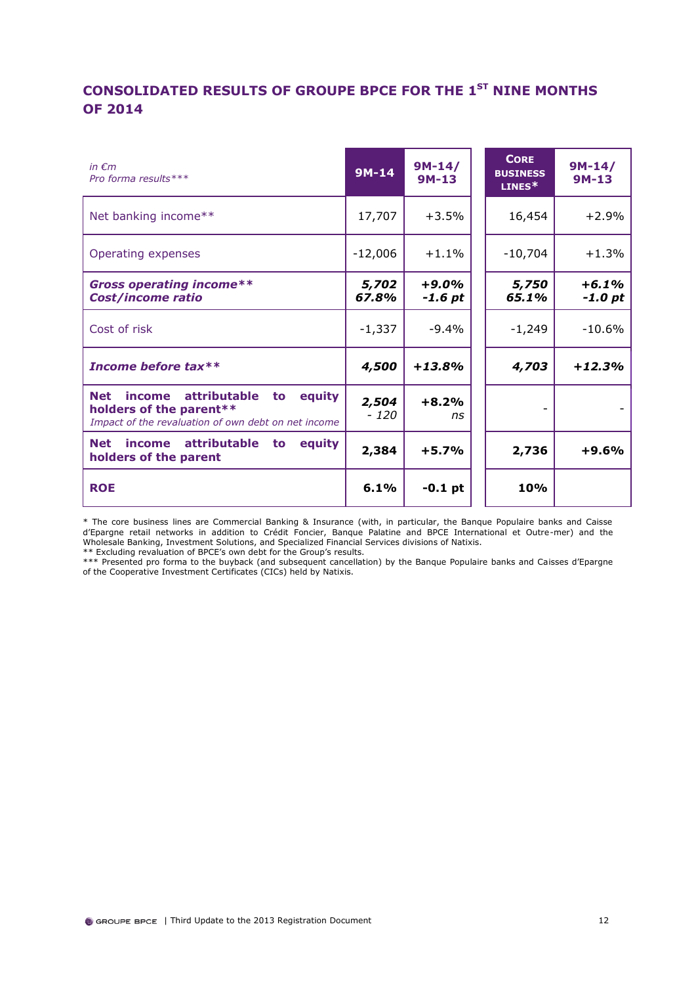## **CONSOLIDATED RESULTS OF GROUPE BPCE FOR THE 1ST NINE MONTHS OF 2014**

| in $\epsilon$ m<br>Pro forma results ***                                                                                                             | $9M-14$         | $9M-14/$<br>$9M-13$ | <b>CORE</b><br><b>BUSINESS</b><br>$LINES*$ | $9M-14/$<br>$9M-13$ |
|------------------------------------------------------------------------------------------------------------------------------------------------------|-----------------|---------------------|--------------------------------------------|---------------------|
| Net banking income**                                                                                                                                 | 17,707          | $+3.5%$             | 16,454                                     | $+2.9%$             |
| Operating expenses                                                                                                                                   | $-12,006$       | $+1.1%$             | $-10,704$                                  | $+1.3%$             |
| <b>Gross operating income**</b><br><b>Cost/income ratio</b>                                                                                          | 5,702<br>67.8%  | $+9.0%$<br>$-1.6pt$ | 5,750<br>65.1%                             | $+6.1%$<br>$-1.0pt$ |
| Cost of risk                                                                                                                                         | $-1,337$        | $-9.4\%$            | $-1,249$                                   | $-10.6\%$           |
| Income before tax**                                                                                                                                  | 4,500           | $+13.8%$            | 4,703                                      | $+12.3%$            |
| <b>attributable</b><br>equity<br><b>Net</b><br><i>income</i><br>to<br>holders of the parent**<br>Impact of the revaluation of own debt on net income | 2,504<br>$-120$ | $+8.2%$<br>ns       |                                            |                     |
| income attributable<br>equity<br><b>Net</b><br>to<br>holders of the parent                                                                           | 2,384           | $+5.7%$             | 2,736                                      | $+9.6%$             |
| <b>ROE</b>                                                                                                                                           | 6.1%            | $-0.1$ pt           | <b>10%</b>                                 |                     |

\* The core business lines are Commercial Banking & Insurance (with, in particular, the Banque Populaire banks and Caisse d'Epargne retail networks in addition to Crédit Foncier, Banque Palatine and BPCE International et Outre-mer) and the Wholesale Banking, Investment Solutions, and Specialized Financial Services divisions of Natixis.

\*\* Excluding revaluation of BPCE's own debt for the Group's results.

\*\*\* Presented pro forma to the buyback (and subsequent cancellation) by the Banque Populaire banks and Caisses d'Epargne of the Cooperative Investment Certificates (CICs) held by Natixis.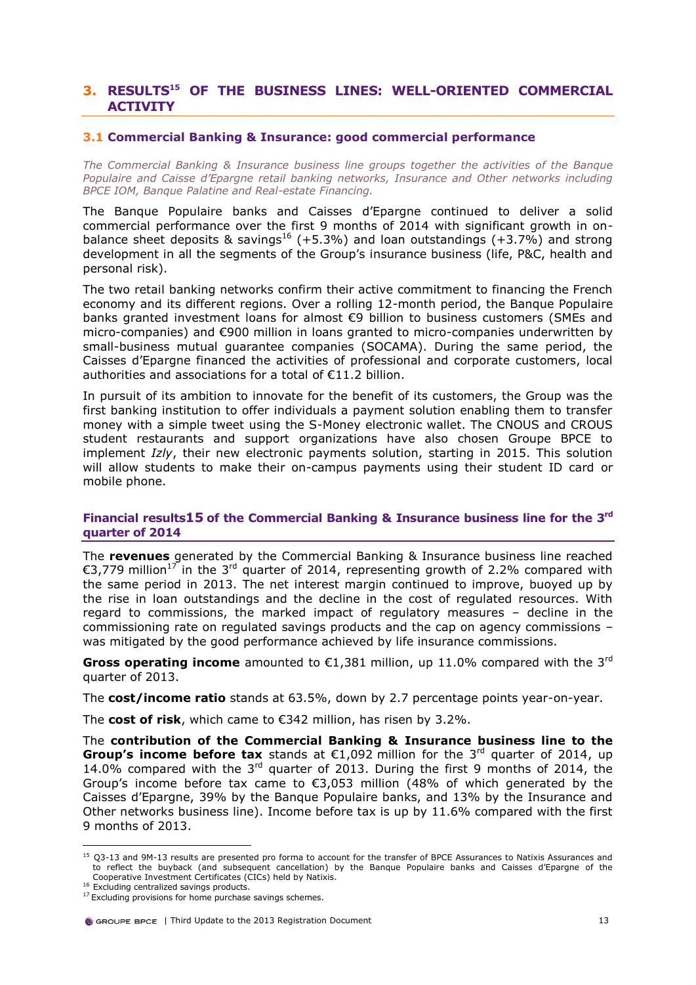## <span id="page-13-0"></span>**3. RESULTS<sup>15</sup> OF THE BUSINESS LINES: WELL-ORIENTED COMMERCIAL ACTIVITY**

### **3.1 Commercial Banking & Insurance: good commercial performance**

*The Commercial Banking & Insurance business line groups together the activities of the Banque Populaire and Caisse d'Epargne retail banking networks, Insurance and Other networks including BPCE IOM, Banque Palatine and Real-estate Financing.*

The Banque Populaire banks and Caisses d'Epargne continued to deliver a solid commercial performance over the first 9 months of 2014 with significant growth in onbalance sheet deposits & savings<sup>16</sup> (+5.3%) and loan outstandings (+3.7%) and strong development in all the segments of the Group's insurance business (life, P&C, health and personal risk).

The two retail banking networks confirm their active commitment to financing the French economy and its different regions. Over a rolling 12-month period, the Banque Populaire banks granted investment loans for almost €9 billion to business customers (SMEs and micro-companies) and €900 million in loans granted to micro-companies underwritten by small-business mutual guarantee companies (SOCAMA). During the same period, the Caisses d'Epargne financed the activities of professional and corporate customers, local authorities and associations for a total of €11.2 billion.

In pursuit of its ambition to innovate for the benefit of its customers, the Group was the first banking institution to offer individuals a payment solution enabling them to transfer money with a simple tweet using the S-Money electronic wallet. The CNOUS and CROUS student restaurants and support organizations have also chosen Groupe BPCE to implement *Izly*, their new electronic payments solution, starting in 2015. This solution will allow students to make their on-campus payments using their student ID card or mobile phone.

### **Financial results[15](#page-13-0) of the Commercial Banking & Insurance business line for the 3rd quarter of 2014**

The **revenues** generated by the Commercial Banking & Insurance business line reached €3,779 million<sup>17</sup> in the 3<sup>rd</sup> quarter of 2014, representing growth of 2.2% compared with the same period in 2013. The net interest margin continued to improve, buoyed up by the rise in loan outstandings and the decline in the cost of regulated resources. With regard to commissions, the marked impact of regulatory measures – decline in the commissioning rate on regulated savings products and the cap on agency commissions – was mitigated by the good performance achieved by life insurance commissions.

**Gross operating income** amounted to  $\epsilon$ 1.381 million, up 11.0% compared with the 3<sup>rd</sup> quarter of 2013.

The **cost/income ratio** stands at 63.5%, down by 2.7 percentage points year-on-year.

The **cost of risk**, which came to €342 million, has risen by 3.2%.

The **contribution of the Commercial Banking & Insurance business line to the Group's income before tax** stands at  $\epsilon$ 1,092 million for the 3<sup>rd</sup> quarter of 2014, up 14.0% compared with the  $3<sup>rd</sup>$  quarter of 2013. During the first 9 months of 2014, the Group's income before tax came to  $\epsilon$ 3,053 million (48% of which generated by the Caisses d'Epargne, 39% by the Banque Populaire banks, and 13% by the Insurance and Other networks business line). Income before tax is up by 11.6% compared with the first 9 months of 2013.

<sup>&</sup>lt;sup>15</sup> Q3-13 and 9M-13 results are presented pro forma to account for the transfer of BPCE Assurances to Natixis Assurances and to reflect the buyback (and subsequent cancellation) by the Banque Populaire banks and Caisses d'Epargne of the Cooperative Investment Certificates (CICs) held by Natixis.

<sup>&</sup>lt;sup>16</sup> Excluding centralized savings products.

<sup>&</sup>lt;sup>17</sup> Excluding provisions for home purchase savings schemes.

G GROUPE BPCE I Third Undate to the 2013 Registration Document 13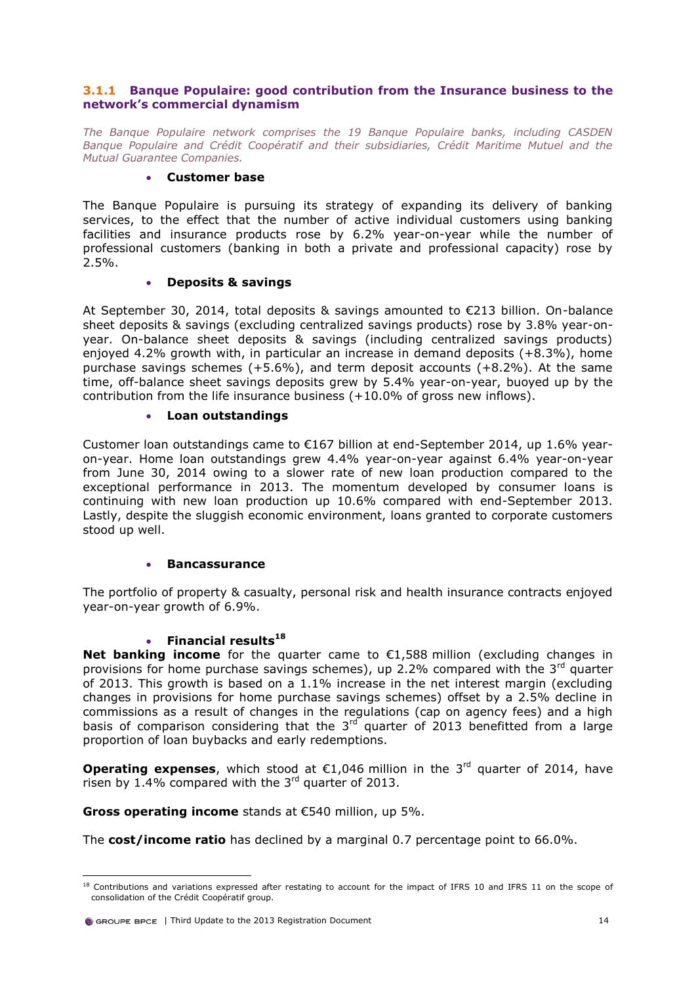### **3.1.1 Banque Populaire: good contribution from the Insurance business to the network's commercial dynamism**

*The Banque Populaire network comprises the 19 Banque Populaire banks, including CASDEN Banque Populaire and Crédit Coopératif and their subsidiaries, Crédit Maritime Mutuel and the Mutual Guarantee Companies.*

### **Customer base**

The Banque Populaire is pursuing its strategy of expanding its delivery of banking services, to the effect that the number of active individual customers using banking facilities and insurance products rose by 6.2% year-on-year while the number of professional customers (banking in both a private and professional capacity) rose by 2.5%.

### **Deposits & savings**

At September 30, 2014, total deposits & savings amounted to €213 billion. On-balance sheet deposits & savings (excluding centralized savings products) rose by 3.8% year-onyear. On-balance sheet deposits & savings (including centralized savings products) enjoyed 4.2% growth with, in particular an increase in demand deposits (+8.3%), home purchase savings schemes (+5.6%), and term deposit accounts (+8.2%). At the same time, off-balance sheet savings deposits grew by 5.4% year-on-year, buoyed up by the contribution from the life insurance business  $(+10.0\%$  of gross new inflows).

## **Loan outstandings**

Customer loan outstandings came to  $E167$  billion at end-September 2014, up 1.6% yearon-year. Home loan outstandings grew 4.4% year-on-year against 6.4% year-on-year from June 30, 2014 owing to a slower rate of new loan production compared to the exceptional performance in 2013. The momentum developed by consumer loans is continuing with new loan production up 10.6% compared with end-September 2013. Lastly, despite the sluggish economic environment, loans granted to corporate customers stood up well.

### **Bancassurance**

The portfolio of property & casualty, personal risk and health insurance contracts enjoyed year-on-year growth of 6.9%.

## **Financial results<sup>18</sup>**

**Net banking income** for the quarter came to €1,588 million (excluding changes in provisions for home purchase savings schemes), up 2.2% compared with the  $3<sup>rd</sup>$  quarter of 2013. This growth is based on a 1.1% increase in the net interest margin (excluding changes in provisions for home purchase savings schemes) offset by a 2.5% decline in commissions as a result of changes in the regulations (cap on agency fees) and a high basis of comparison considering that the  $3<sup>rd</sup>$  quarter of 2013 benefitted from a large proportion of loan buybacks and early redemptions.

**Operating expenses**, which stood at  $\epsilon$ 1,046 million in the 3<sup>rd</sup> quarter of 2014, have risen by  $1.4\%$  compared with the  $3<sup>rd</sup>$  quarter of 2013.

**Gross operating income** stands at €540 million, up 5%.

The **cost/income ratio** has declined by a marginal 0.7 percentage point to 66.0%.

 $\overline{a}$  $^{18}$  Contributions and variations expressed after restating to account for the impact of IFRS 10 and IFRS 11 on the scope of consolidation of the Crédit Coopératif group.

 $\bullet$  GROUPE BPCE | Third Update to the 2013 Registration Document 14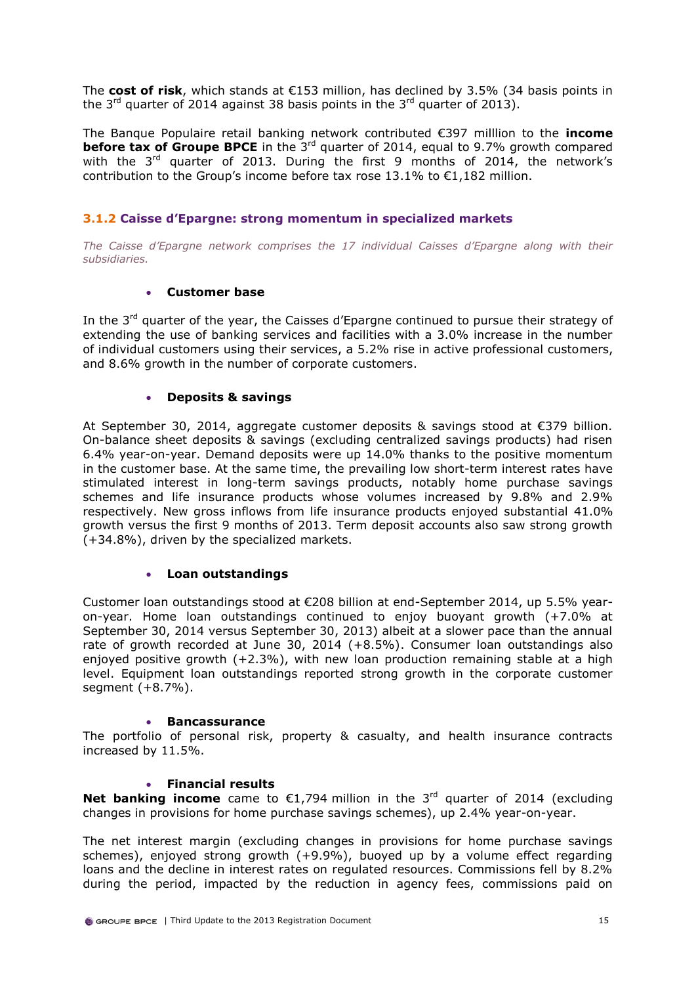The **cost of risk**, which stands at €153 million, has declined by 3.5% (34 basis points in the  $3^{rd}$  quarter of 2014 against 38 basis points in the  $3^{rd}$  quarter of 2013).

The Banque Populaire retail banking network contributed €397 milllion to the **income before tax of Groupe BPCE** in the 3<sup>rd</sup> quarter of 2014, equal to 9.7% growth compared with the  $3<sup>rd</sup>$  quarter of 2013. During the first 9 months of 2014, the network's contribution to the Group's income before tax rose 13.1% to  $\epsilon$ 1,182 million.

## **3.1.2 Caisse d'Epargne: strong momentum in specialized markets**

*The Caisse d'Epargne network comprises the 17 individual Caisses d'Epargne along with their subsidiaries.*

### **Customer base**

In the 3<sup>rd</sup> quarter of the year, the Caisses d'Epargne continued to pursue their strategy of extending the use of banking services and facilities with a 3.0% increase in the number of individual customers using their services, a 5.2% rise in active professional customers, and 8.6% growth in the number of corporate customers.

### **Deposits & savings**

At September 30, 2014, aggregate customer deposits & savings stood at €379 billion. On-balance sheet deposits & savings (excluding centralized savings products) had risen 6.4% year-on-year. Demand deposits were up 14.0% thanks to the positive momentum in the customer base. At the same time, the prevailing low short-term interest rates have stimulated interest in long-term savings products, notably home purchase savings schemes and life insurance products whose volumes increased by 9.8% and 2.9% respectively. New gross inflows from life insurance products enjoyed substantial 41.0% growth versus the first 9 months of 2013. Term deposit accounts also saw strong growth (+34.8%), driven by the specialized markets.

### **Loan outstandings**

Customer loan outstandings stood at €208 billion at end-September 2014, up 5.5% yearon-year. Home loan outstandings continued to enjoy buoyant growth (+7.0% at September 30, 2014 versus September 30, 2013) albeit at a slower pace than the annual rate of growth recorded at June 30, 2014 (+8.5%). Consumer loan outstandings also enjoyed positive growth  $(+2.3%)$ , with new loan production remaining stable at a high level. Equipment loan outstandings reported strong growth in the corporate customer segment (+8.7%).

### **Bancassurance**

The portfolio of personal risk, property & casualty, and health insurance contracts increased by 11.5%.

### **Financial results**

**Net banking income** came to  $\epsilon$ 1,794 million in the 3<sup>rd</sup> quarter of 2014 (excluding changes in provisions for home purchase savings schemes), up 2.4% year-on-year.

The net interest margin (excluding changes in provisions for home purchase savings schemes), enjoyed strong growth (+9.9%), buoyed up by a volume effect regarding loans and the decline in interest rates on regulated resources. Commissions fell by 8.2% during the period, impacted by the reduction in agency fees, commissions paid on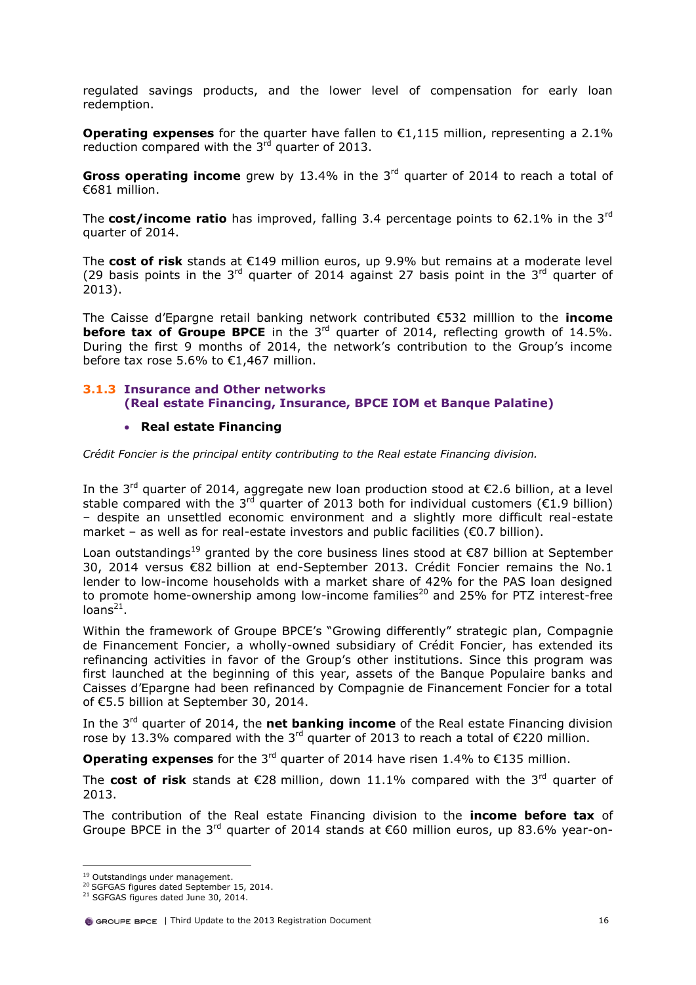regulated savings products, and the lower level of compensation for early loan redemption.

**Operating expenses** for the quarter have fallen to €1,115 million, representing a 2.1% reduction compared with the  $3<sup>rd</sup>$  quarter of 2013.

**Gross operating income** grew by 13.4% in the 3<sup>rd</sup> quarter of 2014 to reach a total of €681 million.

The **cost/income ratio** has improved, falling 3.4 percentage points to 62.1% in the 3rd quarter of 2014.

The **cost of risk** stands at €149 million euros, up 9.9% but remains at a moderate level (29 basis points in the 3<sup>rd</sup> quarter of 2014 against 27 basis point in the 3<sup>rd</sup> quarter of 2013).

The Caisse d'Epargne retail banking network contributed €532 milllion to the **income before tax of Groupe BPCE** in the 3<sup>rd</sup> quarter of 2014, reflecting growth of 14.5%. During the first 9 months of 2014, the network's contribution to the Group's income before tax rose 5.6% to €1,467 million.

## **3.1.3 Insurance and Other networks (Real estate Financing, Insurance, BPCE IOM et Banque Palatine)**

### **Real estate Financing**

*Crédit Foncier is the principal entity contributing to the Real estate Financing division.*

In the 3<sup>rd</sup> quarter of 2014, aggregate new loan production stood at  $\epsilon$ 2.6 billion, at a level stable compared with the 3<sup>rd</sup> quarter of 2013 both for individual customers ( $\epsilon$ 1.9 billion) – despite an unsettled economic environment and a slightly more difficult real-estate market – as well as for real-estate investors and public facilities ( $\epsilon$ 0.7 billion).

Loan outstandings<sup>19</sup> granted by the core business lines stood at  $\epsilon$ 87 billion at September 30, 2014 versus €82 billion at end-September 2013. Crédit Foncier remains the No.1 lender to low-income households with a market share of 42% for the PAS loan designed to promote home-ownership among low-income families<sup>20</sup> and 25% for PTZ interest-free loans $^{21}$ .

Within the framework of Groupe BPCE's "Growing differently" strategic plan, Compagnie de Financement Foncier, a wholly-owned subsidiary of Crédit Foncier, has extended its refinancing activities in favor of the Group's other institutions. Since this program was first launched at the beginning of this year, assets of the Banque Populaire banks and Caisses d'Epargne had been refinanced by Compagnie de Financement Foncier for a total of €5.5 billion at September 30, 2014.

In the 3rd quarter of 2014, the **net banking income** of the Real estate Financing division rose by 13.3% compared with the 3<sup>rd</sup> quarter of 2013 to reach a total of €220 million.

**Operating expenses** for the  $3^{rd}$  quarter of 2014 have risen 1.4% to  $\epsilon$ 135 million.

The **cost of risk** stands at €28 million, down 11.1% compared with the 3<sup>rd</sup> quarter of 2013.

The contribution of the Real estate Financing division to the **income before tax** of Groupe BPCE in the 3<sup>rd</sup> quarter of 2014 stands at €60 million euros, up 83.6% year-on-

<sup>&</sup>lt;sup>19</sup> Outstandings under management.

<sup>&</sup>lt;sup>20</sup> SGFGAS figures dated September 15, 2014.

<sup>&</sup>lt;sup>21</sup> SGFGAS figures dated June 30, 2014.

 $\bullet$  GROUPE BPCE | Third Update to the 2013 Registration Document  $16$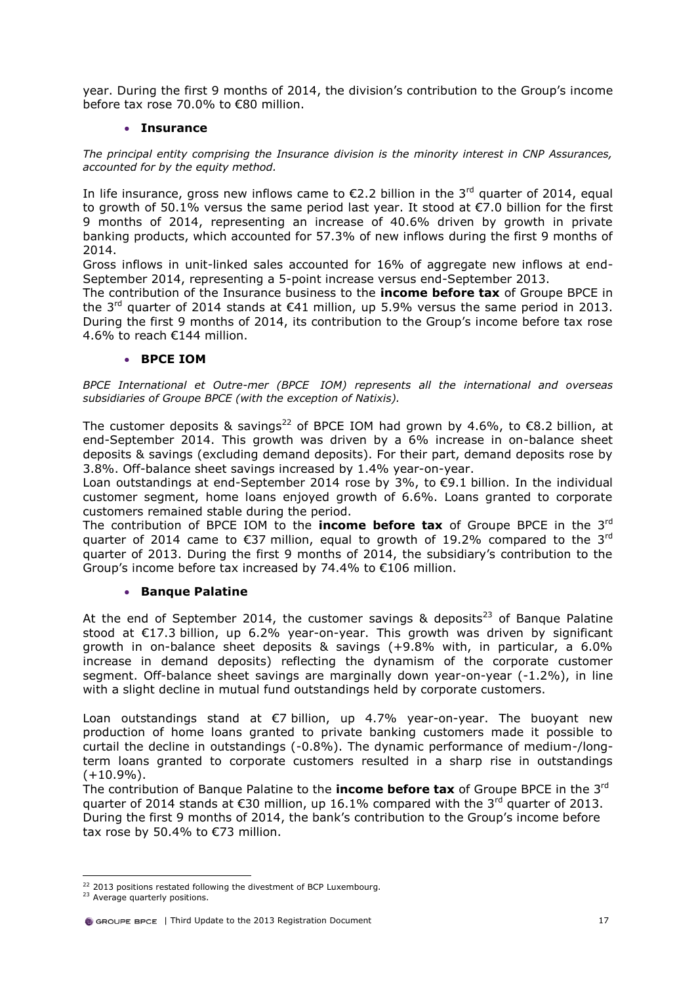year. During the first 9 months of 2014, the division's contribution to the Group's income before tax rose 70.0% to €80 million.

### **Insurance**

*The principal entity comprising the Insurance division is the minority interest in CNP Assurances, accounted for by the equity method.*

In life insurance, gross new inflows came to  $\epsilon$ 2.2 billion in the 3<sup>rd</sup> quarter of 2014, equal to growth of 50.1% versus the same period last year. It stood at €7.0 billion for the first 9 months of 2014, representing an increase of 40.6% driven by growth in private banking products, which accounted for 57.3% of new inflows during the first 9 months of 2014.

Gross inflows in unit-linked sales accounted for 16% of aggregate new inflows at end-September 2014, representing a 5-point increase versus end-September 2013.

The contribution of the Insurance business to the **income before tax** of Groupe BPCE in the 3<sup>rd</sup> quarter of 2014 stands at  $\epsilon$ 41 million, up 5.9% versus the same period in 2013. During the first 9 months of 2014, its contribution to the Group's income before tax rose 4.6% to reach €144 million.

### **BPCE IOM**

*BPCE International et Outre-mer (BPCE IOM) represents all the international and overseas subsidiaries of Groupe BPCE (with the exception of Natixis).*

The customer deposits & savings<sup>22</sup> of BPCE IOM had grown by 4.6%, to  $\epsilon$ 8.2 billion, at end-September 2014. This growth was driven by a 6% increase in on-balance sheet deposits & savings (excluding demand deposits). For their part, demand deposits rose by 3.8%. Off-balance sheet savings increased by 1.4% year-on-year.

Loan outstandings at end-September 2014 rose by  $3\%$ , to  $\epsilon$ 9.1 billion. In the individual customer segment, home loans enjoyed growth of 6.6%. Loans granted to corporate customers remained stable during the period.

The contribution of BPCE IOM to the **income before tax** of Groupe BPCE in the 3rd quarter of 2014 came to €37 million, equal to growth of 19.2% compared to the 3<sup>rd</sup> quarter of 2013. During the first 9 months of 2014, the subsidiary's contribution to the Group's income before tax increased by 74.4% to €106 million.

### **• Banque Palatine**

At the end of September 2014, the customer savings & deposits<sup>23</sup> of Banque Palatine stood at €17.3 billion, up 6.2% year-on-year. This growth was driven by significant growth in on-balance sheet deposits & savings (+9.8% with, in particular, a 6.0% increase in demand deposits) reflecting the dynamism of the corporate customer segment. Off-balance sheet savings are marginally down year-on-year (-1.2%), in line with a slight decline in mutual fund outstandings held by corporate customers.

Loan outstandings stand at  $\epsilon$ 7 billion, up 4.7% year-on-year. The buoyant new production of home loans granted to private banking customers made it possible to curtail the decline in outstandings (-0.8%). The dynamic performance of medium-/longterm loans granted to corporate customers resulted in a sharp rise in outstandings  $(+10.9\%)$ .

The contribution of Banque Palatine to the **income before tax** of Groupe BPCE in the 3rd quarter of 2014 stands at  $\epsilon$ 30 million, up 16.1% compared with the 3<sup>rd</sup> quarter of 2013. During the first 9 months of 2014, the bank's contribution to the Group's income before tax rose by 50.4% to €73 million.

 $\overline{a}$ <sup>22</sup> 2013 positions restated following the divestment of BCP Luxembourg.

<sup>&</sup>lt;sup>23</sup> Average quarterly positions.

GROUPE BPCE | Third Update to the 2013 Registration Document 17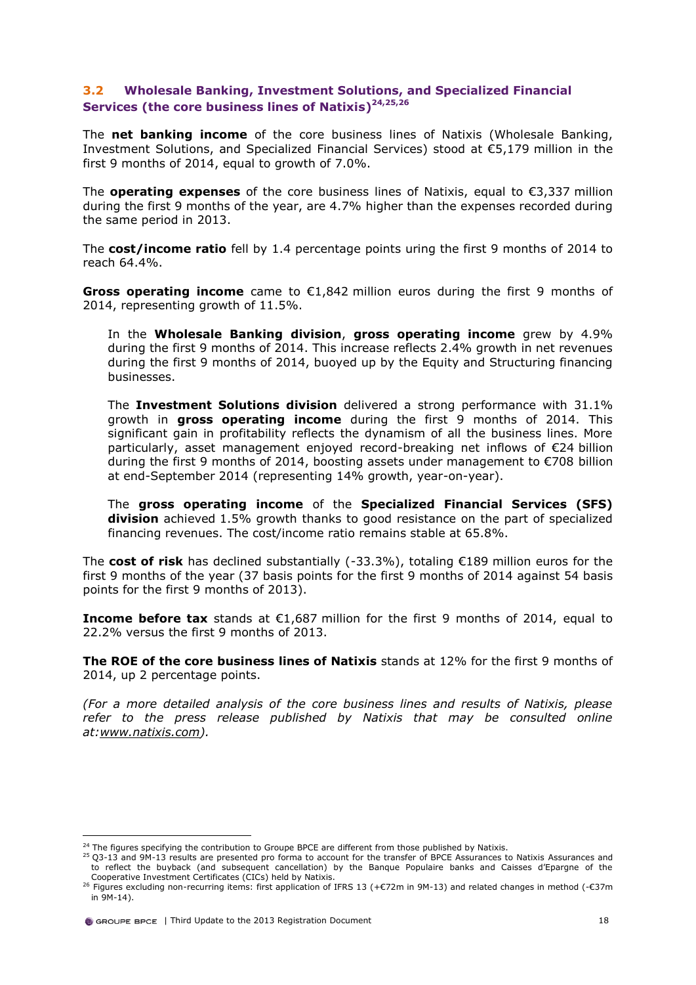## **3.2 Wholesale Banking, Investment Solutions, and Specialized Financial Services (the core business lines of Natixis)24,25,26**

The **net banking income** of the core business lines of Natixis (Wholesale Banking, Investment Solutions, and Specialized Financial Services) stood at €5,179 million in the first 9 months of 2014, equal to growth of 7.0%.

The **operating expenses** of the core business lines of Natixis, equal to €3,337 million during the first 9 months of the year, are 4.7% higher than the expenses recorded during the same period in 2013.

The **cost/income ratio** fell by 1.4 percentage points uring the first 9 months of 2014 to reach 64.4%.

**Gross operating income** came to €1,842 million euros during the first 9 months of 2014, representing growth of 11.5%.

In the **Wholesale Banking division**, **gross operating income** grew by 4.9% during the first 9 months of 2014. This increase reflects 2.4% growth in net revenues during the first 9 months of 2014, buoyed up by the Equity and Structuring financing businesses.

The **Investment Solutions division** delivered a strong performance with 31.1% growth in **gross operating income** during the first 9 months of 2014. This significant gain in profitability reflects the dynamism of all the business lines. More particularly, asset management enjoyed record-breaking net inflows of €24 billion during the first 9 months of 2014, boosting assets under management to €708 billion at end-September 2014 (representing 14% growth, year-on-year).

The **gross operating income** of the **Specialized Financial Services (SFS) division** achieved 1.5% growth thanks to good resistance on the part of specialized financing revenues. The cost/income ratio remains stable at 65.8%.

The **cost of risk** has declined substantially (-33.3%), totaling €189 million euros for the first 9 months of the year (37 basis points for the first 9 months of 2014 against 54 basis points for the first 9 months of 2013).

**Income before tax** stands at €1,687 million for the first 9 months of 2014, equal to 22.2% versus the first 9 months of 2013.

**The ROE of the core business lines of Natixis** stands at 12% for the first 9 months of 2014, up 2 percentage points.

*(For a more detailed analysis of the core business lines and results of Natixis, please refer to the press release published by Natixis that may be consulted online at[:www.natixis.com\)](http://www.natixis.com/).*

<sup>&</sup>lt;sup>24</sup> The figures specifying the contribution to Groupe BPCE are different from those published by Natixis.

<sup>&</sup>lt;sup>25</sup> Q3-13 and 9M-13 results are presented pro forma to account for the transfer of BPCE Assurances to Natixis Assurances and to reflect the buyback (and subsequent cancellation) by the Banque Populaire banks and Caisses d'Epargne of the Cooperative Investment Certificates (CICs) held by Natixis.

<sup>&</sup>lt;sup>26</sup> Figures excluding non-recurring items: first application of IFRS 13 (+€72m in 9M-13) and related changes in method (-€37m in 9M-14).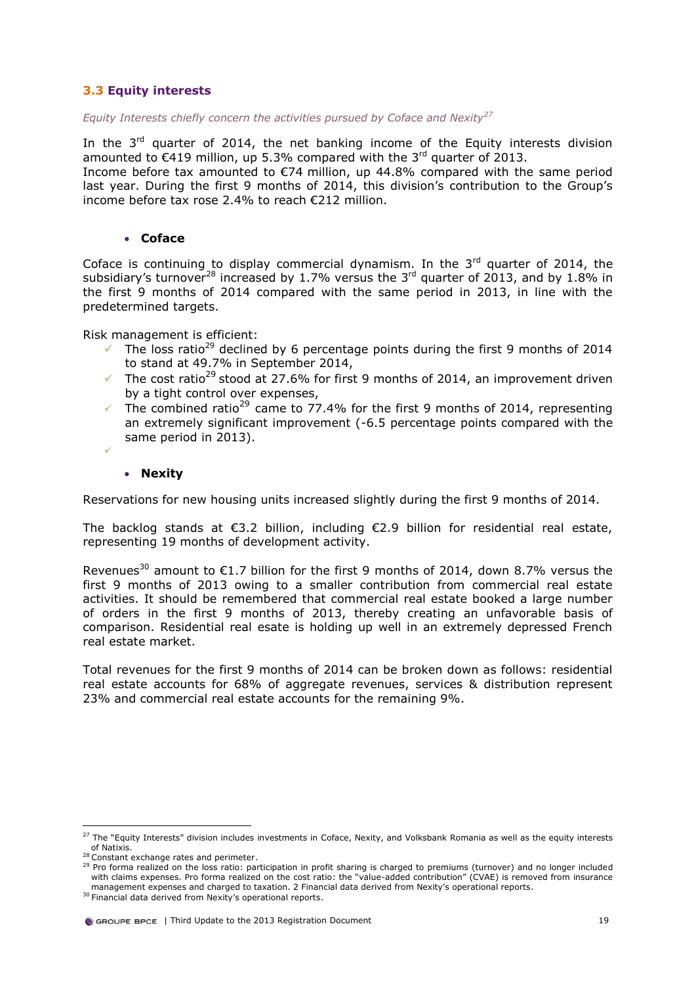## **3.3 Equity interests**

*Equity Interests chiefly concern the activities pursued by Coface and Nexity<sup>27</sup>*

In the  $3<sup>rd</sup>$  quarter of 2014, the net banking income of the Equity interests division amounted to  $\epsilon$ 419 million, up 5.3% compared with the 3<sup>rd</sup> quarter of 2013.

Income before tax amounted to €74 million, up 44.8% compared with the same period last year. During the first 9 months of 2014, this division's contribution to the Group's income before tax rose 2.4% to reach €212 million.

### **Coface**

Coface is continuing to display commercial dynamism. In the  $3<sup>rd</sup>$  quarter of 2014, the subsidiary's turnover<sup>28</sup> increased by 1.7% versus the 3<sup>rd</sup> quarter of 2013, and by 1.8% in the first 9 months of 2014 compared with the same period in 2013, in line with the predetermined targets.

Risk management is efficient:

- <span id="page-19-0"></span>The loss ratio<sup>29</sup> declined by 6 percentage points during the first 9 months of 2014 to stand at 49.7% in September 2014,
- The cost ratio<sup>[29](#page-19-0)</sup> stood at 27.6% for first 9 months of 2014, an improvement driven by a tight control over expenses,
- The combined ratio<sup>[29](#page-19-0)</sup> came to 77.4% for the first 9 months of 2014, representing an extremely significant improvement (-6.5 percentage points compared with the same period in 2013).
- ✓

### **Nexity**

Reservations for new housing units increased slightly during the first 9 months of 2014.

The backlog stands at  $\epsilon$ 3.2 billion, including  $\epsilon$ 2.9 billion for residential real estate, representing 19 months of development activity.

Revenues<sup>30</sup> amount to  $\epsilon$ 1.7 billion for the first 9 months of 2014, down 8.7% versus the first 9 months of 2013 owing to a smaller contribution from commercial real estate activities. It should be remembered that commercial real estate booked a large number of orders in the first 9 months of 2013, thereby creating an unfavorable basis of comparison. Residential real esate is holding up well in an extremely depressed French real estate market.

Total revenues for the first 9 months of 2014 can be broken down as follows: residential real estate accounts for 68% of aggregate revenues, services & distribution represent 23% and commercial real estate accounts for the remaining 9%.

 $^{27}$  The "Equity Interests" division includes investments in Coface, Nexity, and Volksbank Romania as well as the equity interests of Natixis.

<sup>28</sup> Constant exchange rates and perimeter.

<sup>29</sup> Pro forma realized on the loss ratio: participation in profit sharing is charged to premiums (turnover) and no longer included with claims expenses. Pro forma realized on the cost ratio: the "value-added contribution" (CVAE) is removed from insurance management expenses and charged to taxation. 2 Financial data derived from Nexity's operational reports.

<sup>&</sup>lt;sup>30</sup> Financial data derived from Nexity's operational reports.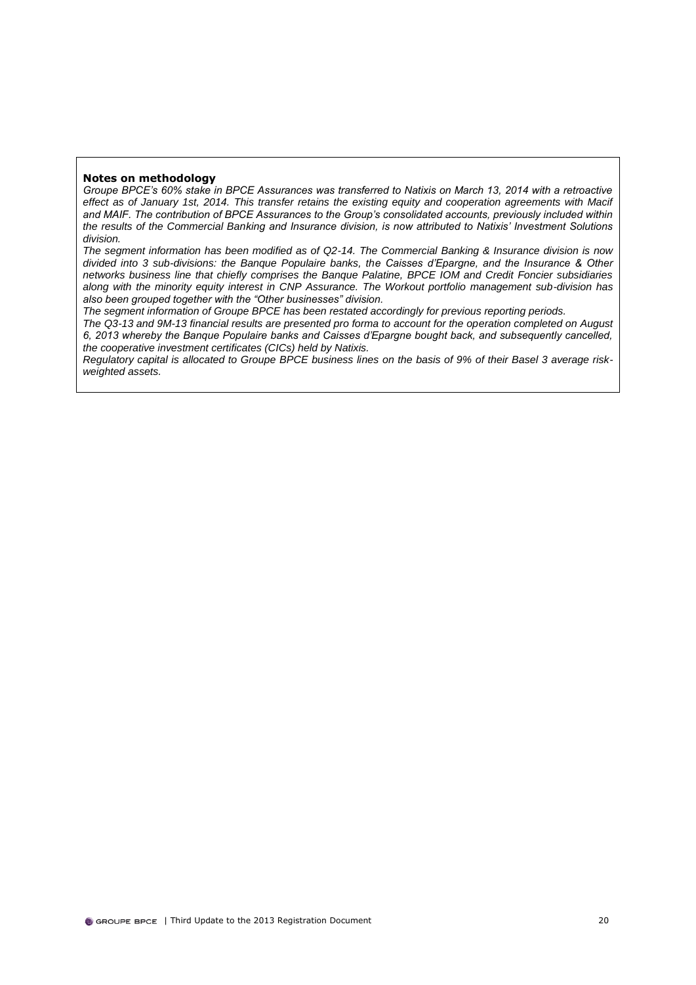### **Notes on methodology**

*Groupe BPCE's 60% stake in BPCE Assurances was transferred to Natixis on March 13, 2014 with a retroactive*  effect as of January 1st, 2014. This transfer retains the existing equity and cooperation agreements with Macif *and MAIF. The contribution of BPCE Assurances to the Group's consolidated accounts, previously included within the results of the Commercial Banking and Insurance division, is now attributed to Natixis' Investment Solutions division.*

*The segment information has been modified as of Q2-14. The Commercial Banking & Insurance division is now divided into 3 sub-divisions: the Banque Populaire banks, the Caisses d'Epargne, and the Insurance & Other networks business line that chiefly comprises the Banque Palatine, BPCE IOM and Credit Foncier subsidiaries along with the minority equity interest in CNP Assurance. The Workout portfolio management sub-division has also been grouped together with the "Other businesses" division.*

*The segment information of Groupe BPCE has been restated accordingly for previous reporting periods.*

*The Q3-13 and 9M-13 financial results are presented pro forma to account for the operation completed on August 6, 2013 whereby the Banque Populaire banks and Caisses d'Epargne bought back, and subsequently cancelled, the cooperative investment certificates (CICs) held by Natixis.*

*Regulatory capital is allocated to Groupe BPCE business lines on the basis of 9% of their Basel 3 average riskweighted assets.*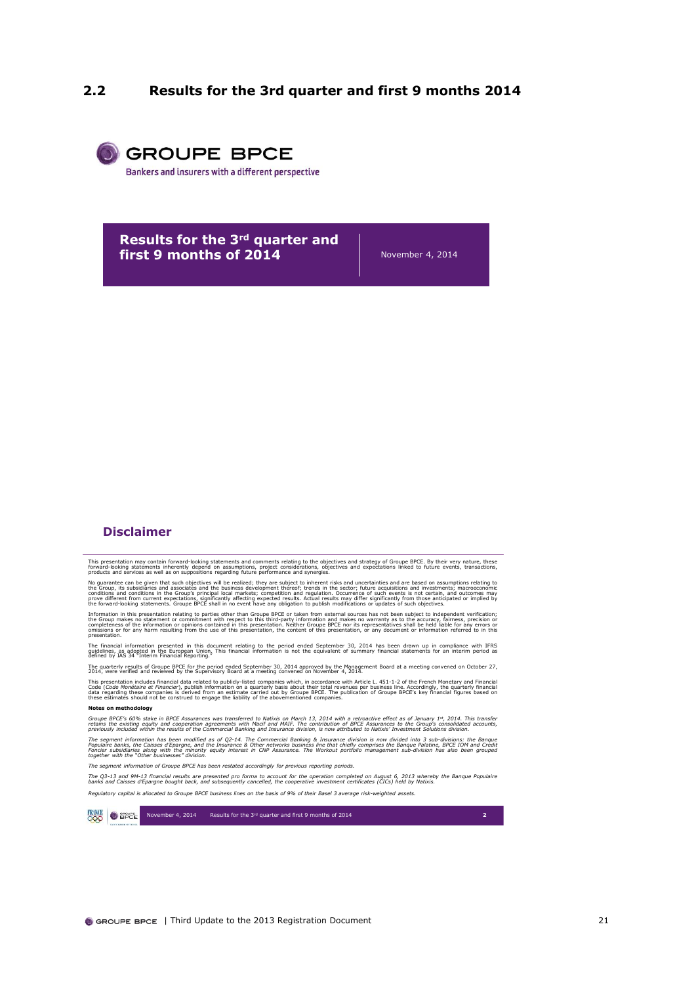## <span id="page-21-0"></span>**2.2 Results for the 3rd quarter and first 9 months 2014**



**Results for the 3rd quarter and first 9 months of 2014** November 4, 2014

### **Disclaimer**

This presentation may contain forward-looking statements and comments relating to the objectives and strategy of Groupe BPCE. By their very nature, these<br>forward-looking statements inherently depend on assumptions, project

No guarantee can be given that such objectives will be realized; they are subject to inherent risks and urcertainties and are based on assumptions relating to do a stamp in the controllation of the best of the best of cont

the forward-looking statements. Groupe BPCE shall in no event have any obligation to publish modifications or updates of such objectives.<br>Information in this presentation relating to parties other than Groupe BPCE or taken

omissions or for any harm resulting from the use of this presentation, the content of this presentation, or any document or information referred to in this<br>presentation.<br>Buildelines, as adopted in the European Union. This

The quarterly results of Groupe BPCE for the period ended September 30, 2014 approved by the Management Board at a meeting convened on October 27,<br>2014, were verified and reviewed by the Supervisory Board at a meeting conv

This presentation includes financial data related to publicly-listed companies which, in accordance with Article L. 451-1-2 of the French Monetary and Financial<br>Code (*Code Monétaire et Financier*), publish information on

### **Notes on methodology**

**Notes on methodology**<br>Groupe BPCE's 60% stake in BPCE Assurances was transferred to Natixis on March 13, 2014 with a retroactive effect as of January 1\*, 2014. This transfer<br>retains the existing equity and cooperation agr

The segment information has been modified as of Q2-14. The Commercial Banking & Insurance division is more the more the Banque and the more the parameter of the more the parameter of the Bandie of the Bandie Bandie Bandie

*The segment information of Groupe BPCE has been restated accordingly for previous reporting periods.*

*The Q3-1 3 and 9M-1 3 financial results are presented pro forma to account for the operation completed on August 6, <sup>2013</sup> whereby the Banque Populaire banks and Caisses d'Epargne bought back, and subsequently cancelled, the cooperative investment certificates (CICs) held by Natixis.*

Requistory capital is allocated to Groupe BPCE business lines on the basis of 9% of their Basel 3 average risk-weighted assets

**FRANCE O** SPEE November 4, 2014 Results for the 3<sup>rd</sup> quarter and first 9 months of 2014 **2**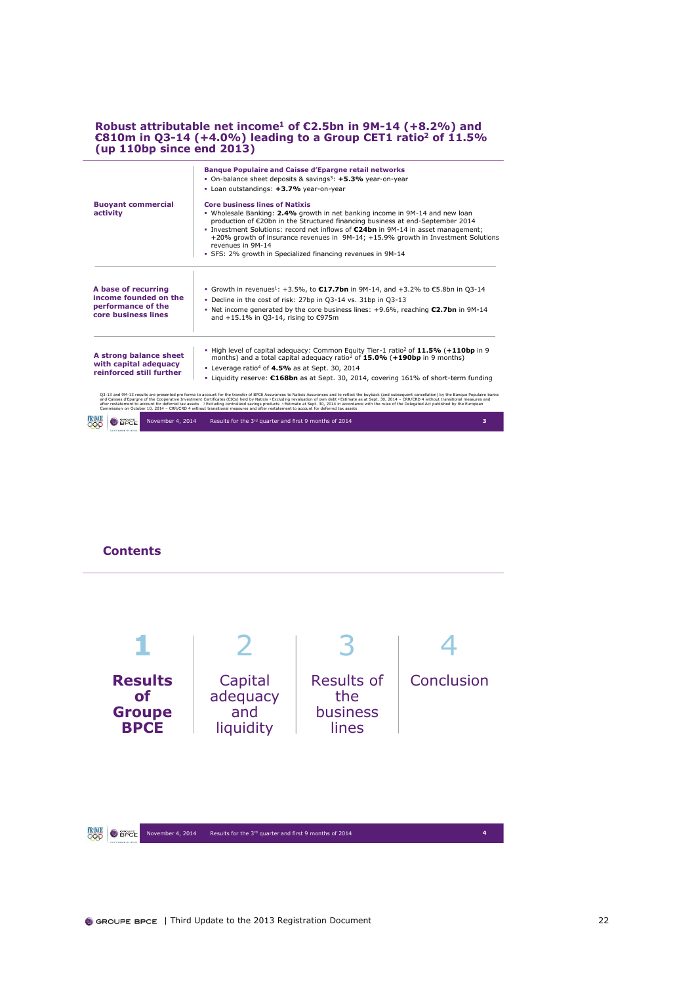### **Robust attributable net income<sup>1</sup> of €2.5bn in 9M-14 (+8.2%) and €810m in Q3-14 (+4.0%) leading to a Group CET1 ratio<sup>2</sup> of 11.5% (up 110bp since end 2013)**

|                                                                                           | <b>Banque Populaire and Caisse d'Epargne retail networks</b><br>• On-balance sheet deposits & savings <sup>3</sup> : +5.3% year-on-year<br>• Loan outstandings: +3.7% year-on-year                                                                                                                                                                                                                                                                                                                                                                                                                                                                                                                                                                                                            |
|-------------------------------------------------------------------------------------------|-----------------------------------------------------------------------------------------------------------------------------------------------------------------------------------------------------------------------------------------------------------------------------------------------------------------------------------------------------------------------------------------------------------------------------------------------------------------------------------------------------------------------------------------------------------------------------------------------------------------------------------------------------------------------------------------------------------------------------------------------------------------------------------------------|
| <b>Buoyant commercial</b><br>activity                                                     | <b>Core business lines of Natixis</b><br>• Wholesale Banking: 2.4% growth in net banking income in 9M-14 and new loan<br>production of €20bn in the Structured financing business at end-September 2014<br>■ Investment Solutions: record net inflows of €24bn in 9M-14 in asset management:<br>+20% growth of insurance revenues in 9M-14; +15.9% growth in Investment Solutions<br>revenues in 9M-14<br>· SFS: 2% growth in Specialized financing revenues in 9M-14                                                                                                                                                                                                                                                                                                                         |
| A base of recurring<br>income founded on the<br>performance of the<br>core business lines | ■ Growth in revenues <sup>1</sup> : +3.5%, to <b>€17.7bn</b> in 9M-14, and +3.2% to €5.8bn in Q3-14<br>. Decline in the cost of risk: 27bp in Q3-14 vs. 31bp in Q3-13<br>• Net income generated by the core business lines: $+9.6\%$ , reaching $\epsilon$ 2.7bn in 9M-14<br>and +15.1% in Q3-14, rising to €975m                                                                                                                                                                                                                                                                                                                                                                                                                                                                             |
| A strong balance sheet<br>with capital adequacy<br>reinforced still further               | . High level of capital adeguacy: Common Equity Tier-1 ratio <sup>2</sup> of 11.5% (+110bp in 9<br>months) and a total capital adequacy ratio <sup>2</sup> of <b>15.0%</b> (+190bp in 9 months)<br>• Leverage ratio <sup>4</sup> of $4.5\%$ as at Sept. 30, 2014<br><b>Example 16.</b> Liquidity reserve: $C168bn$ as at Sept. 30, 2014, covering 161% of short-term funding                                                                                                                                                                                                                                                                                                                                                                                                                  |
|                                                                                           | Q3-13 and 9M-13 results are presented pro forma to account for the transfer of BPCE Assurances to Natixis Assurances and to reflect the buyback (and subsequent cancellation) by the Banque Populaire banks<br>and Caisses d'Eparqne of the Cooperative Investment Certificates (CICs) held by Natixis 1 Excluding revaluation of own debt 2 Estimate as at Sept. 30, 2014 - CRR/CRD 4 without transitional measures and<br>after restatement to account for deferred tax assets <sup>3</sup> Excluding centralized savings products <sup>4</sup> Estimate at Sept. 30, 2014 in accordance with the rules of the Delegated Act published by the European<br>Commission on October 10, 2014 - CRR/CRD 4 without transitional measures and after restatement to account for deferred tax assets |
| GROUPE<br>November 4, 2014<br><b>BPCE</b>                                                 | Results for the 3rd quarter and first 9 months of 2014<br>з                                                                                                                                                                                                                                                                                                                                                                                                                                                                                                                                                                                                                                                                                                                                   |

### **Contents**

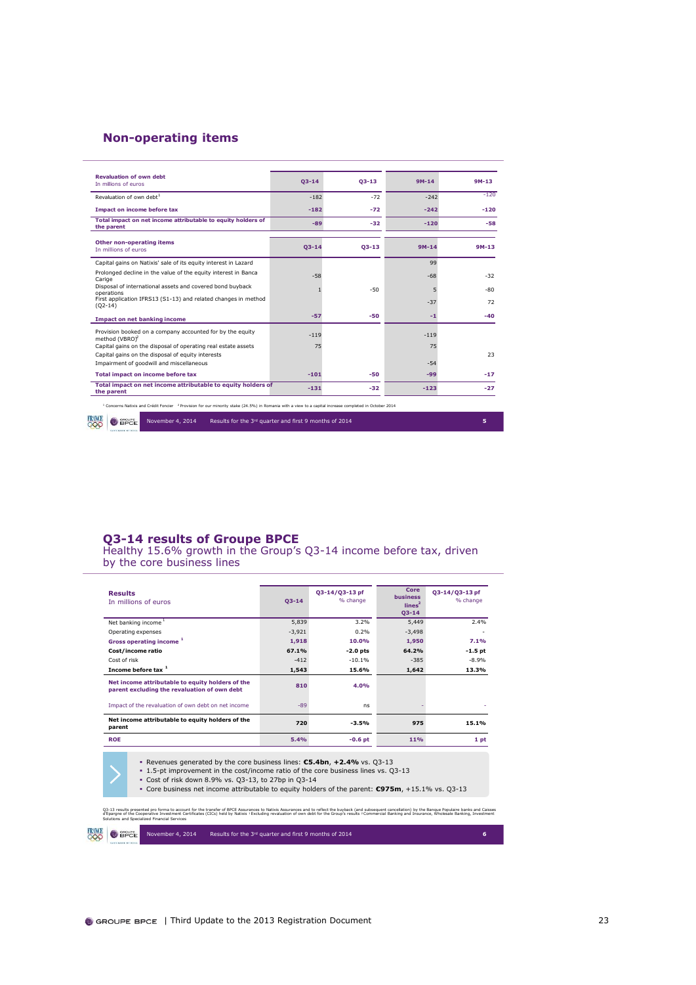## **Non-operating items**

| <b>Revaluation of own debt</b><br>In millions of euros                                                                                                                        | $Q3 - 14$ | $Q3 - 13$ | $9M-14$ | $9M-13$ |
|-------------------------------------------------------------------------------------------------------------------------------------------------------------------------------|-----------|-----------|---------|---------|
| Revaluation of own debt <sup>1</sup>                                                                                                                                          | $-182$    | $-72$     | $-242$  | $-120$  |
| Impact on income before tax                                                                                                                                                   | $-182$    | $-72$     | $-242$  | $-120$  |
| Total impact on net income attributable to equity holders of<br>the parent                                                                                                    | $-89$     | $-32$     | $-120$  | $-58$   |
| Other non-operating items<br>In millions of euros                                                                                                                             | $Q3 - 14$ | $Q3 - 13$ | $9M-14$ | $9M-13$ |
| Capital gains on Natixis' sale of its equity interest in Lazard                                                                                                               |           |           | 99      |         |
| Prolonged decline in the value of the equity interest in Banca<br>Carige                                                                                                      | $-58$     |           | $-68$   | -32     |
| Disposal of international assets and covered bond buyback<br>operations                                                                                                       |           | $-50$     |         | -80     |
| First application IFRS13 (S1-13) and related changes in method<br>$(Q2-14)$                                                                                                   |           |           | $-37$   | 72      |
| <b>Impact on net banking income</b>                                                                                                                                           | $-57$     | -50       | -1      | -40     |
| Provision booked on a company accounted for by the equity<br>method (VBRO)                                                                                                    | $-119$    |           | $-119$  |         |
| Capital gains on the disposal of operating real estate assets                                                                                                                 | 75        |           | 75      |         |
| Capital gains on the disposal of equity interests<br>Impairment of goodwill and miscellaneous                                                                                 |           |           | $-54$   | 23      |
| <b>Total impact on income before tax</b>                                                                                                                                      | $-101$    | $-50$     | $-99$   | $-17$   |
| Total impact on net income attributable to equity holders of<br>the parent                                                                                                    | $-131$    | $-32$     | $-123$  | $-27$   |
| <sup>1</sup> Concerns Natixis and Crédit Foncier <sup>2</sup> Provision for our minority stake (24.5%) in Romania with a view to a capital increase completed in October 2014 |           |           |         |         |
| GROUPE<br>November 4, 2014<br>Results for the 3rd quarter and first 9 months of 2014<br><b>BPCE</b><br>೦೦೦                                                                    |           |           |         | 5       |

### **Q3-14 results of Groupe BPCE**

Healthy 15.6% growth in the Group's Q3-14 income before tax, driven by the core business lines

| <b>Results</b><br>In millions of euros                                                                                                                                                                                                                                                                                                            | $Q3 - 14$ | Q3-14/Q3-13 pf<br>% change | Core<br><b>business</b><br>lines <sup>2</sup><br>$Q3 - 14$ | Q3-14/Q3-13 pf<br>% change |  |  |  |
|---------------------------------------------------------------------------------------------------------------------------------------------------------------------------------------------------------------------------------------------------------------------------------------------------------------------------------------------------|-----------|----------------------------|------------------------------------------------------------|----------------------------|--|--|--|
| Net banking income <sup>1</sup>                                                                                                                                                                                                                                                                                                                   | 5,839     | 3.2%                       | 5,449                                                      | 2.4%                       |  |  |  |
| Operating expenses                                                                                                                                                                                                                                                                                                                                | $-3,921$  | 0.2%                       | $-3,498$                                                   |                            |  |  |  |
| Gross operating income <sup>1</sup>                                                                                                                                                                                                                                                                                                               | 1,918     | 10.0%                      | 1,950                                                      | 7.1%                       |  |  |  |
| Cost/income ratio                                                                                                                                                                                                                                                                                                                                 | 67.1%     | $-2.0$ pts                 | 64.2%                                                      | $-1.5$ pt                  |  |  |  |
| Cost of risk                                                                                                                                                                                                                                                                                                                                      | $-412$    | $-10.1%$                   | $-385$                                                     | $-8.9%$                    |  |  |  |
| Income before tax 1                                                                                                                                                                                                                                                                                                                               | 1,543     | 15.6%                      |                                                            | 13.3%                      |  |  |  |
| Net income attributable to equity holders of the<br>parent excluding the revaluation of own debt                                                                                                                                                                                                                                                  | 810       | 4.0%                       |                                                            |                            |  |  |  |
| Impact of the revaluation of own debt on net income                                                                                                                                                                                                                                                                                               | $-89$     | ns                         |                                                            |                            |  |  |  |
| Net income attributable to equity holders of the<br>parent                                                                                                                                                                                                                                                                                        | 720       | $-3.5%$                    | 975                                                        | 15.1%                      |  |  |  |
| <b>ROE</b>                                                                                                                                                                                                                                                                                                                                        | 5.4%      | $-0.6$ pt                  | <b>11%</b>                                                 | 1 pt                       |  |  |  |
| Revenues generated by the core business lines: $C5.4bn$ , $+2.4%$ vs. $Q3-13$<br>• 1.5-pt improvement in the cost/income ratio of the core business lines vs. Q3-13<br>• Cost of risk down 8.9% vs. Q3-13, to 27bp in Q3-14<br><b>Core business net income attributable to equity holders of the parent: <math>C975m</math>, +15.1% vs. 03-13</b> |           |                            |                                                            |                            |  |  |  |

Q3-13 results presented pro forma to account for the transfer of BPCE Assurances to Natixis Assurances and to reflect the buyback (and subsequent cancellation) by the Banque Populaire banks and Caisses<br>d'Epargne of the Coo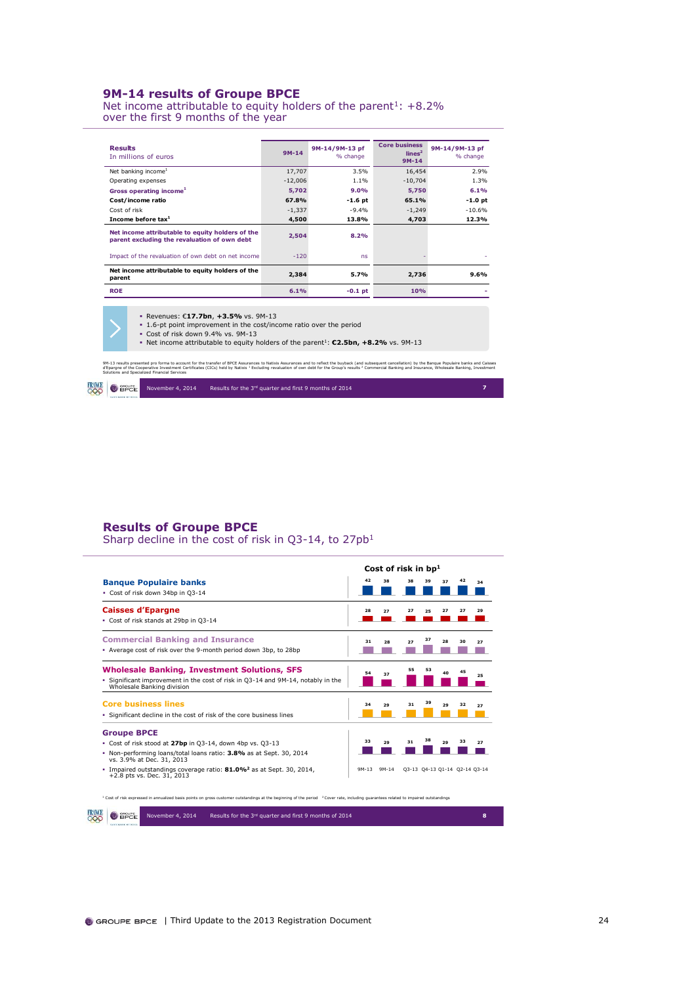### **9M-14 results of Groupe BPCE**

Net income attributable to equity holders of the parent<sup>1</sup>:  $+8.2\%$ over the first 9 months of the year

| <b>Results</b><br>In millions of euros                                                           | $9M-14$   | 9M-14/9M-13 pf<br>% change | <b>Core business</b><br>lines <sup>2</sup><br>$9M-14$ | 9M-14/9M-13 pf<br>% change |
|--------------------------------------------------------------------------------------------------|-----------|----------------------------|-------------------------------------------------------|----------------------------|
| Net banking income <sup>1</sup>                                                                  | 17,707    | 3.5%                       | 16,454                                                | 2.9%                       |
| Operating expenses                                                                               | $-12,006$ | 1.1%                       | $-10,704$                                             | 1.3%                       |
| Gross operating income <sup>1</sup>                                                              | 5.702     | 9.0%                       | 5,750                                                 | 6.1%                       |
| Cost/income ratio                                                                                | 67.8%     | $-1.6$ pt                  | 65.1%                                                 | -1.0 pt                    |
| Cost of risk                                                                                     | $-1,337$  | $-9.4%$                    | $-1,249$                                              | $-10.6%$                   |
| Income before tax <sup>1</sup>                                                                   | 4,500     | 13.8%                      | 4,703                                                 | 12.3%                      |
| Net income attributable to equity holders of the<br>parent excluding the revaluation of own debt | 2.504     | 8.2%                       |                                                       |                            |
| Impact of the revaluation of own debt on net income                                              | $-120$    | ns                         |                                                       |                            |
| Net income attributable to equity holders of the<br>parent                                       | 2,384     | 5.7%                       | 2,736                                                 | 9.6%                       |
| <b>ROE</b>                                                                                       | 6.1%      | $-0.1$ pt                  | 10%                                                   |                            |

Revenues: €**17.7bn**, **+3.5%** vs. 9M-13

1.6-pt point improvement in the cost/income ratio over the period

Cost of risk down 9.4% vs. 9M-13 Net income attributable to equity holders of the parent<sup>1</sup>: **€2.5bn, +8.2%** vs. 9M-13

9M-13 results presented pro forma to account for the transfer of BPCE Assurances to Natixis Assurances and to reflect the buyback (and subsequent cancellation) by the Banque Populaire banks and Caisses<br>d'Epargne of the Coo

November 4, 2014 Results for the <sup>3rd</sup> quarter and first 9 months of 2014 **7 RANCE O** SPEE

### **Results of Groupe BPCE**

Sharp decline in the cost of risk in Q3-14, to 27pb<sup>1</sup>

|                                                                                                                |         | Cost of risk in bp <sup>1</sup> |    |    |    |    |                               |
|----------------------------------------------------------------------------------------------------------------|---------|---------------------------------|----|----|----|----|-------------------------------|
| <b>Banque Populaire banks</b>                                                                                  | 42      | 38                              | 38 | 39 | 37 | 42 | 34                            |
| - Cost of risk down 34bp in Q3-14                                                                              |         |                                 |    |    |    |    |                               |
| <b>Caisses d'Epargne</b>                                                                                       | 28      | 27                              | 27 | 25 | 27 | 27 | 29                            |
| - Cost of risk stands at 29bp in Q3-14                                                                         |         |                                 |    |    |    |    |                               |
| <b>Commercial Banking and Insurance</b>                                                                        | 31      | 28                              | 27 | 37 | 28 | 30 | 27                            |
| - Average cost of risk over the 9-month period down 3bp, to 28bp                                               |         |                                 |    |    |    |    |                               |
| <b>Wholesale Banking, Investment Solutions, SFS</b>                                                            | 54      | 37                              | 55 | 53 | 40 | 45 |                               |
| - Significant improvement in the cost of risk in Q3-14 and 9M-14, notably in the<br>Wholesale Banking division |         |                                 |    |    |    |    | 25                            |
| <b>Core business lines</b>                                                                                     | 34      | 29                              | 31 | 39 | 29 | 32 | 27                            |
| . Significant decline in the cost of risk of the core business lines                                           |         |                                 |    |    |    |    |                               |
| <b>Groupe BPCE</b>                                                                                             |         |                                 |    |    |    |    |                               |
| Cost of risk stood at 27bp in Q3-14, down 4bp vs. Q3-13                                                        | 33      | 29                              | 31 |    | 29 | 33 | 27                            |
| - Non-performing loans/total loans ratio: 3.8% as at Sept. 30, 2014<br>vs. 3.9% at Dec. 31, 2013               |         |                                 |    |    |    |    |                               |
| . Impaired outstandings coverage ratio: 81.0% <sup>2</sup> as at Sept. 30, 2014,<br>+2.8 pts vs. Dec. 31, 2013 | $9M-13$ | $9M-14$                         |    |    |    |    | Q3-13 Q4-13 Q1-14 Q2-14 Q3-14 |

<sup>1</sup> Cost of risk expressed in annualized basis points on gross customer outstandings at the beginning of the period <sup>2</sup>Cover rate, including guarantees related to impaired outstandings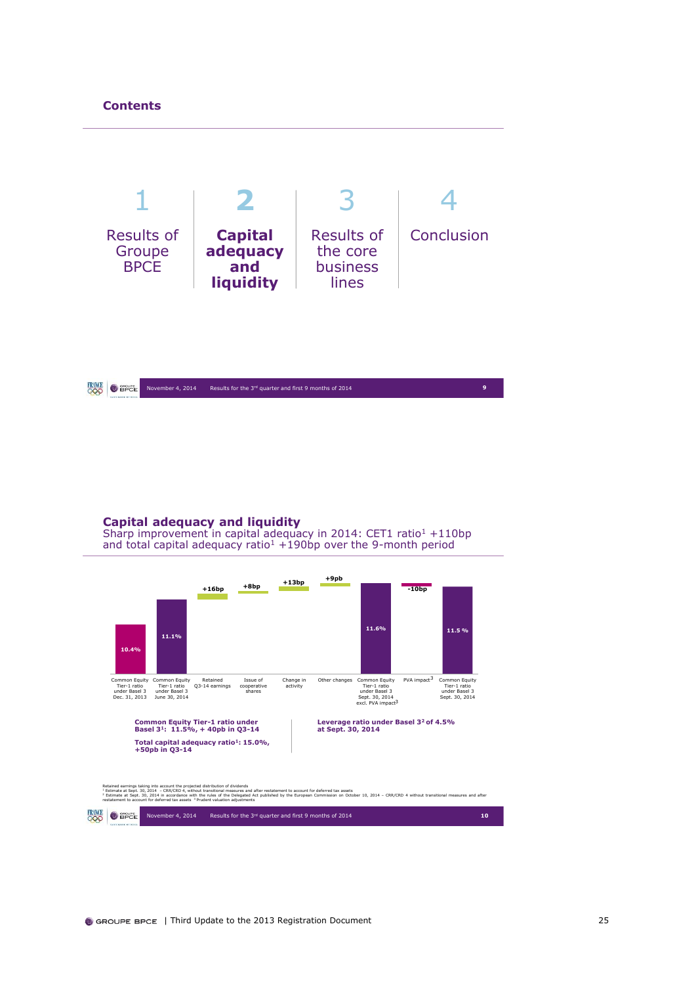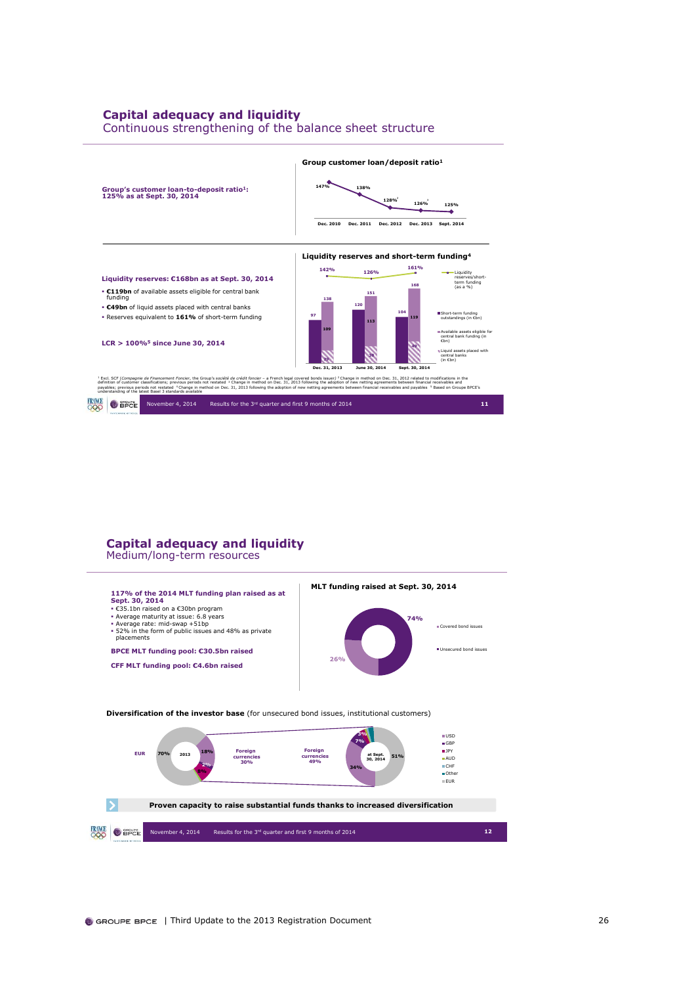## **Capital adequacy and liquidity**

Continuous strengthening of the balance sheet structure



## **Capital adequacy and liquidity**

Medium/long-term resources

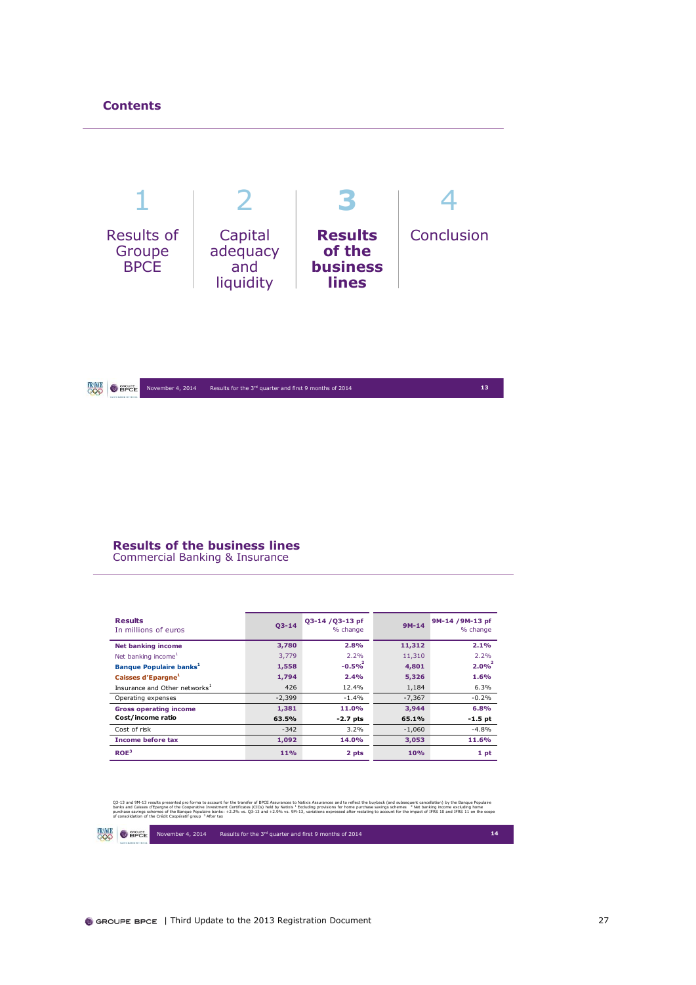

### **RINCE** O BPCE November 4, 2014 Results for the 3rd quarter and first 9 months of 2014 **13**

### **Results of the business lines**

Commercial Banking & Insurance

| <b>Results</b><br>In millions of euros    | $03 - 14$ | Q3-14 /Q3-13 pf<br>% change | $9M-14$  | 9M-14 /9M-13 pf<br>% change |
|-------------------------------------------|-----------|-----------------------------|----------|-----------------------------|
| <b>Net banking income</b>                 | 3,780     | 2.8%                        | 11,312   | 2.1%                        |
| Net banking income <sup>1</sup>           | 3.779     | 2.2%                        | 11,310   | 2.2%                        |
| Banque Populaire banks <sup>1</sup>       | 1,558     | $-0.5%$                     | 4,801    | 2.0%                        |
| Caisses d'Epargne <sup>1</sup>            | 1,794     | 2.4%                        | 5,326    | 1.6%                        |
| Insurance and Other networks <sup>1</sup> | 426       | 12.4%                       | 1,184    | 6.3%                        |
| Operating expenses                        | $-2,399$  | $-1.4%$                     | $-7,367$ | $-0.2%$                     |
| <b>Gross operating income</b>             | 1,381     | 11.0%                       | 3,944    | 6.8%                        |
| Cost/income ratio                         | 63.5%     | $-2.7$ pts                  | 65.1%    | $-1.5$ pt                   |
| Cost of risk                              | $-342$    | 3.2%                        | $-1,060$ | $-4.8%$                     |
| <b>Income before tax</b>                  | 1,092     | 14.0%                       | 3,053    | 11.6%                       |
| ROE <sup>3</sup>                          | 11%       | 2 pts                       | 10%      | 1 pt                        |

Q3-13 and 9M-13 results presented pro forma to account for the transfer d'BiCS assumed and the memory of the memory of the memory of the memory of the memory of the memory of the memory of the memory of the memory of the

**FRAME O** SPEE November 4, 2014 Results for the 3rd quarter and first 9 months of 2014 **14**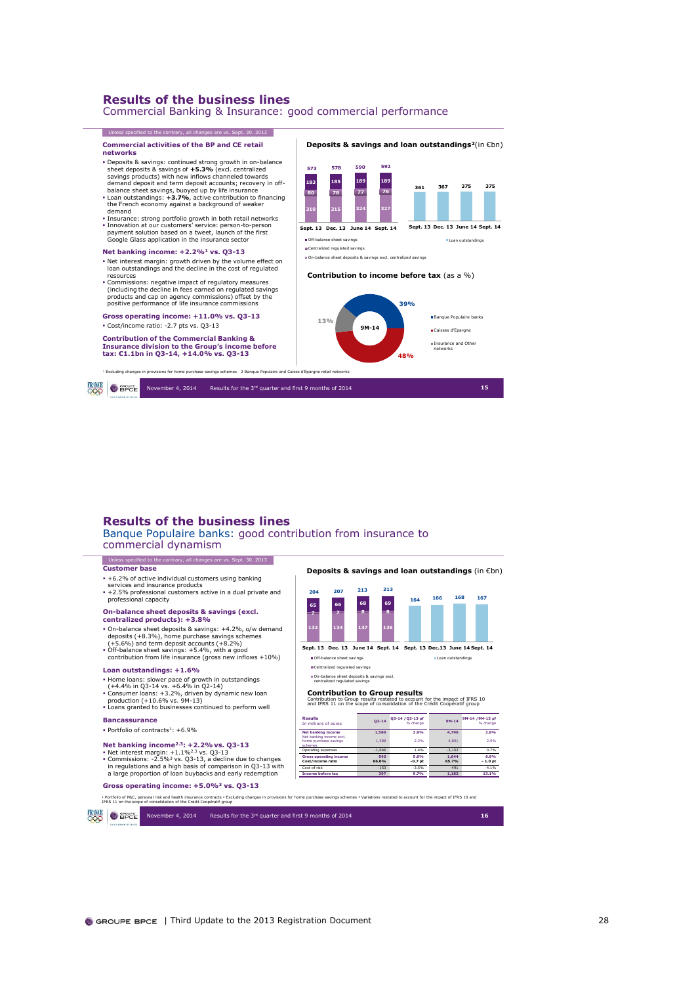Commercial Banking & Insurance: good commercial performance



### **Results of the business lines**

Banque Populaire banks: good contribution from insurance to commercial dynamism

### Unless specified to the contrary, all changes are vs. Sept. 30. 2013 **Customer base**

- +6.2% of active individual customers using banking
- services and insurance products
- professional capacity

- **On-balance sheet deposits & savings (excl. centralized products): +3.8%**
- 
- 
- 
- 
- On-balance sheet deposits & savings: +4.2%, o/w demand<br>deposits (+8.3%), home purchase savings schemes<br>(+5.6%) and term deposit accounts (+8.2%)<br>• Off-balance sheet savings: +5.4%, with a good<br>contribution from life ins

### **Loan outstandings: +1.6%**

- 
- 
- Home loans: slower pace of growth in outstandings<br>(+4.4% in Q3-14 vs. +6.4% in Q2-14)<br>Consumer loans: +3.2%, driven by dynamic new loan<br>production (+10.6% vs. 9M-13)<br>Poduction (+10.6% vs. 9M-13)<br>- Loans granted to business
- **Bancassurance**

### Portfolio of contracts<sup>1</sup>:  $+6.9%$

- 
- Net banking income<sup>2.3</sup>: +2.2% vs. Q3-13<br>• Net interest margin: +1.1%<sup>23</sup> vs. Q3-13<br>• Commissions: -2.5%<sup>3</sup> vs. Q3-13, a decline due to changes<br>in regulations and a high basis of comparison in Q3-13 with<br>a large proportion

### **Gross operating income: +5.0%<sup>3</sup> vs. Q3-13**

<sup>1</sup> Portfolio of P&C, personal risk and health insurance contracts <sup>2</sup> Excluding changes in provisions for home purchase savings schemes <sup>3</sup> Variations restated to account for the impact of IFRS 10 and<br>IFRS 11 on the scope ial risk and health insurance contracts <sup>2</sup> Excluding changes in prov<br>consolidation of the Crédit Coopératif group

**RANCE** O BPCE November 4, 2014 Results for the 3rd quarter and first 9 months of 2014 **16**

### +2.5% professional customers active in a dual private and **<sup>204</sup> <sup>207</sup> <sup>213</sup> <sup>213</sup>**

**132 134 137 136 7 7 8 8 65 66 68 69**

**Deposits & savings and loan outstandings** (in €bn)

**Sept. 13 Dec.13 June 14 Sept. 14 Sept. 13 Dec. 13 June 14 Sept. 14**

Loan outstandings

Off-balance sheet savings

Centralized regulated savings

### On-balance sheet deposits & savings excl. centralized regulated savings

**Contribution to Group results**<br>Contribution to Group results restated to account for the impact of IFRS 10<br>and IFRS 11 on the scope of consolidation of the Crédit Coopératif group

| Results<br>In millions of euros                       | $O3 - 14$    | 03-14 / 03-13 pf<br>% change | $9M-14$        | 9M-14 /9M-13 pf<br>% change |
|-------------------------------------------------------|--------------|------------------------------|----------------|-----------------------------|
| <b>Net banking income</b><br>Net banking income excl. | 1.586        | 2.6%                         | 4,796          | 2.8%                        |
| home purchase savings<br>schemes                      | 1.588        | 2.2%                         | 4.801          | 2.9%                        |
| Operating expenses                                    | $-1.046$     | 1.4%                         | $-3.152$       | 0.7%                        |
| <b>Gross operating income</b><br>Cost/income ratio    | 540<br>66.0% | 5.0%<br>$-0.7$ pt            | 1.644<br>65.7% | 6.9%<br>$-1.0$ pt           |
| Cost of risk                                          | $-153$       | $-3.5%$                      | $-491$         | $-4.1%$                     |
| <b>Income before tax</b>                              | 397          | 9.7%                         | 1.182          | 13.1%                       |

**<sup>164</sup> <sup>166</sup> <sup>168</sup> <sup>167</sup>**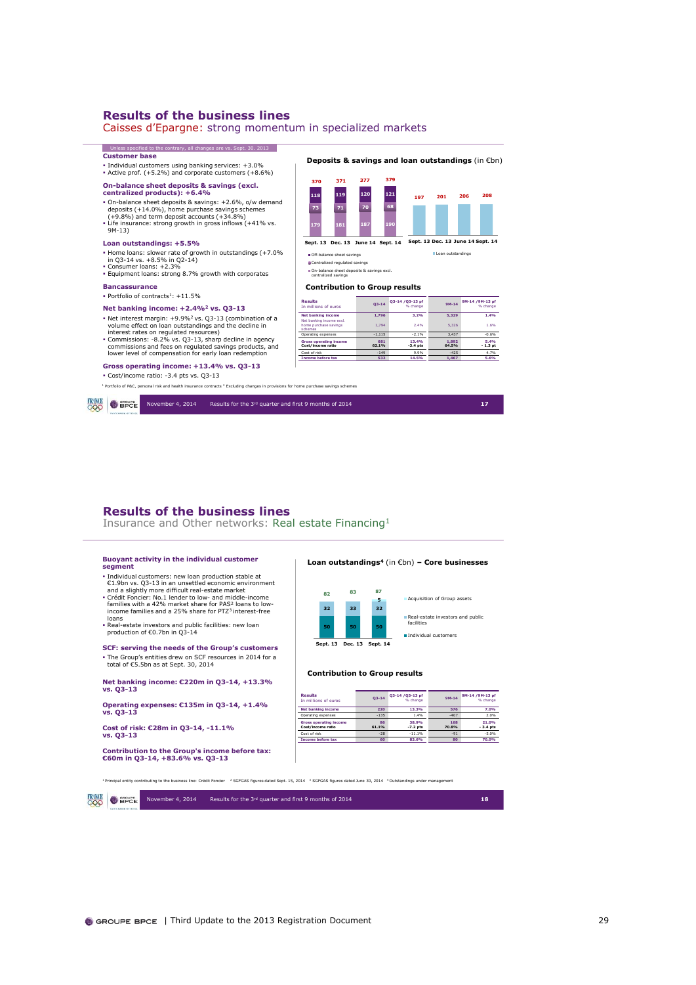trary, all changes are vs. Sept. 30. 2013

Caisses d'Epargne: strong momentum in specialized markets

### **Customer base**

Individual customers using banking services: +3.0% Active prof. (+5.2%) and corporate customers (+8.6%)

### **On-balance sheet deposits & savings (excl.**

### **centralized products): +6.4%**

- On-balance sheet deposits & savings: +2.6%, o/w demand deposits (+14.0%), home purchase savings schemes (+9.8%) and term deposit accounts (+34.8%)<br>(+9.8%) and term deposit accounts (+34.8%)<br>• Life insurance: strong growt
- 

### **Loan outstandings: +5.5%**

- Home loans: slower rate of growth in outstandings (+7.0% in Q3-14 vs. +8.5% in Q2-14) Consumer loans: +2.3%
- Equipment loans: strong 8.7% growth with corporates

### **Bancassurance**

**FRINCE O** SPCE

 $\bullet$  Portfolio of contracts<sup>1</sup>: +11.5%

### **Net banking income: +2.4%<sup>2</sup> vs. Q3-13**

Net interest margin: +9.9%<sup>2</sup>vs. Q3-13 (combination of a volume effect on loan outstandings and the decline in

# interest rates on regulated resources) Commissions: -8.2% vs. Q3-13, sharp decline in agency commissions and fees on regulated savings products, and lower level of compensation for early loan redemption

### **Gross operating income: +13.4% vs. Q3-13**

Cost/income ratio: -3.4 pts vs. Q3-13

<sup>1</sup> Portfolio of P&C, personal risk and health insurance contracts <sup>2</sup> Excluding changes in provisions for home purchase savings schemes



 **181 187 190 73 71 70 68 119 120 121 371 377 379**

**Sept. 13 Dec. 13 June 14 Sept. 14** Off-balance sheet savings

| schemes                                            |              |                     |                |                   |
|----------------------------------------------------|--------------|---------------------|----------------|-------------------|
| Operating expenses                                 | $-1.115$     | $-2.1%$             | 3.437          | $-0.6%$           |
| <b>Gross operating income</b><br>Cost/income ratio | 681<br>62.1% | 13.4%<br>$-3.4$ pts | 1.892<br>64.5% | 5.4%<br>$-1.3$ pt |
| Cost of risk                                       | $-149$       | 9.9%                | $-425$         | 4.7%              |
| <b>Income before tax</b>                           | 532          | 14.5%               | 1.467          | 5.6%              |

**Deposits & savings and loan outstandings** (in €bn)

**<sup>197</sup> <sup>201</sup> <sup>206</sup> <sup>208</sup>**

**Sept. 13 Dec. 13 June 14 Sept. 14** Loan outstandings

November 4, 2014 Results for the 3rd quarter and first 9 months of 2014 **17**

### **Results of the business lines**

Insurance and Other networks: Real estate Financing<sup>1</sup>

### **Buoyant activity in the individual customer segment**

- **Findividual customers:** new loan production stable at  $C.1.9b$ n vs. Q3-13 in an unsettled economic environment and a slightly more difficult real-estate market  $C$  cédit Foncier: No.1 lender to low- and middle-income fam
- 
- 
- loans
- Real-estate investors and public facilities: new loan production of €0.7bn in Q3-14

### **SCF: serving the needs of the Group's customers** The Group's entities drew on SCF resources in 2014 for a total of €5.5bn as at Sept. 30, 2014

**Net banking income: €220m in Q3-14, +13.3%** 

**vs. Q3-13** 

**Operating expenses: €135m in Q3-14, +1.4% vs. Q3-13**

**Cost of risk: €28m in Q3-14, -11.1% vs. Q3-13**

**Contribution to the Group's income before tax: €60m in Q3-14, +83.6% vs. Q3-13**

| Loan outstandings <sup>4</sup> (in $\varepsilon$ bn) – Core businesses |  |  |
|------------------------------------------------------------------------|--|--|
|                                                                        |  |  |



### **Contribution to Group results**

| Results<br>In millions of eums                     | $O3 - 14$   | Q3-14 /Q3-13 pf<br>% change | $9M-14$             | 9M-14 /9M-13 pf<br>% change |
|----------------------------------------------------|-------------|-----------------------------|---------------------|-----------------------------|
| <b>Net banking income</b>                          | 220         | 13.3%                       | 576                 | 7.0%                        |
| Operating expenses                                 | $-135$      | 1.4%                        | $-407$              | 2.0%                        |
| <b>Gross operating income</b><br>Cost/income ratio | 86<br>61.1% | 38.9%<br>$-7.2$ pts         | 168<br><b>70.8%</b> | 21.0%<br>$-3.4$ pts         |
| Cost of risk                                       | $-28$       | $-11.1%$                    | $-91$               | $-5.0%$                     |
| <b>Income before tax</b>                           | 60          | 83.6%                       | 80                  | 70.0%                       |

<sup>1</sup>Principal entity contributing to the business line: Crédit Foncier <sup>2</sup> SGFGAS figures dated Sept. 15, 2014 <sup>3</sup>SGFGAS figures dated June 30, 2014 <sup>4</sup>Outstandings under management

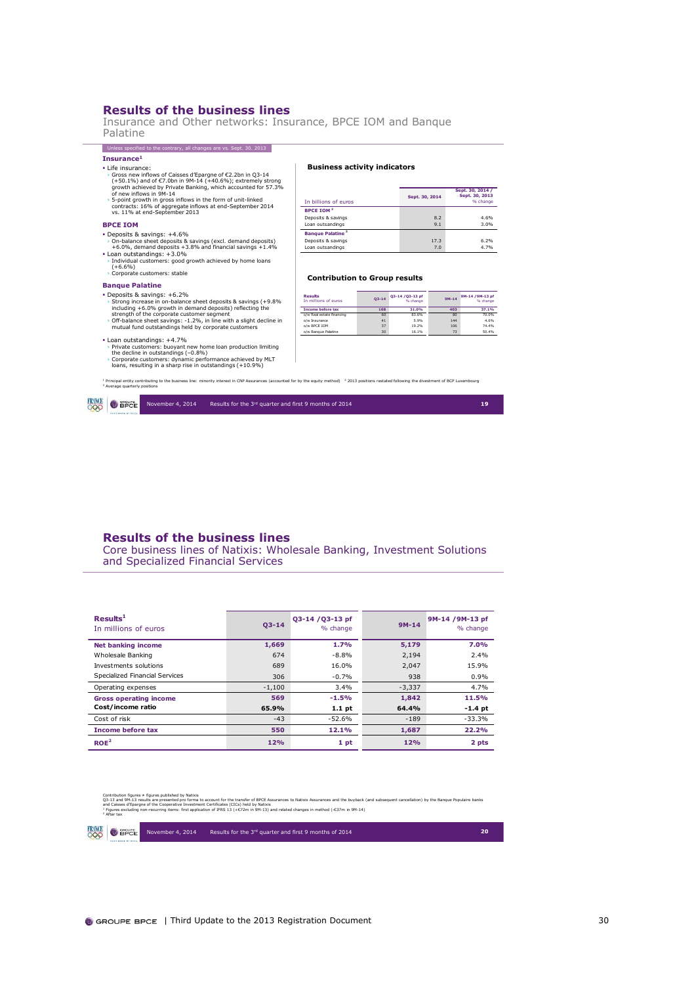Insurance and Other networks: Insurance, BPCE IOM and Banque Palatine

### **Insurance<sup>1</sup>** Unless specified to the contrary, all changes are vs. Sept. 30. 2013

- Life insurance:
- Gross new influovs of Caisses d'Epargne of C2.2bn in Q3-14<br>(+50.1%) and of C7.0bn in 9M-14 (+40.6%); extremely strong<br>growth achieved by Private Banking, which accounted for 57.3%<br>of new influovs in 9M-14<br>5-point growth i
- 
- 

### **BPCE IOM**

- 
- Deposits & savings:  $+4.6\%$ <br>  $+0.0\%$ , demand deposits & savings (excl. demand deposits)<br>  $+6.0\%$ , demand deposits  $+3.8\%$  and financial savings  $+1.4\%$ <br>
 Loan outstandings:  $+3.0\%$ <br>  $\cdot$  Individual customers: goo

### **Banque Palatine**

- Deposits & savings: +6.2%<br>
→ Strong increase in on-balance sheet deposits & savings (+9.8%<br>
including +6.0% growth in demand deposits) reflecting the<br>
strength of the corporate customer segment<br>
→ Off-balance sheet savi
- Loan outstandings: +4.7%
- › Private customers: buoyant new home loan production limiting the decline in outstandings (–0.8%) › Corporate customers: dynamic performance achieved by MLT loans, resulting in a sharp rise in outstandings (+10.9%)

### **Business activity indicators**

| In billions of euros               | Sept. 30, 2014 | Sept. 30, 2014 /<br>Sept. 30, 2013<br>% change |
|------------------------------------|----------------|------------------------------------------------|
| <b>BPCE TOM<sup>2</sup></b>        |                |                                                |
| Deposits & savings                 | 8.2            | 4.6%                                           |
| Loan outsandings                   | 9.1            | 3.0%                                           |
| <b>Bangue Palatine<sup>3</sup></b> |                |                                                |
| Deposits & savings                 | 17.3           | 6.2%                                           |
| Loan outsandings                   | 7.0            | 4.7%                                           |

### **Contribution to Group results**

| <b>Results</b><br>In millions of euros | $O3 - 14$ | Q3-14 / Q3-13 pf<br>% change | $9M-14$ | 9M-14 / 9M-13 pf<br>% change |
|----------------------------------------|-----------|------------------------------|---------|------------------------------|
| <b>Income before tax</b>               | 168       | 31.0%                        | 403     | 37.1%                        |
| o/w Real estate financing              | 60        | 83.6%                        | 80      | 70.0%                        |
| o/w Insurance                          | 41        | 5.9%                         | 144     | 4.6%                         |
| o/w BPCE IOM                           | 37        | 19.2%                        | 106     | 74.4%                        |
| o/w Bangue Palatine                    | 30        | 16.1%                        | 73      | 50.4%                        |

<sup>1</sup> Principal entity contributing to the business line: minority interest in CNP Assurances (accounted for by the equity method) <sup>-3</sup> 2013 positions restated following the divestment of BCP Luxembourg<br><sup>3</sup> Average quarterly



### **Results of the business lines**

Core business lines of Natixis: Wholesale Banking, Investment Solutions and Specialized Financial Services

| Results <sup>1</sup><br>In millions of euros | $03 - 14$ | 03-14 / 03-13 pf<br>% change | $9M-14$  | 9M-14 / 9M-13 pf<br>% change |
|----------------------------------------------|-----------|------------------------------|----------|------------------------------|
| <b>Net banking income</b>                    | 1,669     | 1.7%                         | 5,179    | 7.0%                         |
| Wholesale Banking                            | 674       | $-8.8%$                      | 2,194    | 2.4%                         |
| Investments solutions                        | 689       | 16.0%                        | 2,047    | 15.9%                        |
| Specialized Financial Services               | 306       | $-0.7%$                      | 938      | 0.9%                         |
| Operating expenses                           | $-1,100$  | $3.4\%$                      | $-3.337$ | 4.7%                         |
| <b>Gross operating income</b>                | 569       | $-1.5%$                      | 1,842    | 11.5%                        |
| Cost/income ratio                            | 65.9%     | $1.1$ pt                     | 64.4%    | $-1.4$ pt                    |
| Cost of risk                                 | $-43$     | $-52.6%$                     | $-189$   | $-33.3%$                     |
| <b>Income before tax</b>                     | 550       | 12.1%                        | 1,687    | 22.2%                        |
| ROE <sup>2</sup>                             | 12%       | 1 pt                         | 12%      | 2 pts                        |

|               | 2 After tax                 | Contribution flgures # flgures published by Natixis | O3-13 and 9M-13 results are presented pro forma to account for the transfer of BPCE Assurances to Natixis Assurances and the buyback (and subsequent cancellation) by the Banque Populaire banks<br>and Caisses d'Epargne of the Cooperative Investment Certificates (CICs) held by Natixis<br><sup>1</sup> Floures excluding non-recurring items: first application of IFRS 13 (+€72m in 9M-13) and related changes in method (-€37m in 9M-14) |    |
|---------------|-----------------------------|-----------------------------------------------------|-------------------------------------------------------------------------------------------------------------------------------------------------------------------------------------------------------------------------------------------------------------------------------------------------------------------------------------------------------------------------------------------------------------------------------------------------|----|
| <b>FRANCE</b> | $\bullet$ applied $\bullet$ | November 4, 2014                                    | Results for the 3rd quarter and first 9 months of 2014                                                                                                                                                                                                                                                                                                                                                                                          | 20 |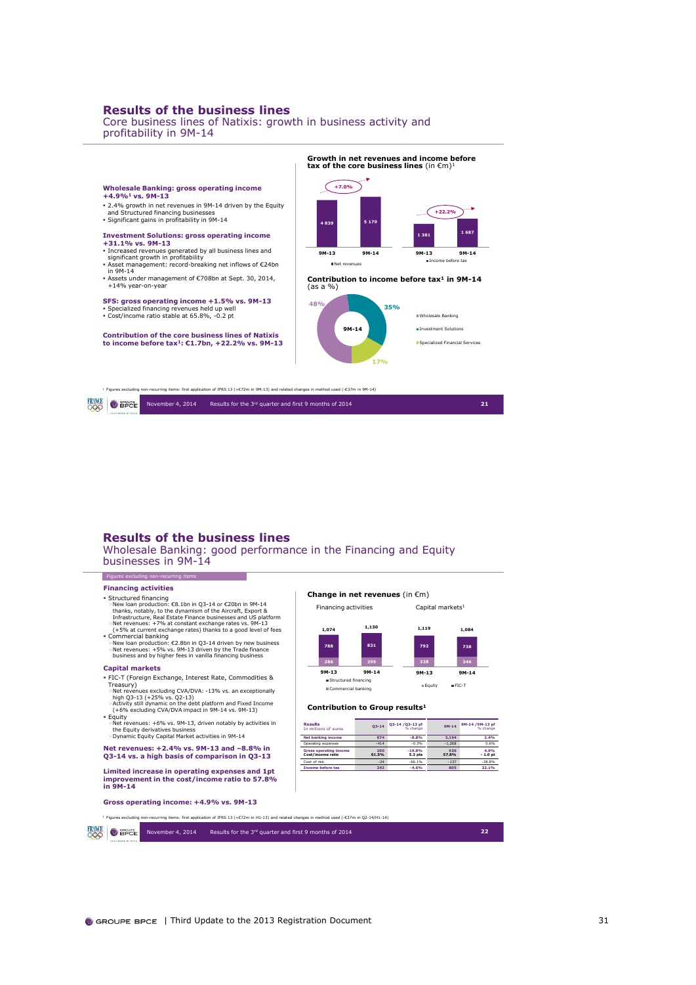Core business lines of Natixis: growth in business activity and profitability in 9M-14



### **Results of the business lines**

Wholesale Banking: good performance in the Financing and Equity businesses in 9M-14

> **286 299 788 831 1,074 1,130**

**Change in net revenues** (in €m)

Financing activities **Capital markets**<sup>1</sup>

**Results**<br> **Q3-14 \text{ Q3-14 /Q3-13 pf**<br> **Dimensions of euros Q3-14 \text{ Q3-14 \text{ Q3-13 pf**<br> **Dimensions of euros Q3-14 \text{ Q3-14 \text{ Q3-13 pf Net banking income 674 -8.8% 2,194 2.4%** Operating expenses -414 -0.3% -0.3% -1,268 0.6% **Gross operating income 260 19.8% 926 4.9% Cost/income ratio 61.5% 5.3 ots 57.8% 1.0 of Cost/income ratio 61.5% 5.3 pts 57.8% - 1.0 pt** Cost of risk -24 -66.1% -137 -38.8% **Income before tax 242 -4.6% 805 22.1%**

**Q3-14** / **Q3-14** / **Q3-13** pf

**328 346**

**792 738 1,119 1,084**

**9M-13 9M-14** Equity FIC-T

**9M-13 9M-14 B** Structured financing Commercial banking

**Contribution to Group results<sup>1</sup>**

### **Financing activities**

Figures excluding it

- Fuructured financing<br>  $\sim$  Structured financing<br>  $\sim$  New loan production: C8.1bn in Q3-14 or C20bn in 9M-14<br>
thanks, notably, to the dynamism of the Aircraft, Export &<br>
Infrastructure, Real Estate Finance businesses and
- 

### **Capital markets**

- FIC-T (Foreign Exchange, Interest Rate, Commodities & Treasury) >Net revenues excluding CVA/DVA: -13% vs. an exceptionally
- high Q3-13 (+25% vs. Q2-13) >Activity still dynamic on the debt platform and Fixed Income (+6% excluding CVA/DVA impact in 9M-14 vs. 9M-13)
- $\overline{E}$ Fquity >Net revenues: +6% vs. 9M-13, driven notably by activities in the Equity derivatives business >Dynamic Equity Capital Market activities in 9M-14

## **Net revenues: +2.4% vs. 9M-13 and –8.8% in Q3-14 vs. a high basis of comparison in Q3-13**

**Limited increase in operating expenses and 1pt improvement in the cost/income ratio to 57.8% in 9M-14**

**Gross operating income: +4.9% vs. 9M-13**

<sup>1</sup> Figures excluding non-recurring items: first application of IFRS 13 (+€72m in H1-13) and related changes in method used (-€37m in Q2-14/H1-14)

**FRINCE** OBPCE November 4, 2014 Results for the 3rd quarter and first 9 months of 2014 **22**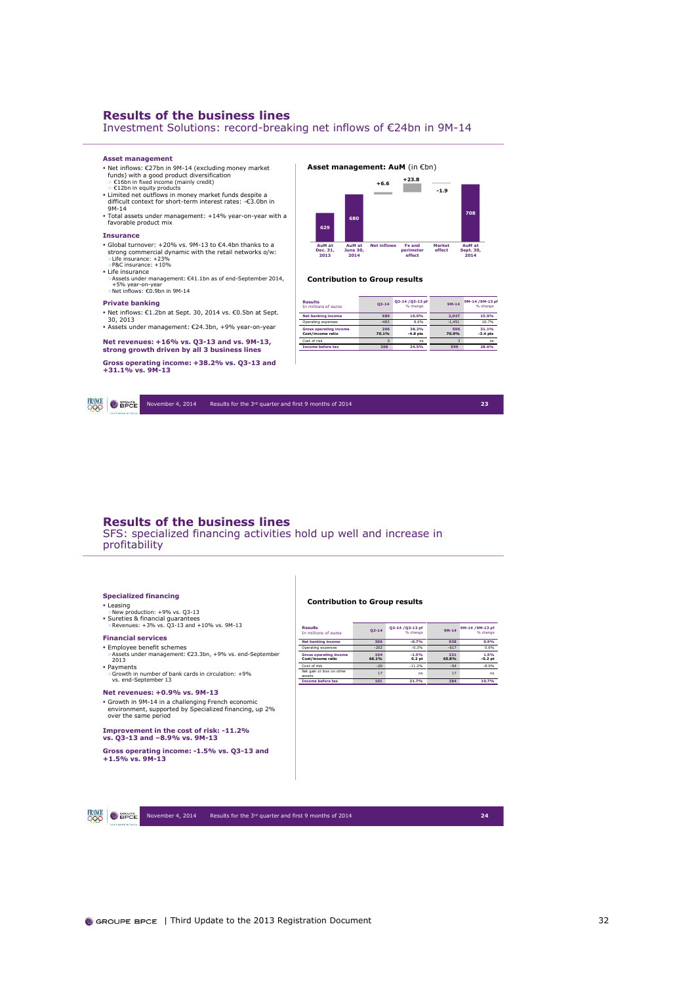Investment Solutions: record-breaking net inflows of €24bn in 9M-14

### **Asset management**

- Net inflows: €27bn in 9M-14 (excluding money market funds) with a good product diversification > €16bn in fixed income (mainly credit) > €12bn in equity products
- 
- Limited net outflows in money market funds despite a difficult context for short-term interest rates: -€3.0bn in 9M-14
- Total assets under management: +14% year-on-year with a favorable product mix

### **Insurance**

- 
- 
- 
- 
- Global turnover: +20% vs. 9M-13 to €4.4bn thanks to a<br>strong commercial dynamic with the retail networks o/w:<br>>E(fe insurance: +23%<br>+B&C insurance: +10%<br>+ Life insurance<br>+ A5sets under management: €41.1bn as of end-Se

### **Private banking**

- Net inflows: €1.2bn at Sept. 30, 2014 vs. €0.5bn at Sept. 30, 2013
- Assets under management: €24.3bn, +9% year-on-year

### **Net revenues: +16% vs. Q3-13 and vs. 9M-13,**

### **strong growth driven by all 3 business lines Gross operating income: +38.2% vs. Q3-13 and +31.1% vs. 9M-13**

### **629 680 680 687 708 708 -1.9 +6.6**

**Net inflows Fx and perimeter effect**

**+23.8**

**Market effect**

**AuM at Sept. 30, 2014**

**Asset management: AuM** (in €bn)

### **Contribution to Group results**

**AuM at June 30, 2014**

**AuM at Dec. 31, 2013**

| Results<br>In millions of euros                    | $O3 - 14$    | 03-14 /03-13 pf<br>% change | $9M-14$      | 9M-14 /9M-13 pf<br>% change |
|----------------------------------------------------|--------------|-----------------------------|--------------|-----------------------------|
| <b>Net banking income</b>                          | 689          | 16.0%                       | 2.047        | 15.9%                       |
| Operating expenses                                 | $-483$       | 8.6%                        | $-1.451$     | 10.7%                       |
| <b>Gross operating income</b><br>Cost/income ratio | 206<br>70.1% | 38.2%<br>$-4.8$ pts         | 596<br>70.9% | 31.1%<br>$-3.4$ pts         |
| Cost of risk                                       | n            | ns                          | R            | ns                          |
| <b>Income before tax</b>                           | 206          | 34.5%                       | 599          | 28.6%                       |

**FRANCE O** SPOE November 4, 2014 Results for the 3rd quarter and first 9 months of 2014 **23**

### **Results of the business lines**

SFS: specialized financing activities hold up well and increase in profitability

### **Specialized financing**

- 
- Leasing >New production: +9% vs. Q3-13
- Sureties & financial guarantees >Revenues: +3% vs. Q3-13 and +10% vs. 9M-13

### **Financial services**

# Employee benefit schemes >Assets under management: €23.3bn, +9% vs. end-September 2013

Payments >Growth in number of bank cards in circulation: +9% vs. end-September 13

### **Net revenues: +0.9% vs. 9M-13**

Growth in 9M-14 in a challenging French economic environment, supported by Specialized financing, up 2% over the same period

### **Improvement in the cost of risk: -11.2% vs. Q3-13 and –8.9% vs. 9M-13**

**Gross operating income: -1.5% vs. Q3-13 and +1.5% vs. 9M-13**

| <b>Contribution to Group results</b> |  |  |  |
|--------------------------------------|--|--|--|
|--------------------------------------|--|--|--|

| <b>Results</b><br>In millions of euros             | $O3 - 14$    | 03-14 / 03-13 pf<br>% change | $9M - 14$    | 9M-14 /9M-13 pf<br>% change |
|----------------------------------------------------|--------------|------------------------------|--------------|-----------------------------|
| <b>Net banking income</b>                          | 306          | $-0.7%$                      | 938          | 0.9%                        |
| Operating expenses                                 | $-202$       | $-0.3%$                      | $-617$       | 0.6%                        |
| <b>Gross operating income</b><br>Cost/income ratio | 104<br>66.1% | $-1.5%$<br>0.2 <sub>pt</sub> | 321<br>65.8% | 1.5%<br>$-0.2$ pt           |
| Cost of risk                                       | $-20$        | $-11.2%$                     | $-54$        | $-8.9%$                     |
| Net gain or loss on other<br>assets                | 17           | ns                           | 17           | ns                          |
| <b>Income before tax</b>                           | 101          | 21.7%                        | 284          | 10.7%                       |



November 4, 2014 Results for the 3rd quarter and first 9 months of 2014 **24**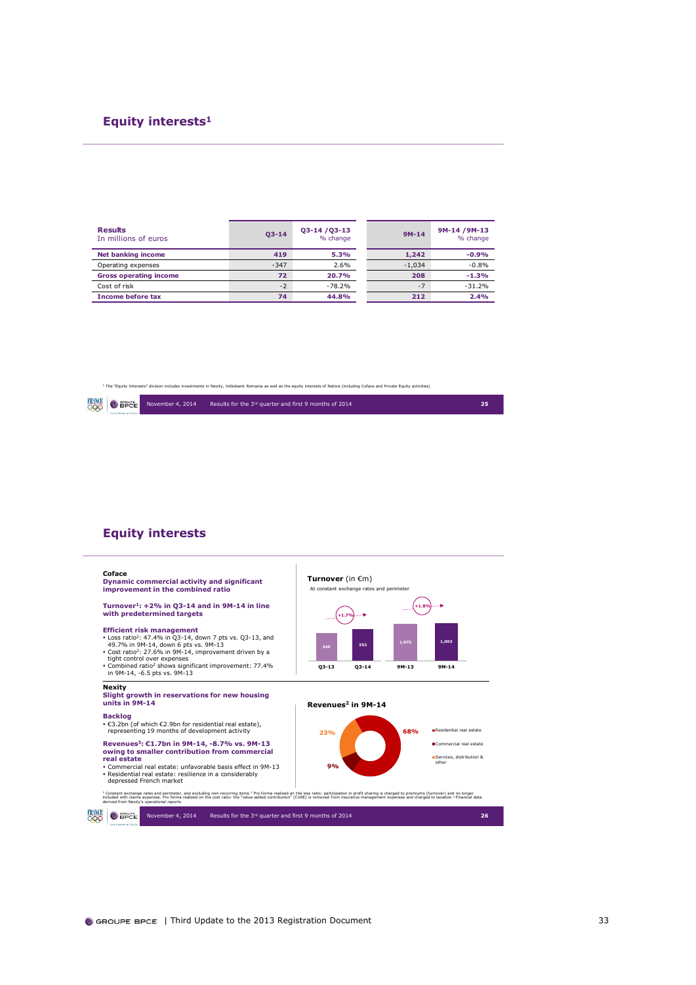### **Equity interests<sup>1</sup>**

| <b>Results</b><br>In millions of euros | $03 - 14$ | 03-14/03-13<br>% change | $9M-14$  | 9M-14 / 9M-13<br>% change |
|----------------------------------------|-----------|-------------------------|----------|---------------------------|
| <b>Net banking income</b>              | 419       | 5.3%                    | 1,242    | $-0.9%$                   |
| Operating expenses                     | $-347$    | 2.6%                    | $-1.034$ | $-0.8%$                   |
| <b>Gross operating income</b>          | 72        | 20.7%                   | 208      | $-1.3%$                   |
| Cost of risk                           | $-2$      | $-78.2%$                | $-7$     | $-31.2%$                  |
| <b>Income before tax</b>               | 74        | 44.8%                   | 212      | 2.4%                      |

<sup>1</sup> The "Equity Interests" division includes investments in Nexity, Volksbank Romania as well as the equity interests of Natixis (including Coface and Private Equity activities)



### **Equity interests**

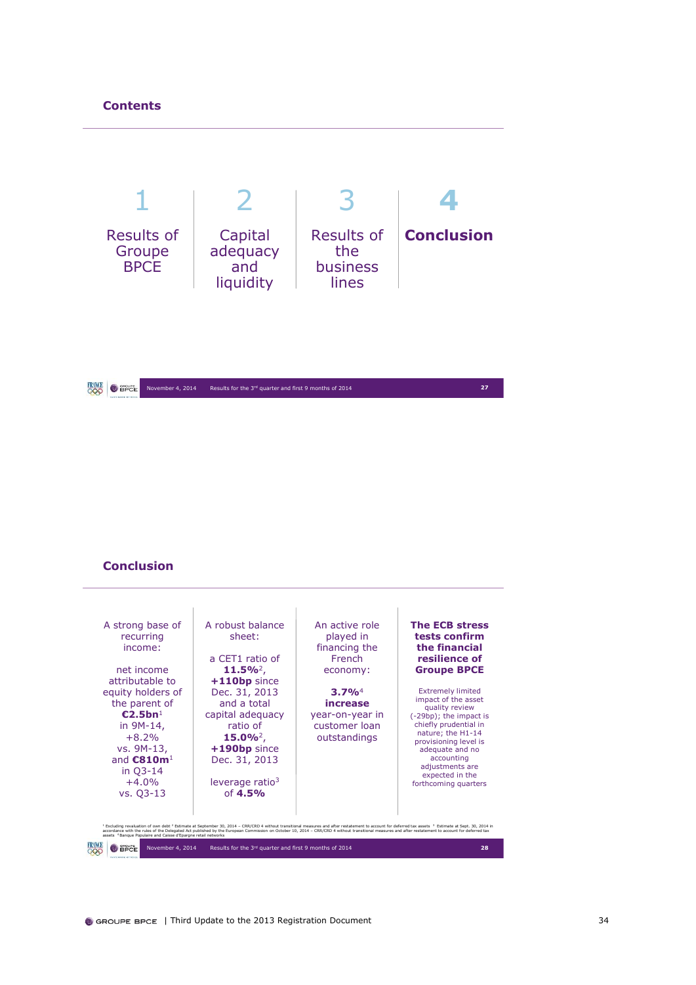

### **Conclusion**

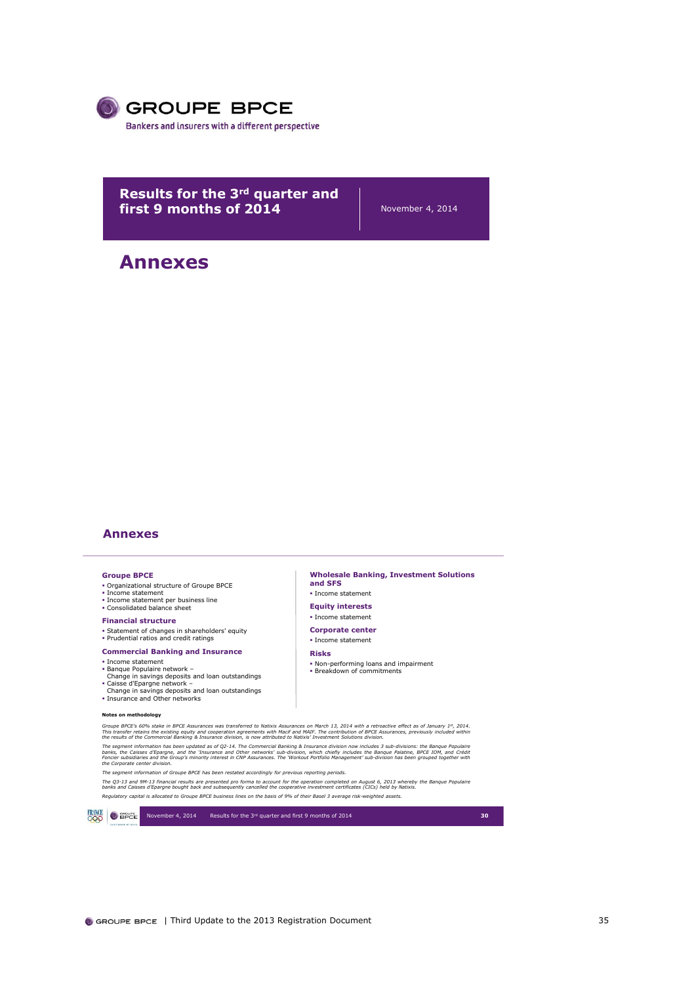

**Results for the 3rd quarter and first 9 months of 2014** November 4, 2014

## **Annexes**

### **Annexes**

### **Groupe BPCE**

- Organizational structure of Groupe BPCE
- 
- Income statement Income statement per business line Consolidated balance sheet
- **Financial structure**
- Statement of changes in shareholders' equity
- Prudential ratios and credit ratings
- **Commercial Banking and Insurance**
- **· Income statement**
- 
- Banque Populaire network Change in savings deposits and loan outstandings Caisse d'Epargne network –
- 
- Change in savings deposits and loan outstandings Insurance and Other networks

### **Notes on methodology**

**Notes on methodology**<br>Groupe BPCE's 60% stake in BPCE Assurances was transferred to Natixis Assurances on March 13, 2014 with a retroactive effect as of January 1", 2014.<br>This transfer retains the existing equity and coop

The segment information has been updated as of Q2-14. The Commercial Banking & Insurance division ow includes 3 sub-divisions: the Banque Populaire<br>banks, the Caisses d'Epargne, and the 'Insurance and Other networks' sub-d

*The segment information of Groupe BPCE has been restated accordingly for previous reporting periods.*

ик согроные сенен атяжи.<br>The segment information of Groupe BPCE has been restated accordingly for previous reporting periods.<br>The 93-13 and 9M-13 financial results are presented pro forma to account for the operation comp Requlatory capital is allocated to Groupe BPCE business lines on the basis of 9% of their Basel 3 average risk-weighted assets.



**Wholesale Banking, Investment Solutions and SFS** Income statement

- **Equity interests**
- **· Income statement**
- **Corporate center · Income statement**
- **Risks**
- Non-performing loans and impairment **Breakdown of commitments**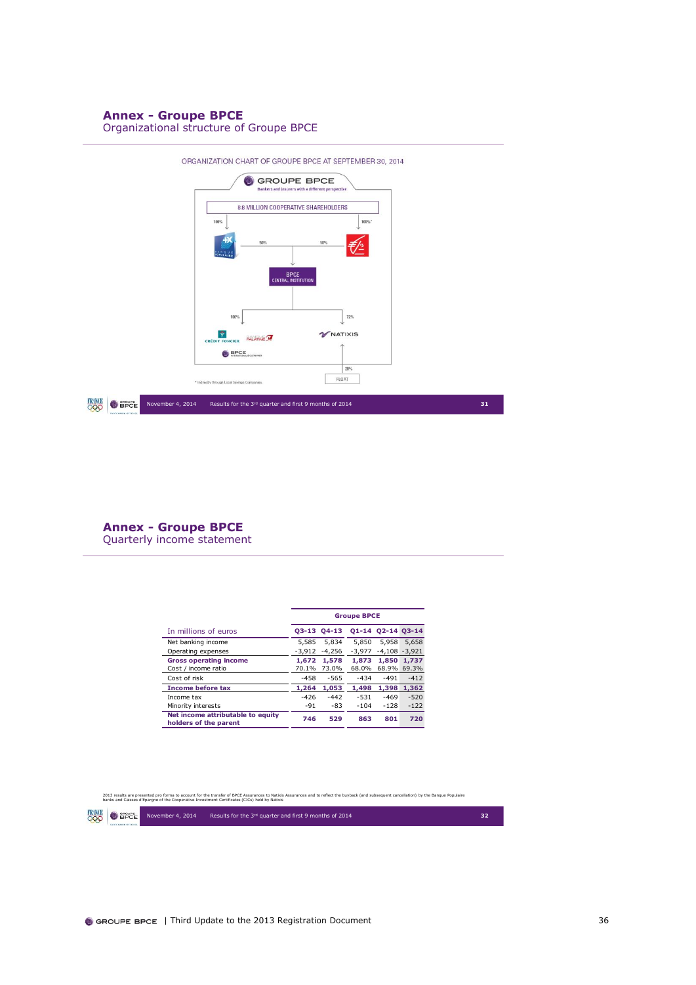### **Annex - Groupe BPCE**

Organizational structure of Groupe BPCE



**Annex - Groupe BPCE** Quarterly income statement

|                                                            | <b>Groupe BPCE</b> |             |          |                   |                  |  |
|------------------------------------------------------------|--------------------|-------------|----------|-------------------|------------------|--|
| In millions of euros                                       |                    | 03-13 04-13 |          | 01-14 02-14 03-14 |                  |  |
| Net banking income                                         | 5.585              | 5.834       | 5.850    | 5.958             | 5.658            |  |
| Operating expenses                                         | $-3.912$           | $-4.256$    | $-3.977$ |                   | $-4.108 - 3.921$ |  |
| <b>Gross operating income</b>                              | 1,672              | 1,578       | 1,873    | 1,850             | 1,737            |  |
| Cost / income ratio                                        | 70.1%              | 73.0%       | 68.0%    |                   | 68.9% 69.3%      |  |
| Cost of risk                                               | $-458$             | $-565$      | $-434$   | $-491$            | $-412$           |  |
| <b>Income before tax</b>                                   | 1,264              | 1.053       | 1,498    | 1,398             | 1,362            |  |
| Income tax                                                 | $-426$             | $-442$      | $-531$   | $-469$            | $-520$           |  |
| Minority interests                                         | $-91$              | $-83$       | $-104$   | $-128$            | $-122$           |  |
| Net income attributable to equity<br>holders of the parent | 746                | 529         | 863      | 801               | 720              |  |

2013 results are presented pro forma to account for the transfer of BPCE Assurances Motkix Assurances and to reflect the buyback (and subsequent cancellation) by the Banque Populaire<br>banks and Caisses d'Epargne of the Coop

**FRAMCE O** SPEE

November 4, 2014 Results for the 3rd quarter and first 9 months of 2014 **32**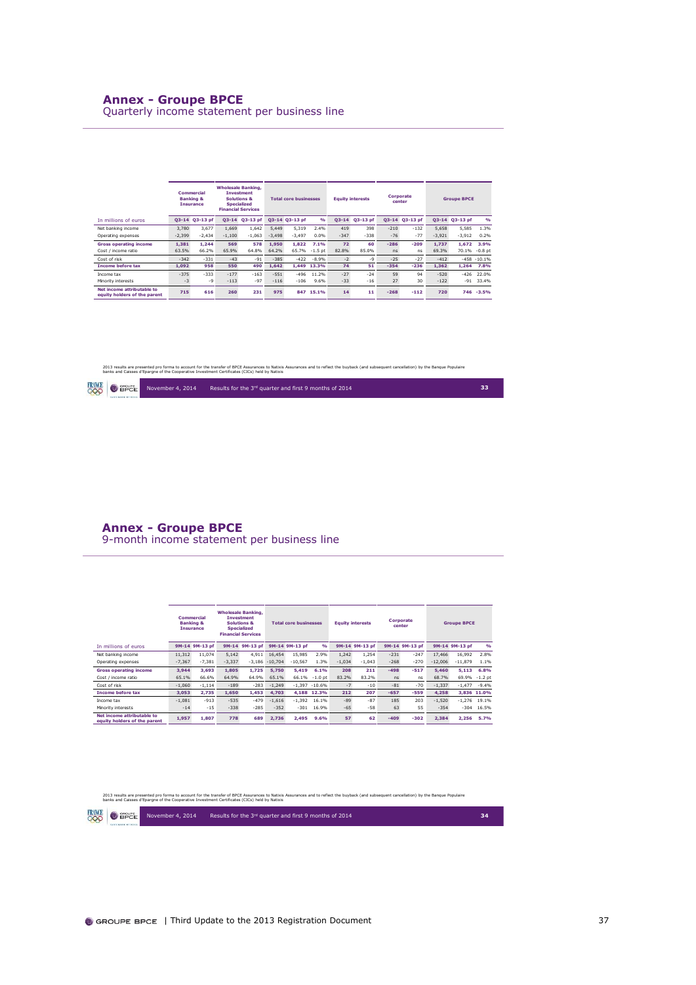### **Annex - Groupe BPCE**

Quarterly income statement per business line

|                                                            |           | <b>Commercial</b><br><b>Banking &amp;</b><br><b>Insurance</b> |          | <b>Wholesale Banking,</b><br><b>Investment</b><br><b>Solutions &amp;</b><br><b>Specialized</b><br><b>Financial Services</b> | <b>Total core businesses</b> |                | Corporate<br><b>Equity interests</b><br>center |           | <b>Groupe BPCE</b> |        |                |          |                |                |
|------------------------------------------------------------|-----------|---------------------------------------------------------------|----------|-----------------------------------------------------------------------------------------------------------------------------|------------------------------|----------------|------------------------------------------------|-----------|--------------------|--------|----------------|----------|----------------|----------------|
| In millions of euros                                       | $O3 - 14$ | Q3-13 pf                                                      |          | Q3-14 Q3-13 pf                                                                                                              |                              | 03-14 03-13 pf | $\frac{9}{6}$                                  | $O3 - 14$ | Q3-13 pf           |        | Q3-14 Q3-13 pf |          | 03-14 03-13 pf | O(n)           |
| Net banking income                                         | 3.780     | 3.677                                                         | 1.669    | 1.642                                                                                                                       | 5.449                        | 5.319          | 2.4%                                           | 419       | 398                | $-210$ | $-132$         | 5.658    | 5.585          | 1.3%           |
| Operating expenses                                         | $-2,399$  | $-2.434$                                                      | $-1.100$ | $-1.063$                                                                                                                    | $-3.498$                     | $-3.497$       | 0.0%                                           | $-347$    | $-338$             | $-76$  | $-77$          | $-3.921$ | $-3,912$       | 0.2%           |
| <b>Gross operating income</b>                              | 1.381     | 1.244                                                         | 569      | 578                                                                                                                         | 1.950                        | 1.822          | 7.1%                                           | 72        | 60                 | $-286$ | $-209$         | 1.737    | 1.672          | 3.9%           |
| Cost / income ratio                                        | 63.5%     | 66.2%                                                         | 65.9%    | 64.8%                                                                                                                       | 64.2%                        | 65.7%          | $-1.5$ pt                                      | 82.8%     | 85.0%              | ns     | ns             | 69.3%    | 70.1%          | $-0.8$ pt      |
| Cost of risk                                               | $-342$    | $-331$                                                        | $-43$    | $-91$                                                                                                                       | $-385$                       | $-422$         | $-8.9%$                                        | $-2$      | $-9$               | $-25$  | $-27$          | $-412$   |                | $-458 - 10.1%$ |
| <b>Income before tax</b>                                   | 1.092     | 958                                                           | 550      | 490                                                                                                                         | 1.642                        | 1.449          | 13.3%                                          | 74        | 51                 | $-354$ | $-236$         | 1.362    | 1.264          | 7.8%           |
| Income tax                                                 | $-375$    | $-333$                                                        | $-177$   | $-163$                                                                                                                      | $-551$                       | $-496$         | 11.2%                                          | $-27$     | $-24$              | 59     | 94             | $-520$   | $-426$         | 22.0%          |
| Minority interests                                         | $-3$      | $-9$                                                          | $-113$   | $-97$                                                                                                                       | $-116$                       | $-106$         | 9.6%                                           | $-33$     | $-16$              | 27     | 30             | $-122$   | $-91$          | 33.4%          |
| Net income attributable to<br>equity holders of the parent | 715       | 616                                                           | 260      | 231                                                                                                                         | 975                          | 847            | 15.1%                                          | 14        | 11                 | $-268$ | $-112$         | 720      | 746            | $-3.5%$        |

2013 results are presented pro forma to account for the transfer of BPCE Assurances and to relact the buyback (and subsequent cancellation) by the Banque Populaire<br>banks and Caisses d'Eparqne of the Cooperative Investment

|  | <b>CARDINALIST OFFICE</b> | <b>FRINCE</b> O BPCE November 4, 2014 | Results for the 3rd quarter and first 9 months of 2014 |  |
|--|---------------------------|---------------------------------------|--------------------------------------------------------|--|
|--|---------------------------|---------------------------------------|--------------------------------------------------------|--|

### **Annex - Groupe BPCE**

9-month income statement per business line

|                                                            |          | Commercial<br><b>Banking &amp;</b><br><b>Insurance</b> |          | <b>Wholesale Banking,</b><br><b>Investment</b><br><b>Solutions &amp;</b><br><b>Specialized</b><br><b>Financial Services</b> |           | <b>Total core businesses</b> |                  |          | <b>Equity interests</b> |        | Corporate<br>center |           | <b>Groupe BPCE</b> |               |
|------------------------------------------------------------|----------|--------------------------------------------------------|----------|-----------------------------------------------------------------------------------------------------------------------------|-----------|------------------------------|------------------|----------|-------------------------|--------|---------------------|-----------|--------------------|---------------|
| In millions of euros                                       |          | 9M-14 9M-13 pf                                         |          | 9M-14 9M-13 pf                                                                                                              |           | 9M-14 9M-13 pf               | $\frac{9}{6}$    |          | 9M-14 9M-13 pf          |        | 9M-14 9M-13 pf      |           | 9M-14 9M-13 pf     | $\frac{9}{6}$ |
| Net banking income                                         | 11,312   | 11.074                                                 | 5.142    | 4.911                                                                                                                       | 16,454    | 15.985                       | 2.9%             | 1,242    | 1.254                   | $-231$ | $-247$              | 17,466    | 16.992             | 2.8%          |
| Operating expenses                                         | $-7,367$ | $-7,381$                                               | $-3.337$ | $-3.186$                                                                                                                    | $-10,704$ | $-10.567$                    | 1.3%             | $-1,034$ | $-1,043$                | $-268$ | $-270$              | $-12.006$ | $-11,879$          | 1.1%          |
| <b>Gross operating income</b>                              | 3.944    | 3.693                                                  | 1.805    | 1.725                                                                                                                       | 5.750     | 5,419                        | 6.1%             | 208      | 211                     | $-498$ | $-517$              | 5,460     | 5,113              | 6.8%          |
| Cost / income ratio                                        | 65.1%    | 66.6%                                                  | 64.9%    | 64.9%                                                                                                                       | 65.1%     | 66.1%                        | $-1.0$ pt        | 83.2%    | 83.2%                   | ns     | ns                  | 68.7%     | 69.9%              | $-1.2$ pt     |
| Cost of risk                                               | $-1.060$ | $-1.114$                                               | $-189$   | $-283$                                                                                                                      | $-1.249$  |                              | $-1.397 - 10.6%$ | $-7$     | $-10$                   | $-81$  | $-70$               | $-1,337$  | $-1.477$           | $-9.4%$       |
| <b>Income before tax</b>                                   | 3.053    | 2.735                                                  | 1.650    | 1,453                                                                                                                       | 4.703     | 4.188                        | 12.3%            | 212      | 207                     | $-657$ | $-559$              | 4.258     |                    | 3.836 11.0%   |
| Income tax                                                 | $-1.081$ | $-913$                                                 | $-535$   | $-479$                                                                                                                      | $-1.616$  | $-1.392$                     | 16.1%            | $-89$    | $-87$                   | 185    | 203                 | $-1.520$  | $-1.276$           | 19.1%         |
| Minority interests                                         | $-14$    | $-15$                                                  | $-338$   | $-285$                                                                                                                      | $-352$    | $-301$                       | 16.9%            | $-65$    | $-58$                   | 63     | 55                  | $-354$    | $-304$             | 16.5%         |
| Net income attributable to<br>equity holders of the parent | 1,957    | 1.807                                                  | 778      | 689                                                                                                                         | 2.736     | 2.495                        | 9.6%             | 57       | 62                      | $-409$ | $-302$              | 2.384     | 2.256              | 5.7%          |

2013 results are presented pro forma to account for the transfer of BPCE Assurances Motkix Assurances and to reflect the buyback (and subsequent cancellation) by the Banque Populaire<br>banks and Caisses d'Epargne of the Coop

| RANGE<br>$\mathcal{L}(\mathcal{L})$ | $\bullet$ aport | <b>Novembe</b> |
|-------------------------------------|-----------------|----------------|
|                                     |                 |                |

November 4, 2014 Results for the 3<sup>rd</sup> quarter and first 9 months of 2014 **34**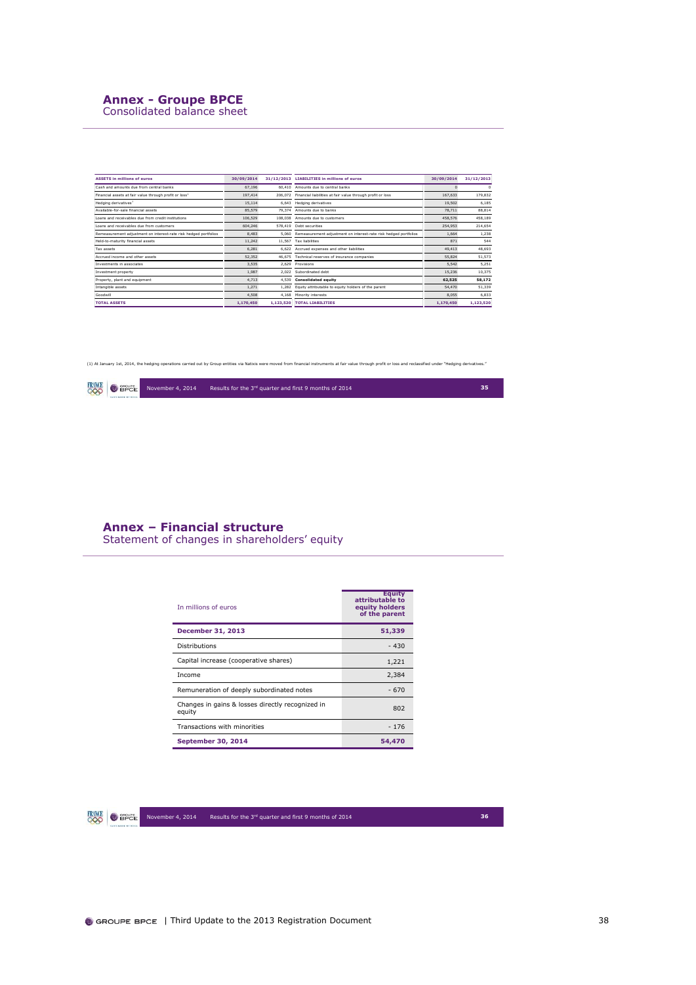## **Annex - Groupe BPCE**

Consolidated balance sheet

| <b>ASSETS in millions of euros</b>                                 | 30/09/2014 |           | 31/12/2013 LIABILITIES in millions of euros                            | 30/09/2014 | 31/12/2013 |
|--------------------------------------------------------------------|------------|-----------|------------------------------------------------------------------------|------------|------------|
| Cash and amounts due from central banks                            | 67.196     |           | 60.410 Amounts due to central banks                                    |            | $\Omega$   |
| Financial assets at fair value through profit or loss <sup>1</sup> | 197.414    |           | 206.072 Financial liabilities at fair value through profit or loss     | 167.633    | 179,832    |
| Hedging derivatives <sup>1</sup>                                   | 15,114     |           | 6,643 Hedging derivatives                                              | 19,502     | 6,185      |
| Available-for-sale financial assets                                | 85,579     | 79.374    | Amounts due to banks                                                   | 78,711     | 88,814     |
| Loans and receivables due from credit institutions                 | 106,529    |           | 108.038 Amounts due to customers                                       | 458.576    | 458,189    |
| Loans and receivables due from customers                           | 604,246    |           | 578.419 Debt securities                                                | 254,953    | 214,654    |
| Remeasurement adjustment on interest-rate risk hedged portfolios   | 8,483      |           | 5,060 Remeasurement adjustment on interest-rate risk hedged portfolios | 1.664      | 1,238      |
| Held-to-maturity financial assets                                  | 11.242     |           | 11.567 Tax liabilities                                                 | 871        | 544        |
| Tax assets                                                         | 6.281      |           | 6.622 Accrued expenses and other liabilities                           | 49.413     | 48,693     |
| Accrued income and other assets                                    | 52,352     |           | 46.675 Technical reserves of insurance companies                       | 55.824     | 51,573     |
| Investments in associates                                          | 3.535      |           | 2.629 Provisions                                                       | 5.542      | 5.251      |
| Investment property                                                | 1.987      |           | 2.022 Subordinated debt                                                | 15.236     | 10,375     |
| Property, plant and equipment                                      | 4,713      |           | 4,539 Consolidated equity                                              | 62,525     | 58,172     |
| Intangible assets                                                  | 1.271      |           | 1,282 Equity attributable to equity holders of the parent              | 54,470     | 51,339     |
| Goodwill                                                           | 4,508      | 4.168     | Minority interests                                                     | 8.055      | 6.833      |
| <b>TOTAL ASSETS</b>                                                | 1.170.450  | 1.123.520 | <b>TOTAL LIABILITIES</b>                                               | 1,170,450  | 1,123,520  |

(1) At January 1st, 2014, the hedging operations carried out by Group entities via Natixis were moved from financial instruments at fair value through profit or loss and reclassified under "Hedging derivatives."



**Annex – Financial structure**

Statement of changes in shareholders' equity

| In millions of euros                                       | <b>Equity</b><br>attributable to<br>equity holders<br>of the parent |
|------------------------------------------------------------|---------------------------------------------------------------------|
| December 31, 2013                                          | 51,339                                                              |
| <b>Distributions</b>                                       | $-430$                                                              |
| Capital increase (cooperative shares)                      | 1,221                                                               |
| Income                                                     | 2,384                                                               |
| Remuneration of deeply subordinated notes                  | $-670$                                                              |
| Changes in gains & losses directly recognized in<br>equity | 802                                                                 |
| Transactions with minorities                               | $-176$                                                              |
| <b>September 30, 2014</b>                                  | 54,470                                                              |

**FRAME O** SPEE

November 4, 2014 Results for the 3<sup>rd</sup> quarter and first 9 months of 2014 **36**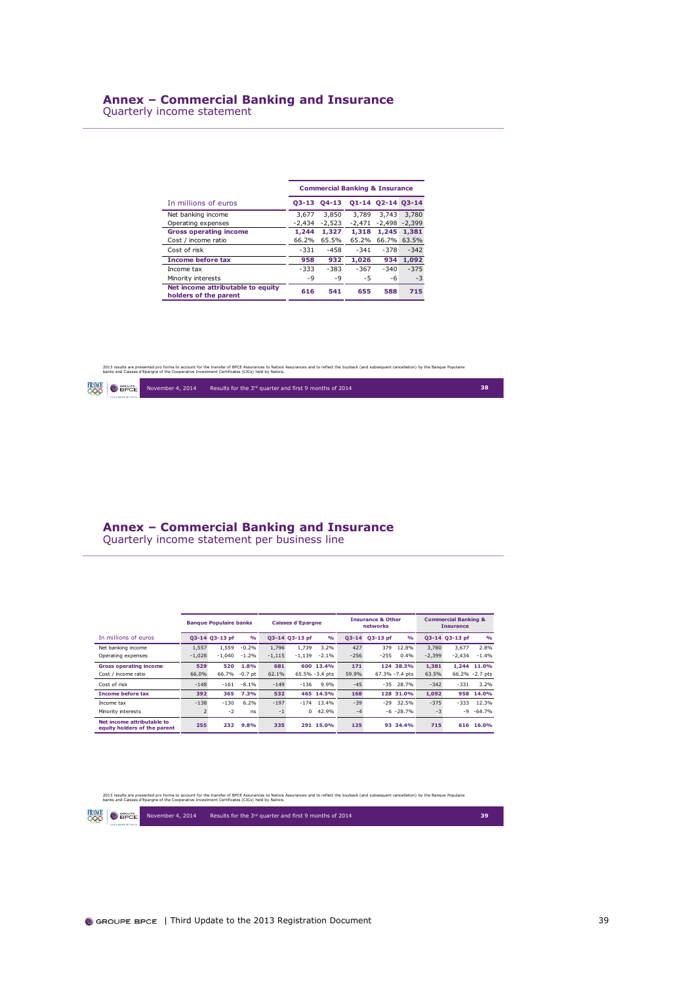Quarterly income statement

i.

|                                                            |          | <b>Commercial Banking &amp; Insurance</b> |          |                   |             |
|------------------------------------------------------------|----------|-------------------------------------------|----------|-------------------|-------------|
| In millions of euros                                       | 03-13    | $04-13$                                   |          | 01-14 02-14 03-14 |             |
| Net banking income                                         | 3.677    | 3.850                                     | 3.789    | 3.743             | 3.780       |
| Operating expenses                                         | $-2.434$ | $-2.523$                                  | $-2.471$ | $-2.498 - 2.399$  |             |
| <b>Gross operating income</b>                              | 1.244    | 1,327                                     | 1,318    | 1.245             | 1,381       |
| Cost / income ratio                                        | 66.2%    | 65.5%                                     | 65.2%    |                   | 66.7% 63.5% |
| Cost of risk                                               | $-331$   | $-458$                                    | $-341$   | $-378$            | $-342$      |
| <b>Income before tax</b>                                   | 958      | 932                                       | 1,026    | 934               | 1.092       |
| Income tax                                                 | $-333$   | $-383$                                    | $-367$   | $-340$            | $-375$      |
| Minority interests                                         | $-9$     | $-9$                                      | $-5$     | -6                | $-3$        |
| Net income attributable to equity<br>holders of the parent | 616      | 541                                       | 655      | 588               | 715         |

2013 results are presented pro forma to account for the transfer of BPCE Assurances and to relact the buyback (and subsequent cancellation) by the Banque Populaire<br>banks and Caisses d'Eparqne of the Cooperative Investment

|  |  | $\overline{OQQ}$ $\overline{OBPCE}$ November 4, 2014 | Results for the 3rd quarter and first 9 months of 2014 |  |
|--|--|------------------------------------------------------|--------------------------------------------------------|--|
|--|--|------------------------------------------------------|--------------------------------------------------------|--|

## **Annex – Commercial Banking and Insurance**

Quarterly income statement per business line

|                                                            |                | <b>Banque Populaire banks</b> |               |          | <b>Caisses d'Epargne</b> |                |           | <b>Insurance &amp; Other</b><br>networks |                |          | <b>Commercial Banking &amp;</b><br><b>Insurance</b> |                 |
|------------------------------------------------------------|----------------|-------------------------------|---------------|----------|--------------------------|----------------|-----------|------------------------------------------|----------------|----------|-----------------------------------------------------|-----------------|
| In millions of euros                                       |                | Q3-14 Q3-13 pf                | $\frac{9}{6}$ |          | 03-14 03-13 pf           | $\frac{9}{6}$  | $O3 - 14$ | $O3-13$ pf                               | O(n)           |          | 03-14 03-13 pf                                      | O(n)            |
| Net banking income                                         | 1,557          | 1,559                         | $-0.2%$       | 1.796    | 1,739                    | 3.2%           | 427       | 379                                      | 12.8%          | 3,780    | 3.677                                               | 2.8%            |
| Operating expenses                                         | $-1,028$       | $-1.040$                      | $-1.2%$       | $-1.115$ | $-1.139$                 | $-2.1%$        | $-256$    | $-255$                                   | 0.4%           | $-2.399$ | $-2.434$                                            | $-1.4%$         |
| <b>Gross operating income</b>                              | 529            | 520                           | 1.8%          | 681      |                          | 600 13.4%      | 171       |                                          | 124 38.3%      | 1.381    |                                                     | 1.244 11.0%     |
| Cost / income ratio                                        | 66.0%          | 66.7%                         | $-0.7$ pt     | 62.1%    |                          | 65.5% -3.4 pts | 59.9%     |                                          | 67.3% -7.4 pts | 63.5%    |                                                     | 66.2% - 2.7 pts |
| Cost of risk                                               | $-148$         | $-161$                        | $-8.1%$       | $-149$   | $-136$                   | 9.9%           | $-45$     |                                          | $-35$ 28.7%    | $-342$   | $-331$                                              | 3.2%            |
| <b>Income before tax</b>                                   | 392            | 365                           | 7.3%          | 532      |                          | 465 14.5%      | 168       |                                          | 128 31.0%      | 1.092    | 958                                                 | 14.0%           |
| Income tax                                                 | $-138$         | $-130$                        | 6.2%          | $-197$   | $-174$                   | 13.4%          | $-39$     | $-29$                                    | 32.5%          | $-375$   | $-333$                                              | 12.3%           |
| Minority interests                                         | $\overline{2}$ | $-2$                          | ns            | $-1$     | $\Omega$                 | 42.9%          | $-4$      |                                          | $-6 - 28.7%$   | $-3$     |                                                     | $-9 - 64.7%$    |
| Net income attributable to<br>equity holders of the parent | 255            | 232                           | 9.8%          | 335      |                          | 291 15.0%      | 125       | 93                                       | 34.4%          | 715      | 616                                                 | 16.0%           |

2013 results are presented pro forma to account for the transfer of BPCE Assurances Motkin Assurances and to reflect the buyback (and subsequent cancellation) by the Banque Populaire<br>banks and Caisses d'Epargne of the Coop

| FRANCE     | <b>GROUPE</b>  |
|------------|----------------|
| $\bigcirc$ | $\bullet$ BPCE |

November 4, 2014 Results for the 3rd quarter and first 9 months of 2014 **39**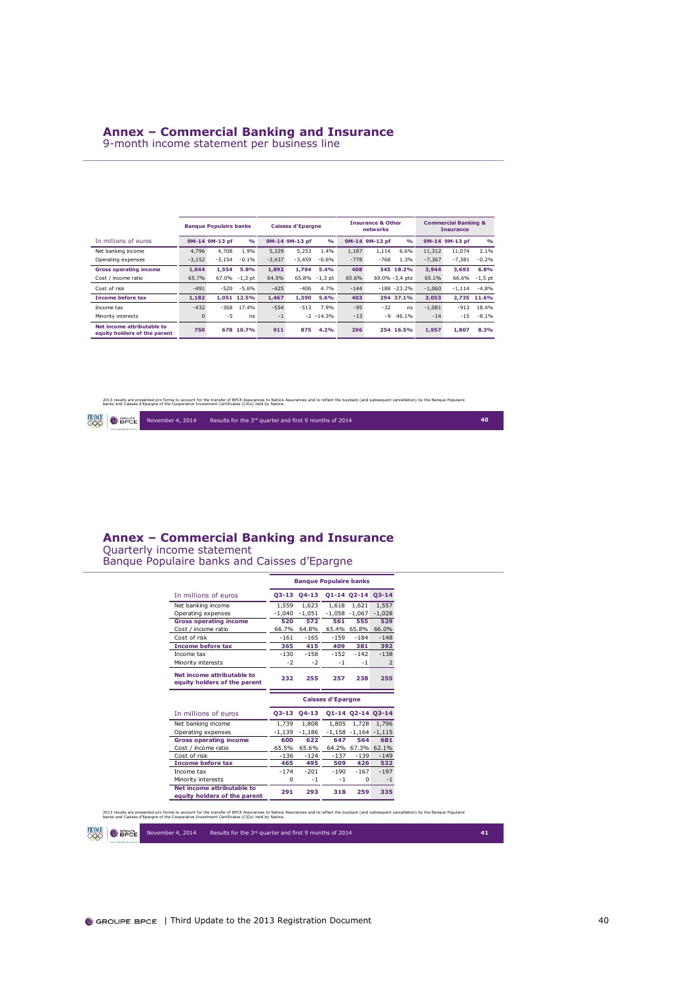### **Annex – Commercial Banking and Insurance**

9-month income statement per business line

|                                                            |              | <b>Banque Populaire banks</b> |               |          | <b>Caisses d'Epargne</b> |               |        | <b>Insurance &amp; Other</b><br>networks |                |          | <b>Commercial Banking &amp;</b><br><b>Insurance</b> |             |
|------------------------------------------------------------|--------------|-------------------------------|---------------|----------|--------------------------|---------------|--------|------------------------------------------|----------------|----------|-----------------------------------------------------|-------------|
| In millions of euros                                       |              | 9M-14 9M-13 pf                | $\frac{9}{6}$ |          | 9M-14 9M-13 pf           | $\frac{9}{6}$ |        | 9M-14 9M-13 pf                           | O(n)           |          | 9M-14 9M-13 pf                                      | O(n)        |
| Net banking income                                         | 4,796        | 4.708                         | 1.9%          | 5,329    | 5.253                    | 1.4%          | 1.187  | 1.114                                    | 6.6%           | 11,312   | 11,074                                              | 2.1%        |
| Operating expenses                                         | $-3,152$     | $-3.154$                      | $-0.1%$       | $-3.437$ | $-3.459$                 | $-0.6%$       | $-778$ | $-768$                                   | 1.3%           | $-7.367$ | $-7.381$                                            | $-0.2%$     |
| <b>Gross operating income</b>                              | 1.644        | 1.554                         | 5.8%          | 1.892    | 1.794                    | 5.4%          | 408    |                                          | 345 18.2%      | 3.944    | 3.693                                               | 6.8%        |
| Cost / income ratio                                        | 65.7%        |                               | 67.0% -1,3 pt | 64.5%    |                          | 65.8% -1,3 pt | 65.6%  |                                          | 69.0% -3.4 pts | 65.1%    | 66.6%                                               | $-1,5$ pt   |
| Cost of risk                                               | $-491$       | $-520$                        | $-5.6%$       | $-425$   | $-406$                   | 4.7%          | $-144$ |                                          | $-188 - 23.2%$ | $-1,060$ | $-1.114$                                            | $-4.8%$     |
| <b>Income before tax</b>                                   | 1.182        |                               | 1,051 12.5%   | 1.467    | 1.390                    | 5.6%          | 403    |                                          | 294 37.1%      | 3.053    |                                                     | 2.735 11.6% |
| Income tax                                                 | $-432$       | $-368$                        | 17.4%         | $-554$   | $-513$                   | 7.9%          | $-95$  | $-32$                                    | ns             | $-1.081$ | $-913$                                              | 18.4%       |
| Minority interests                                         | $\mathbf{0}$ | $-5$                          | ns            | $-1$     |                          | $-2 - 14.3%$  | $-13$  | -9                                       | 46.1%          | $-14$    | $-15$                                               | $-8.1%$     |
| Net income attributable to<br>equity holders of the parent | 750          |                               | 678 10.7%     | 911      | 875                      | 4.2%          | 296    |                                          | 254 16.5%      | 1.957    | 1.807                                               | 8.3%        |

2013 results are presented pro forma to account for the transfer of BPCE Assurances to Natkis Assurances and to reflect the buyback (and subsequent cancellation) by the Banque Populaire<br>banks and Caisses d'Epargne of the C

November 4, 2014 Results for the 3<sup>rd</sup> quarter and first 9 months of 2014 **40** 

| FRANCE |                 |  |
|--------|-----------------|--|
| ı      | <b>BD</b><br>-e |  |

### **Annex – Commercial Banking and Insurance**

Quarterly income statement Banque Populaire banks and Caisses d'Epargne

|                                                                                  |          | <b>Banque Populaire banks</b> |                          |                          |               |
|----------------------------------------------------------------------------------|----------|-------------------------------|--------------------------|--------------------------|---------------|
| In millions of euros                                                             | 03-13    | $04 - 13$                     |                          | 01-14 02-14              | $03 - 14$     |
| Net banking income                                                               | 1.559    | 1.623                         | 1.618                    | 1.621                    | 1.557         |
| Operating expenses                                                               | $-1,040$ | $-1.051$                      |                          | $-1.058 - 1.067$         | $-1.028$      |
| <b>Gross operating income</b>                                                    | 520      | 572                           | 561                      | 555                      | 529           |
| Cost / income ratio                                                              | 66.7%    | 64.8%                         |                          | 65.4% 65.8%              | 66.0%         |
| Cost of risk                                                                     | $-161$   | $-165$                        | $-159$                   | $-184$                   | $-148$        |
| <b>Income before tax</b>                                                         | 365      | 415                           | 409                      | 381                      | 392           |
| Income tax                                                                       | $-130$   | $-1.58$                       | $-152$                   | $-142$                   | $-1.38$       |
| Minority interests                                                               | -2       | $-2$                          | $-1$                     | $-1$                     | 2             |
| Net income attributable to<br>equity holders of the parent                       | 232      | 255                           | 257                      | 238                      | 255           |
|                                                                                  |          |                               |                          |                          |               |
|                                                                                  |          |                               | <b>Caisses d'Epargne</b> |                          |               |
| In millions of euros                                                             | $03-13$  | $04-13$                       |                          | 01-14 02-14 03-14        |               |
| Net banking income                                                               | 1.739    | 1,808                         | 1.805                    | 1.728                    | 1.796         |
| Operating expenses                                                               | $-1.139$ | $-1,186$                      |                          | $-1,158 - 1,164 - 1,115$ |               |
| <b>Gross operating income</b>                                                    | 600      | 622                           | 647                      | 564                      | 681           |
| Cost / income ratio                                                              | 65.5%    | 65.6%                         |                          | 64.2% 67.3% 62.1%        |               |
| Cost of risk                                                                     | $-136$   | $-124$                        | $-137$                   | $-139$                   | $-149$        |
| <b>Income before tax</b>                                                         | 465      | 495                           | 509                      | 426                      |               |
| Income tax                                                                       | $-174$   | $-201$                        | $-190$                   | $-167$                   | 532<br>$-197$ |
|                                                                                  | 0        | $-1$                          | $-1$                     | $\Omega$                 | $-1$          |
| Minority interests<br>Net income attributable to<br>equity holders of the parent | 291      | 293                           | 318                      | 259                      | 335           |

2013 results are presented pro forma to account for the transfer of BPCE Assurances Motkin Assurances and to reflect the buyback (and subsequent cancellation) by the Banque Populaire<br>banks and Caisses d'Epargne of the Coop

**FRAME O** SPEE November 4, 2014 Results for the 3<sup>rd</sup> quarter and first 9 months of 2014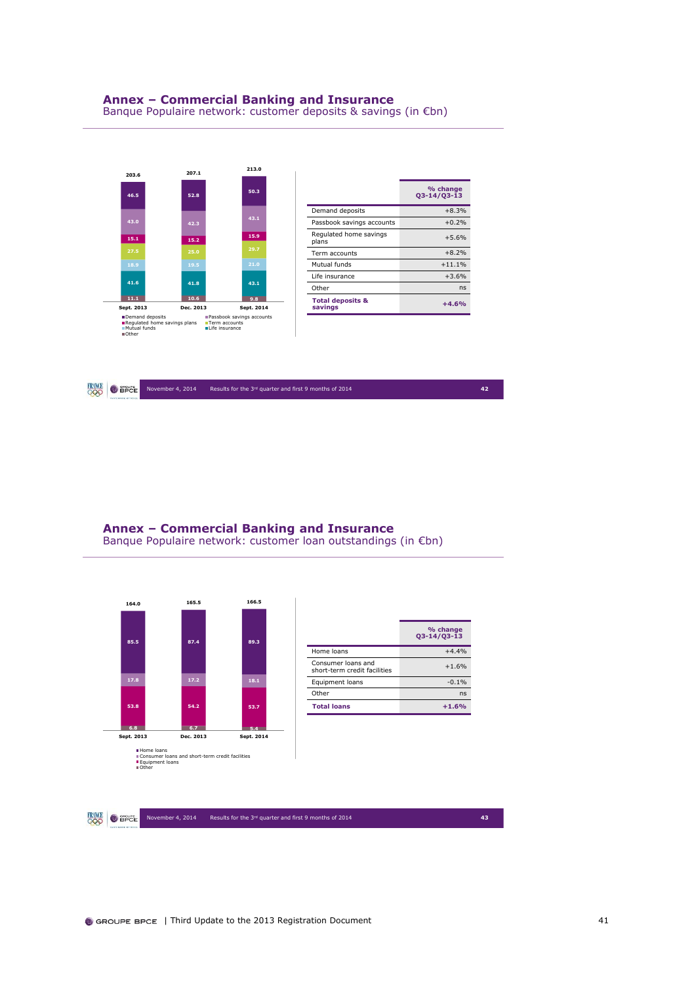

|                                        | % change<br>$Q3 - 14/Q3 - 13$ |
|----------------------------------------|-------------------------------|
| Demand deposits                        | $+8.3%$                       |
| Passbook savings accounts              | $+0.2%$                       |
| Regulated home savings<br>plans        | $+5.6%$                       |
| Term accounts                          | $+8.2%$                       |
| Mutual funds                           | $+11.1%$                      |
| Life insurance                         | $+3.6%$                       |
| Other                                  | ns                            |
| <b>Total deposits &amp;</b><br>savings | $+4.6%$                       |



**Annex – Commercial Banking and Insurance** Banque Populaire network: customer loan outstandings (in €bn)

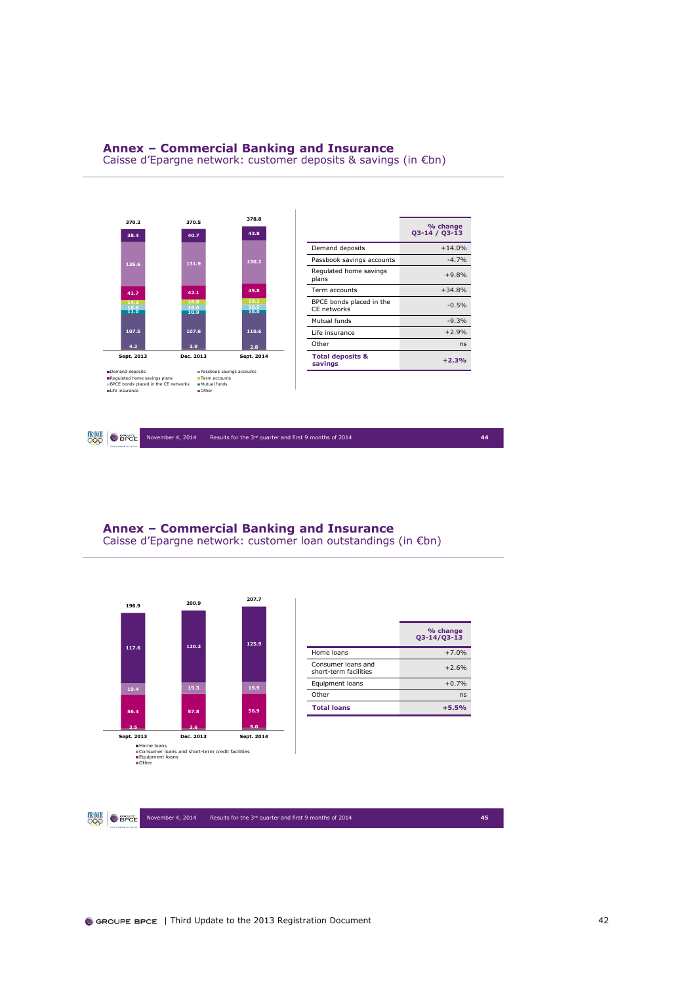### **Annex – Commercial Banking and Insurance**

Caisse d'Epargne network: customer deposits & savings (in €bn)



**FRAME O** SPEE November 4, 2014 Results for the 3rd quarter and first 9 months of 2014 **44**

## **Annex – Commercial Banking and Insurance**

Caisse d'Epargne network: customer loan outstandings (in €bn)

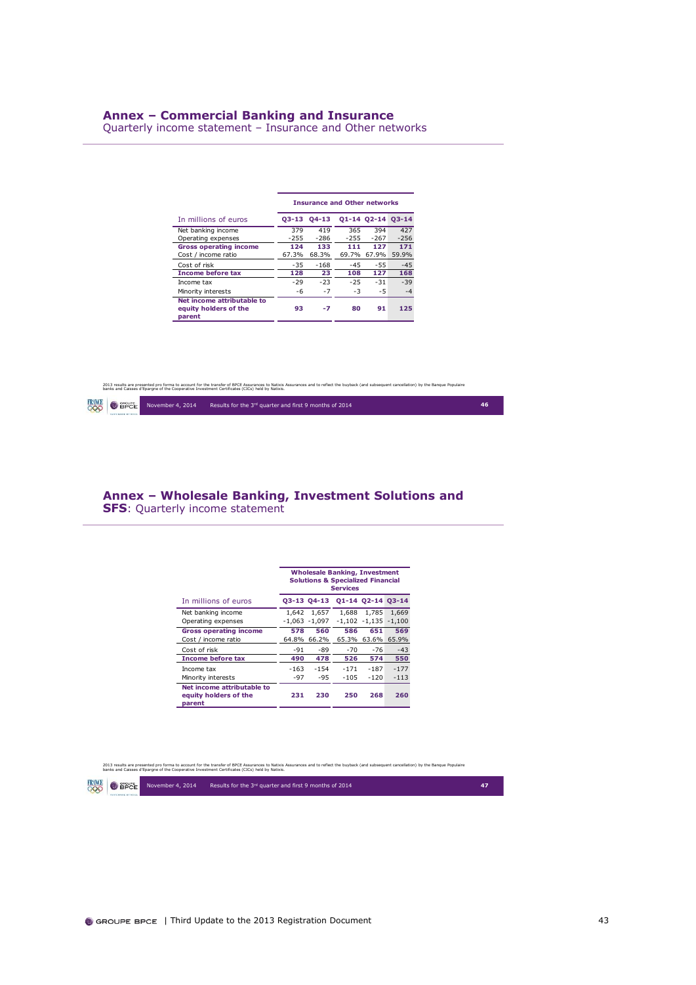### **Annex – Commercial Banking and Insurance**

Quarterly income statement – Insurance and Other networks

|                                                               |               |               | <b>Insurance and Other networks</b> |                   |               |
|---------------------------------------------------------------|---------------|---------------|-------------------------------------|-------------------|---------------|
| In millions of euros                                          |               | 03-13 04-13   |                                     | 01-14 02-14 03-14 |               |
| Net banking income<br>Operating expenses                      | 379<br>$-255$ | 419<br>$-286$ | 365<br>$-255$                       | 394<br>$-267$     | 427<br>$-256$ |
| <b>Gross operating income</b><br>Cost / income ratio          | 124<br>67.3%  | 133<br>68.3%  | 111<br>69.7%                        | 127<br>67.9%      | 171<br>59.9%  |
| Cost of risk                                                  | $-35$         | $-168$        | $-45$                               | $-55$             | $-45$         |
| <b>Income before tax</b>                                      | 128           | 23            | 108                                 | 127               | 168           |
| Income tax                                                    | $-29$         | $-23$         | $-25$                               | $-31$             | $-39$         |
| Minority interests                                            | -6            | $-7$          | $-3$                                | $-5$              | $-4$          |
| Net income attributable to<br>equity holders of the<br>parent | 93            | -7            | 80                                  | 91                | 125           |

2013 results are presented pro forma to account for the transfer of BPCE Assurances Motkin Assurances and to reflect the buyback (and subsequent cancellation) by the Banque Populaire<br>banks and Caisses d'Epargne of the Coop

|                   | <b>FRINCE O</b> BPCE November 4, 2014 | Results for the 3rd quarter and first 9 months of 2014 | 46 |
|-------------------|---------------------------------------|--------------------------------------------------------|----|
| CARDINAGE OFFICER |                                       |                                                        |    |

### **Annex – Wholesale Banking, Investment Solutions and SFS**: Quarterly income statement

|                                                               |        |                  | <b>Wholesale Banking, Investment</b><br><b>Solutions &amp; Specialized Financial</b><br><b>Services</b> |                   |             |
|---------------------------------------------------------------|--------|------------------|---------------------------------------------------------------------------------------------------------|-------------------|-------------|
| In millions of euros                                          |        | 03-13 04-13      |                                                                                                         | 01-14 02-14 03-14 |             |
| Net banking income                                            | 1.642  | 1.657            | 1.688                                                                                                   | 1.785             | 1.669       |
| Operating expenses                                            |        | $-1.063 - 1.097$ |                                                                                                         | $-1.102 - 1.135$  | $-1.100$    |
| <b>Gross operating income</b>                                 | 578    | 560              | 586                                                                                                     | 651               | 569         |
| Cost / income ratio                                           | 64.8%  | 66.2%            | 65.3%                                                                                                   |                   | 63.6% 65.9% |
| Cost of risk                                                  | $-91$  | -89              | $-70$                                                                                                   | $-76$             | $-43$       |
| <b>Income before tax</b>                                      | 490    | 478              | 526                                                                                                     | 574               | 550         |
| Income tax                                                    | $-163$ | $-1.54$          | $-171$                                                                                                  | $-187$            | $-177$      |
| Minority interests                                            | $-97$  | $-95$            | $-105$                                                                                                  | $-120$            | $-113$      |
| Net income attributable to<br>equity holders of the<br>parent | 231    | 230              | 250                                                                                                     | 268               | 260         |

2013 results are presented pro forma to account for the transfer of BPCE Assurances Motkin Assurances and to reflect the buyback (and subsequent cancellation) by the Banque Populaire<br>banks and Caisses d'Epargne of the Coop

**FRANCE** OBPCE November 4, 2014 Results for the 3<sup>rd</sup> quarter and first 9 months of 2014 **47**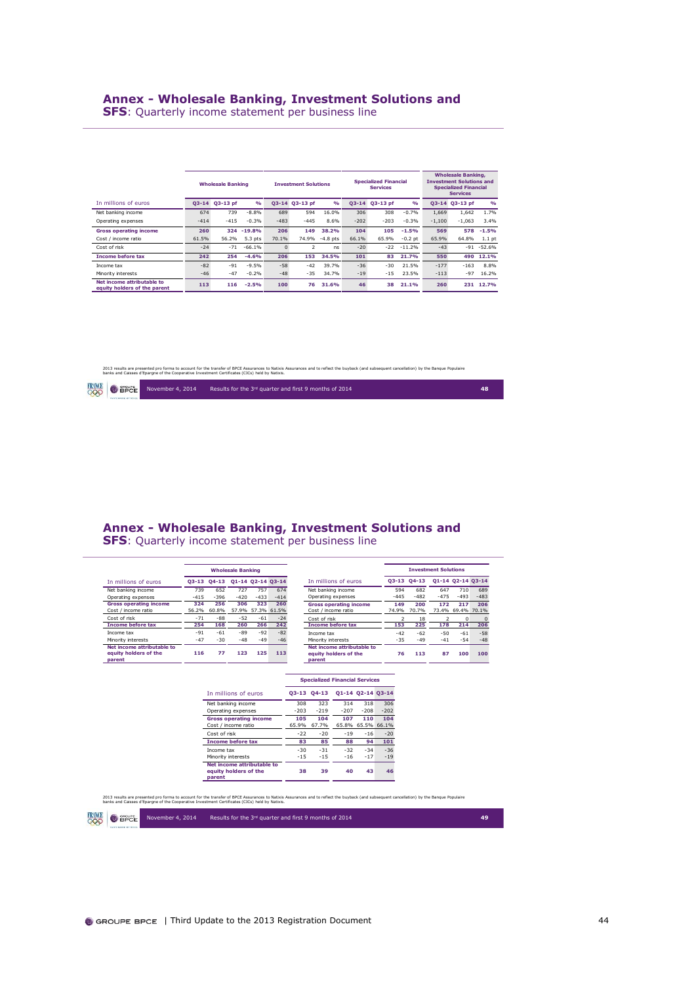**SFS**: Quarterly income statement per business line

|                                                            | <b>Wholesale Banking</b> |            |               |          | <b>Investment Solutions</b> |               |           | <b>Specialized Financial</b><br><b>Services</b> |           |          | <b>Wholesale Banking,</b><br><b>Investment Solutions and</b><br><b>Specialized Financial</b><br><b>Services</b> |               |  |
|------------------------------------------------------------|--------------------------|------------|---------------|----------|-----------------------------|---------------|-----------|-------------------------------------------------|-----------|----------|-----------------------------------------------------------------------------------------------------------------|---------------|--|
| In millions of euros                                       | $O3 - 14$                | $Q3-13$ pf | $\frac{9}{6}$ |          | 03-14 03-13 pf              | $\frac{0}{0}$ | $O3 - 14$ | 03-13 pf                                        | O(n)      |          | 03-14 03-13 pf                                                                                                  | O(n)          |  |
| Net banking income                                         | 674                      | 739        | $-8.8%$       | 689      | 594                         | 16.0%         | 306       | 308                                             | $-0.7%$   | 1.669    | 1,642                                                                                                           | 1.7%          |  |
| Operating expenses                                         | $-414$                   | $-415$     | $-0.3%$       | $-483$   | $-445$                      | 8.6%          | $-202$    | $-203$                                          | $-0.3%$   | $-1,100$ | $-1.063$                                                                                                        | 3.4%          |  |
| <b>Gross operating income</b>                              | 260                      | 324        | $-19.8%$      | 206      | 149                         | 38.2%         | 104       | 105                                             | $-1.5%$   | 569      | 578                                                                                                             | $-1.5%$       |  |
| Cost / income ratio                                        | 61.5%                    | 56.2%      | $5.3$ pts     | 70.1%    | 74.9%                       | $-4.8$ pts    | 66.1%     | 65.9%                                           | $-0.2$ pt | 65.9%    | 64.8%                                                                                                           | $1.1$ pt      |  |
| Cost of risk                                               | $-24$                    | $-71$      | $-66.1%$      | $\Omega$ | $\overline{2}$              | ns            | $-20$     | $-22$                                           | $-11.2%$  | $-43$    |                                                                                                                 | $-91 - 52.6%$ |  |
| <b>Income before tax</b>                                   | 242                      | 254        | $-4.6%$       | 206      | 153                         | 34.5%         | 101       | 83                                              | 21.7%     | 550      | 490                                                                                                             | 12.1%         |  |
| Income tax                                                 | $-82$                    | $-91$      | $-9.5%$       | $-58$    | $-42$                       | 39.7%         | $-36$     | $-30$                                           | 21.5%     | $-177$   | $-163$                                                                                                          | 8.8%          |  |
| Minority interests                                         | $-46$                    | $-47$      | $-0.2%$       | $-48$    | $-35$                       | 34.7%         | $-19$     | $-15$                                           | 23.5%     | $-113$   | $-97$                                                                                                           | 16.2%         |  |
| Net income attributable to<br>equity holders of the parent | 113                      | 116        | $-2.5%$       | 100      | 76                          | 31.6%         | 46        | 38                                              | 21.1%     | 260      |                                                                                                                 | 231 12.7%     |  |

### 2013 results are presented pro forma to account for the transfer of BPCE Assurances Motkin Assurances and to reflect the buyback (and subsequent cancellation) by the Banque Populaire<br>banks and Caisses d'Epargne of the Coop

|  |  | <b>FANCE O</b> BPCE November 4, 2014 | Results for the 3rd quarter and first 9 months of 2014 | 48 |
|--|--|--------------------------------------|--------------------------------------------------------|----|
|--|--|--------------------------------------|--------------------------------------------------------|----|

## **Annex - Wholesale Banking, Investment Solutions and**

**SFS**: Quarterly income statement per business line

|                                                               |        |             | <b>Wholesale Banking</b> |                   |             |                                                               |        |         | <b>Investment Solutions</b> |                   |        |
|---------------------------------------------------------------|--------|-------------|--------------------------|-------------------|-------------|---------------------------------------------------------------|--------|---------|-----------------------------|-------------------|--------|
| In millions of euros                                          |        | Q3-13 Q4-13 |                          | 01-14 02-14 03-14 |             | In millions of euros                                          | 03-13  | $04-13$ |                             | 01-14 02-14 03-14 |        |
| Net banking income                                            | 739    | 652         | 727                      | 757               | 674         | Net banking income                                            | 594    | 682     | 647                         | 710               | 689    |
| Operating expenses                                            | $-415$ | $-396$      | $-420$                   | $-433$            | $-414$      | Operating expenses                                            | $-445$ | $-482$  | $-475$                      | $-493$            | $-483$ |
| <b>Gross operating income</b>                                 | 324    | 256         | 306                      | 323               | 260         | <b>Gross operating income</b>                                 | 149    | 200     | 172                         | 217               | 206    |
| Cost / income ratio                                           | 56.2%  | 60.8%       | 57.9%                    |                   | 57.3% 61.5% | Cost / income ratio                                           | 74.9%  | 70.7%   |                             | 73.4% 69.4% 70.1% |        |
| Cost of risk                                                  | $-71$  | $-88$       | $-52$                    | $-61$             | $-24$       | Cost of risk                                                  |        | 18      |                             | $\Omega$          |        |
| <b>Income before tax</b>                                      | 254    | 168         | 260                      | 266               | 242         | <b>Income before tax</b>                                      | 153    | 225     | 178                         | 214               | 206    |
| Income tax                                                    | $-91$  | $-61$       | $-89$                    | $-92$             | $-82$       | Income tax                                                    | $-42$  | $-62$   | $-50$                       | $-61$             | $-58$  |
| Minority interests                                            | $-47$  | $-30$       | $-48$                    | $-49$             | $-46$       | Minority interests                                            | $-35$  | $-49$   | $-41$                       | $-54$             | $-48$  |
| Net income attributable to<br>equity holders of the<br>parent | 116    | 77          | 123                      | 125               | 113         | Net income attributable to<br>equity holders of the<br>parent | 76     | 113     | 87                          | 100               | 100    |

|                                                               |               | <b>Specialized Financial Services</b> |               |                   |                    |
|---------------------------------------------------------------|---------------|---------------------------------------|---------------|-------------------|--------------------|
| In millions of euros                                          |               | 03-13 04-13                           |               | Q1-14 Q2-14 Q3-14 |                    |
| Net banking income<br>Operating expenses                      | 308<br>$-203$ | 323<br>$-219$                         | 314<br>$-207$ | 318<br>$-208$     | 306<br>$-202$      |
| <b>Gross operating income</b><br>Cost / income ratio          | 105<br>65.9%  | 104<br>67.7%                          | 107<br>65.8%  | 110               | 104<br>65.5% 66.1% |
| Cost of risk                                                  | $-22$         | $-20$                                 | $-19$         | $-16$             | $-20$              |
| <b>Income before tax</b>                                      | 83            | 85                                    | 88            | 94                | 101                |
| Income tax                                                    | $-30$         | $-31$                                 | $-32$         | $-34$             | $-36$              |
| Minority interests                                            | $-15$         | $-15$                                 | $-16$         | $-17$             | $-19$              |
| Net income attributable to<br>equity holders of the<br>parent | 38            | 39                                    | 40            | 43                | 46                 |

November 4, 2014 Results for the 3<sup>rd</sup> quarter and first 9 months of 2014 **49** 

2013 results are presented pro forma to account for the transfer of BPCE Assurances Motkin Assurances and to reflect the buyback (and subsequent cancellation) by the Banque Populaire<br>banks and Caisses d'Epargne of the Coop

 $\bigcirc$  and  $r$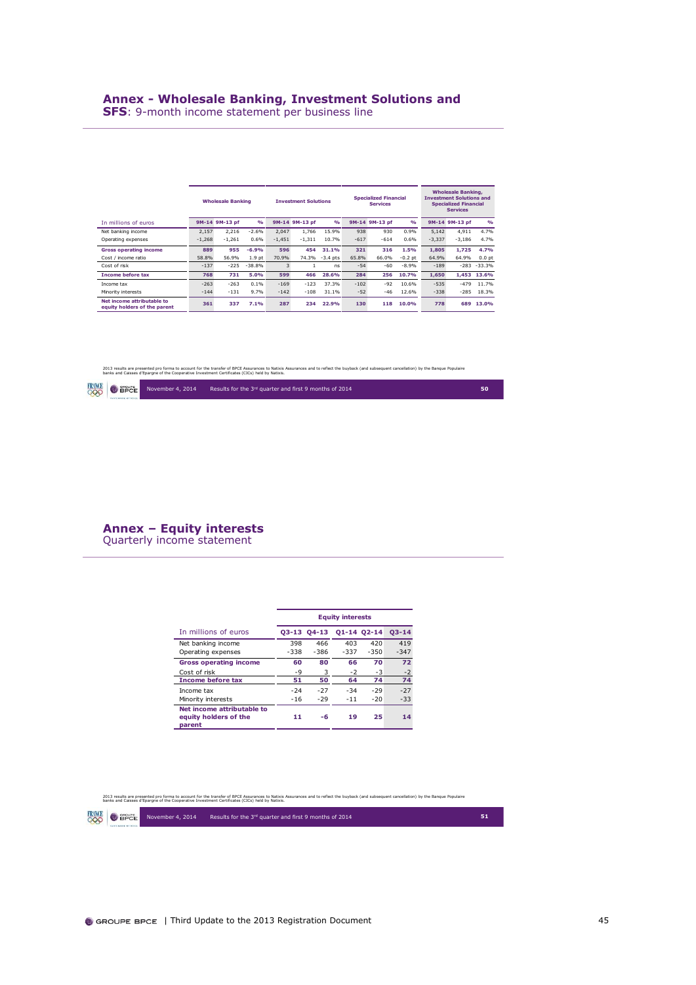### **Annex - Wholesale Banking, Investment Solutions and**

**SFS**: 9-month income statement per business line

|                                                            | <b>Wholesale Banking</b> |                |                   | <b>Investment Solutions</b> |                |            | <b>Specialized Financial</b><br><b>Services</b> |                | <b>Wholesale Banking,</b><br><b>Investment Solutions and</b><br><b>Specialized Financial</b><br><b>Services</b> |          |                |                |
|------------------------------------------------------------|--------------------------|----------------|-------------------|-----------------------------|----------------|------------|-------------------------------------------------|----------------|-----------------------------------------------------------------------------------------------------------------|----------|----------------|----------------|
| In millions of euros                                       |                          | 9M-14 9M-13 pf | $\frac{0}{0}$     |                             | 9M-14 9M-13 pf | O(n)       |                                                 | 9M-14 9M-13 pf | $\frac{0}{0}$                                                                                                   |          | 9M-14 9M-13 pf | O(n)           |
| Net banking income                                         | 2.157                    | 2.216          | $-2.6%$           | 2.047                       | 1.766          | 15.9%      | 938                                             | 930            | 0.9%                                                                                                            | 5.142    | 4.911          | 4.7%           |
| Operating expenses                                         | $-1,268$                 | $-1.261$       | 0.6%              | $-1.451$                    | $-1.311$       | 10.7%      | $-617$                                          | $-614$         | 0.6%                                                                                                            | $-3,337$ | $-3.186$       | 4.7%           |
| <b>Gross operating income</b>                              | 889                      | 955            | $-6.9%$           | 596                         | 454            | 31.1%      | 321                                             | 316            | 1.5%                                                                                                            | 1.805    | 1.725          | 4.7%           |
| Cost / income ratio                                        | 58.8%                    | 56.9%          | 1.9 <sub>pt</sub> | 70.9%                       | 74.3%          | $-3.4$ pts | 65.8%                                           | 66.0%          | $-0.2$ pt                                                                                                       | 64.9%    | 64.9%          | $0.0$ pt       |
| Cost of risk                                               | $-137$                   | $-225$         | $-38.8%$          | 3                           |                | ns         | $-54$                                           | $-60$          | $-8.9%$                                                                                                         | $-189$   |                | $-283 - 33.3%$ |
| <b>Income before tax</b>                                   | 768                      | 731            | 5.0%              | 599                         | 466            | 28.6%      | 284                                             | 256            | 10.7%                                                                                                           | 1.650    | 1.453          | 13.6%          |
| Income tax                                                 | $-263$                   | $-263$         | 0.1%              | $-169$                      | $-123$         | 37.3%      | $-102$                                          | $-92$          | 10.6%                                                                                                           | $-535$   | $-479$         | 11.7%          |
| Minority interests                                         | $-144$                   | $-131$         | 9.7%              | $-142$                      | $-108$         | 31.1%      | $-52$                                           | $-46$          | 12.6%                                                                                                           | $-338$   | $-285$         | 18.3%          |
| Net income attributable to<br>equity holders of the parent | 361                      | 337            | 7.1%              | 287                         | 234            | 22.9%      | 130                                             | 118            | 10.0%                                                                                                           | 778      | 689            | 13.0%          |

2013 results are presented pro forma to account for the transfer of BPCE Assurances Motkin Assurances and to reflect the buyback (and subsequent cancellation) by the Banque Populaire<br>banks and Caisses d'Epargne of the Coop

|  | PARTENAIRE OFFICIAL | <b>FANCE</b> O BPCE November 4, 2014 | Results for the 3rd quarter and first 9 months of 2014 |  |
|--|---------------------|--------------------------------------|--------------------------------------------------------|--|
|--|---------------------|--------------------------------------|--------------------------------------------------------|--|

**Annex – Equity interests** Quarterly income statement

|                                                               |        |             | <b>Equity interests</b> |             |           |
|---------------------------------------------------------------|--------|-------------|-------------------------|-------------|-----------|
| In millions of euros                                          |        | 03-13 04-13 |                         | 01-14 02-14 | $03 - 14$ |
| Net banking income                                            | 398    | 466         | 403                     | 420         | 419       |
| Operating expenses                                            | $-338$ | $-386$      | $-337$                  | $-350$      | $-347$    |
| <b>Gross operating income</b>                                 | 60     | 80          | 66                      | 70          | 72        |
| Cost of risk                                                  | $-9$   | 3           | $-2$                    | $-3$        | $-2$      |
| <b>Income before tax</b>                                      | 51     | 50          | 64                      | 74          | 74        |
| Income tax                                                    | $-24$  | $-27$       | $-34$                   | $-29$       | $-27$     |
| Minority interests                                            | $-16$  | $-29$       | $-11$                   | $-20$       | $-33$     |
| Net income attributable to<br>equity holders of the<br>parent | 11     | -6          | 19                      | 25          | 14        |

2013 results are presented pro forma to account for the transfer of BPCE Assurances (between and to reflect the buyback (and subsequent cancellation) by the Banque Populaire<br>banks and Caisses d'Eparqne of the Cooperative I

 $\bigcirc$  and  $E$ 

November 4, 2014 Results for the 3<sup>rd</sup> quarter and first 9 months of 2014 **51**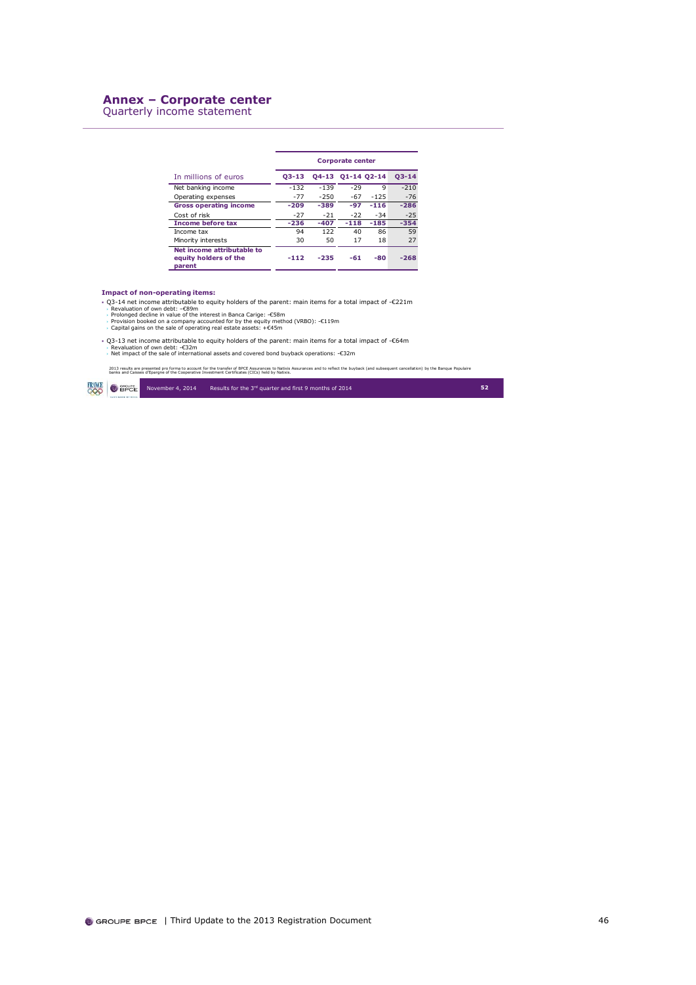### **Annex – Corporate center**

Quarterly income statement

|                                                               |         |         | <b>Corporate center</b> |        |           |
|---------------------------------------------------------------|---------|---------|-------------------------|--------|-----------|
| In millions of euros                                          | $03-13$ |         | 04-13 01-14 02-14       |        | $03 - 14$ |
| Net banking income                                            | $-132$  | $-1.39$ | $-29$                   | 9      | $-210$    |
| Operating expenses                                            | $-77$   | $-250$  | $-67$                   | $-125$ | $-76$     |
| <b>Gross operating income</b>                                 | $-209$  | $-389$  | $-97$                   | $-116$ | $-286$    |
| Cost of risk                                                  | $-27$   | $-21$   | $-22$                   | $-34$  | $-25$     |
| <b>Income before tax</b>                                      | $-236$  | $-407$  | $-118$                  | $-185$ | $-354$    |
| Income tax                                                    | 94      | 122     | 40                      | 86     | 59        |
| Minority interests                                            | 30      | 50      | 17                      | 18     | 27        |
| Net income attributable to<br>equity holders of the<br>parent | $-112$  | -235    | $-61$                   | $-80$  | $-268$    |

### **Impact of non-operating items:**

- 
- Q3-14 net income attributable to equity holders of the parent: main items for a total impact of -€221m<br>> Revaluation of own debt: -€89m<br>> Prolonged decline in value of the interest in Banca Carige: -€58m<br>> Prolonged dec
- 
- Q3-13 net income attributable to equity holders of the parent: main items for a total impact of -€64m<br>→ Revaluation of own debt: -€32m<br>→ Net impact of the sale of international assets and covered bond buyback operations
- 

2013 results are presented pro forma to account for the transfer of BPCE Assurances and to redect the buyback (and subsequent cancellation) by the Banque Populaire<br>banks and Caisses d'Epargne of the Cooperative Investment

 $RMC$   $\bullet$  apple November 4, 2014 Results for the 3rd quarter and first 9 months of 2014 **52**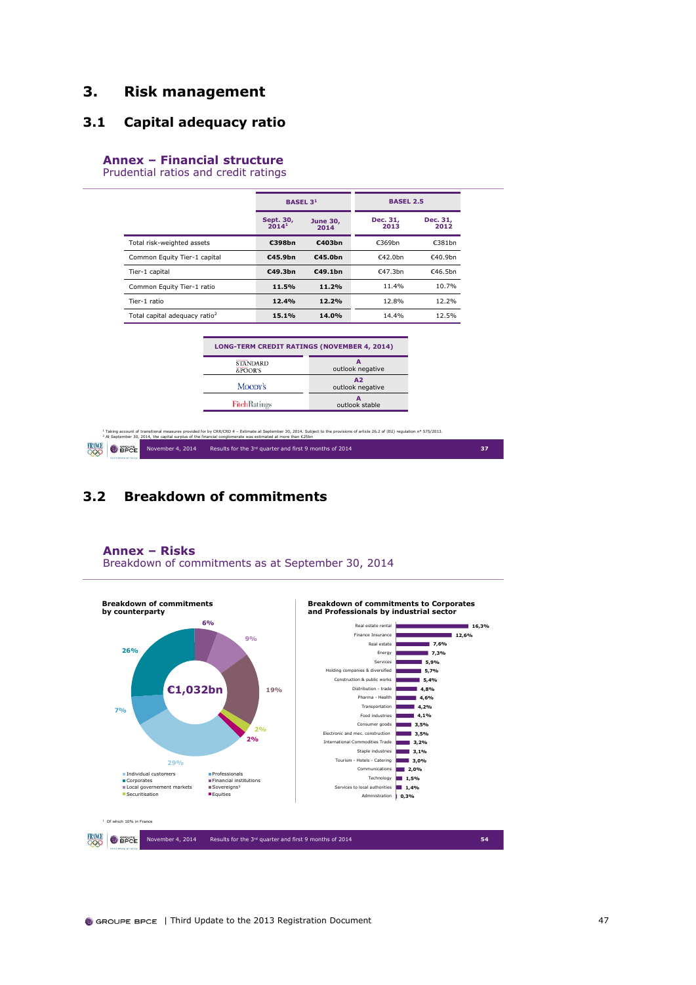## <span id="page-47-0"></span>**3. Risk management**

## <span id="page-47-1"></span>**3.1 Capital adequacy ratio**

### **Annex – Financial structure**

Prudential ratios and credit ratings

|                                           | <b>BASEL 31</b>                |                         | <b>BASEL 2.5</b> |                  |  |  |
|-------------------------------------------|--------------------------------|-------------------------|------------------|------------------|--|--|
|                                           | Sept. 30,<br>2014 <sup>1</sup> | <b>June 30,</b><br>2014 | Dec. 31,<br>2013 | Dec. 31,<br>2012 |  |  |
| Total risk-weighted assets                | €398bn                         | €403bn                  | €369bn           | €381bn           |  |  |
| Common Equity Tier-1 capital              | E45.9bn                        | €45.0bn                 | €42.0hn          | €40.9hn          |  |  |
| Tier-1 capital                            | E49.3bn                        | €49.1bn                 | €47.3bn          | €46.5bn          |  |  |
| Common Equity Tier-1 ratio                | 11.5%                          | 11.2%                   | 11.4%            | 10.7%            |  |  |
| Tier-1 ratio                              | 12.4%                          | 12.2%                   | 12.8%            | 12.2%            |  |  |
| Total capital adequacy ratio <sup>2</sup> | 15.1%                          | 14.0%                   | 14.4%            | 12.5%            |  |  |

| <b>LONG-TERM CREDIT RATINGS (NOVEMBER 4, 2014)</b> |                        |
|----------------------------------------------------|------------------------|
| <b>STANDARD</b><br>&POOR'S                         | outlook negative       |
| Moopy's                                            | A2<br>outlook negative |
| <b>FitchRatings</b>                                | outlook stable         |

ት Taking account of transitional measures provided for by CRR/CRD 4 – Estimate at September 30, 2014. Subject to the provisions of article 26.2 of (EU) regulation n° 575/2013.<br><sup>2</sup> At September 30, 2014, the capital surplu **FRANCE O** <del>EPCE</del> November 4, 2014 Results for the 3<sup>rd</sup> quarter and first 9 months of 2014 **37 37** 

## <span id="page-47-2"></span>**3.2 Breakdown of commitments**



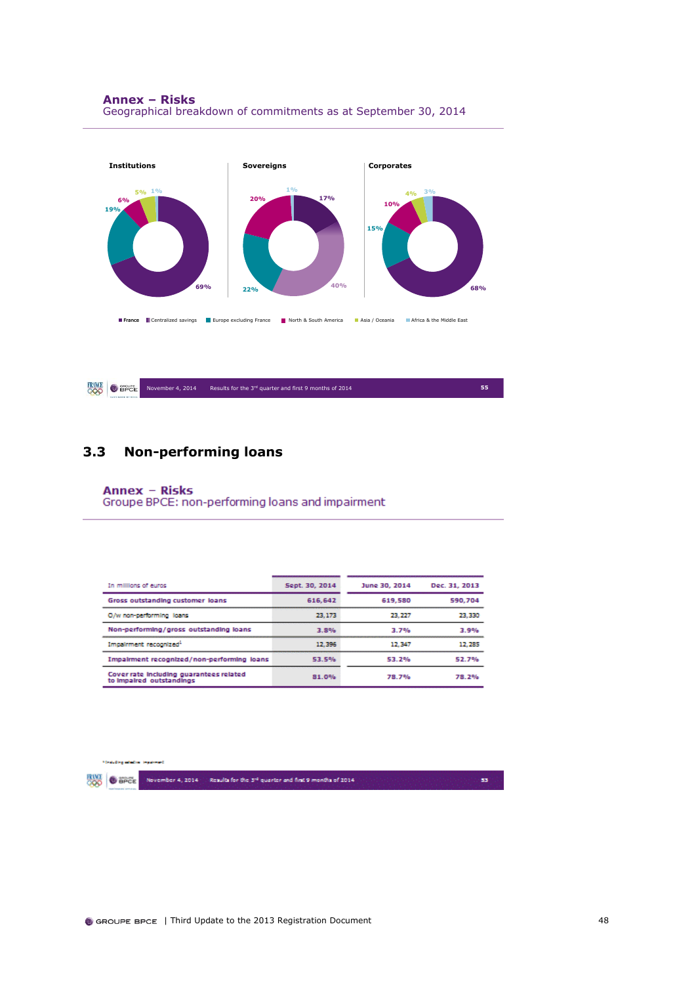

**FRANCE O** EPCE November 4, 2014 Results for the 3<sup>rd</sup> quarter and first 9 months of 2014 **55** 

## <span id="page-48-0"></span>**3.3 Non-performing loans**

### **Annex - Risks**

Groupe BPCE: non-performing loans and impairment

| In millions of euros                                                | Sept. 30, 2014 | June 30, 2014 | Dec. 31, 2013 |
|---------------------------------------------------------------------|----------------|---------------|---------------|
| Gross outstanding customer loans                                    | 616.642        | 619.580       | 590.704       |
| O/w non-performing loans                                            | 23.173         | 23.227        | 23,330        |
| Non-performing/gross outstanding loans                              | 3.8%           | 3.7%          | 3.9%          |
| Impairment recognized <sup>1</sup>                                  | 12,396         | 12.347        | 12, 285       |
| Impairment recognized/non-performing loans                          | 53.5%          | 53.2%         | 52.7%         |
| Cover rate including guarantees related<br>to impaired outstandings | 81.0%          | 78.7%         | 78.2%         |

**Thinking which injuri** 

**BOO** O BPCE November 4, 2014 - Results for the 3<sup>14</sup> quarter and first 9 months of 2014

53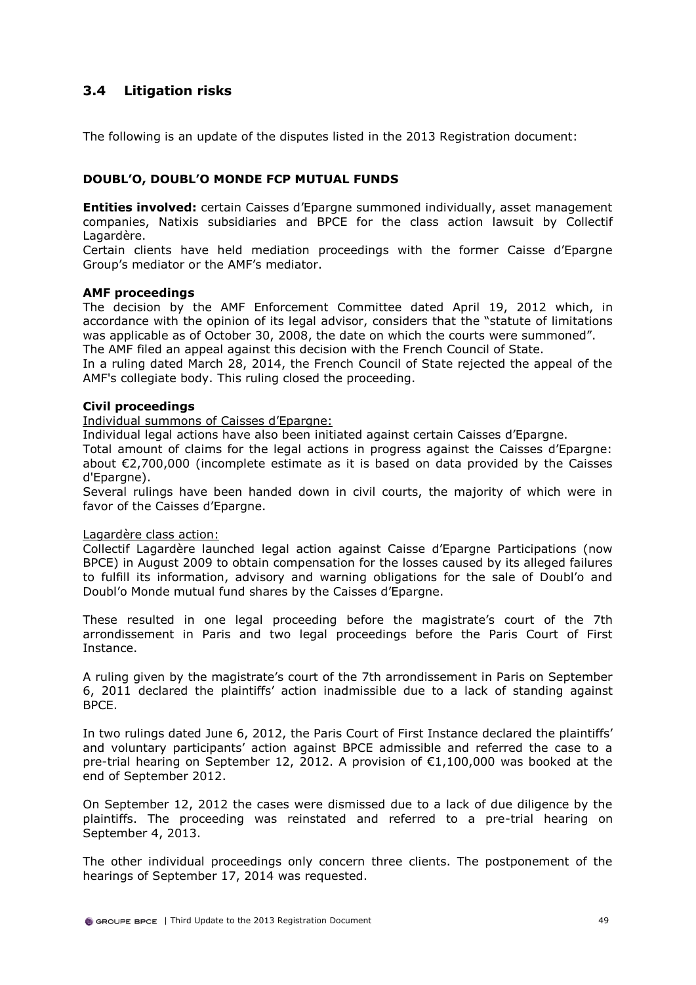## <span id="page-49-0"></span>**3.4 Litigation risks**

The following is an update of the disputes listed in the 2013 Registration document:

## **DOUBL'O, DOUBL'O MONDE FCP MUTUAL FUNDS**

**Entities involved:** certain Caisses d'Epargne summoned individually, asset management companies, Natixis subsidiaries and BPCE for the class action lawsuit by Collectif Lagardère.

Certain clients have held mediation proceedings with the former Caisse d'Epargne Group's mediator or the AMF's mediator.

### **AMF proceedings**

The decision by the AMF Enforcement Committee dated April 19, 2012 which, in accordance with the opinion of its legal advisor, considers that the "statute of limitations was applicable as of October 30, 2008, the date on which the courts were summoned".

The AMF filed an appeal against this decision with the French Council of State.

In a ruling dated March 28, 2014, the French Council of State rejected the appeal of the AMF's collegiate body. This ruling closed the proceeding.

### **Civil proceedings**

Individual summons of Caisses d'Epargne:

Individual legal actions have also been initiated against certain Caisses d'Epargne.

Total amount of claims for the legal actions in progress against the Caisses d'Epargne: about €2,700,000 (incomplete estimate as it is based on data provided by the Caisses d'Epargne).

Several rulings have been handed down in civil courts, the majority of which were in favor of the Caisses d'Epargne.

### Lagardère class action:

Collectif Lagardère launched legal action against Caisse d'Epargne Participations (now BPCE) in August 2009 to obtain compensation for the losses caused by its alleged failures to fulfill its information, advisory and warning obligations for the sale of Doubl'o and Doubl'o Monde mutual fund shares by the Caisses d'Epargne.

These resulted in one legal proceeding before the magistrate's court of the 7th arrondissement in Paris and two legal proceedings before the Paris Court of First Instance.

A ruling given by the magistrate's court of the 7th arrondissement in Paris on September 6, 2011 declared the plaintiffs' action inadmissible due to a lack of standing against BPCE.

In two rulings dated June 6, 2012, the Paris Court of First Instance declared the plaintiffs' and voluntary participants' action against BPCE admissible and referred the case to a pre-trial hearing on September 12, 2012. A provision of  $\epsilon$ 1,100,000 was booked at the end of September 2012.

On September 12, 2012 the cases were dismissed due to a lack of due diligence by the plaintiffs. The proceeding was reinstated and referred to a pre-trial hearing on September 4, 2013.

The other individual proceedings only concern three clients. The postponement of the hearings of September 17, 2014 was requested.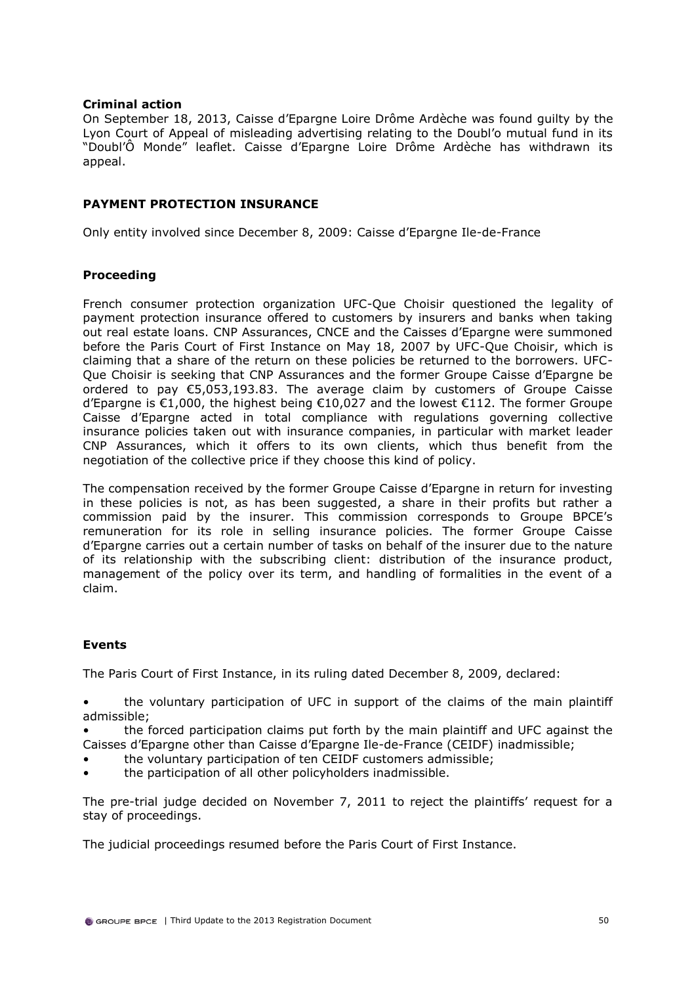### **Criminal action**

On September 18, 2013, Caisse d'Epargne Loire Drôme Ardèche was found guilty by the Lyon Court of Appeal of misleading advertising relating to the Doubl'o mutual fund in its "Doubl'Ô Monde" leaflet. Caisse d'Epargne Loire Drôme Ardèche has withdrawn its appeal.

## **PAYMENT PROTECTION INSURANCE**

Only entity involved since December 8, 2009: Caisse d'Epargne Ile-de-France

## **Proceeding**

French consumer protection organization UFC-Que Choisir questioned the legality of payment protection insurance offered to customers by insurers and banks when taking out real estate loans. CNP Assurances, CNCE and the Caisses d'Epargne were summoned before the Paris Court of First Instance on May 18, 2007 by UFC-Que Choisir, which is claiming that a share of the return on these policies be returned to the borrowers. UFC-Que Choisir is seeking that CNP Assurances and the former Groupe Caisse d'Epargne be ordered to pay €5,053,193.83. The average claim by customers of Groupe Caisse d'Epargne is €1,000, the highest being €10,027 and the lowest €112. The former Groupe Caisse d'Epargne acted in total compliance with regulations governing collective insurance policies taken out with insurance companies, in particular with market leader CNP Assurances, which it offers to its own clients, which thus benefit from the negotiation of the collective price if they choose this kind of policy.

The compensation received by the former Groupe Caisse d'Epargne in return for investing in these policies is not, as has been suggested, a share in their profits but rather a commission paid by the insurer. This commission corresponds to Groupe BPCE's remuneration for its role in selling insurance policies. The former Groupe Caisse d'Epargne carries out a certain number of tasks on behalf of the insurer due to the nature of its relationship with the subscribing client: distribution of the insurance product, management of the policy over its term, and handling of formalities in the event of a claim.

## **Events**

The Paris Court of First Instance, in its ruling dated December 8, 2009, declared:

• the voluntary participation of UFC in support of the claims of the main plaintiff admissible;

• the forced participation claims put forth by the main plaintiff and UFC against the Caisses d'Epargne other than Caisse d'Epargne Ile-de-France (CEIDF) inadmissible;

- the voluntary participation of ten CEIDF customers admissible;
- the participation of all other policyholders inadmissible.

The pre-trial judge decided on November 7, 2011 to reject the plaintiffs' request for a stay of proceedings.

The judicial proceedings resumed before the Paris Court of First Instance.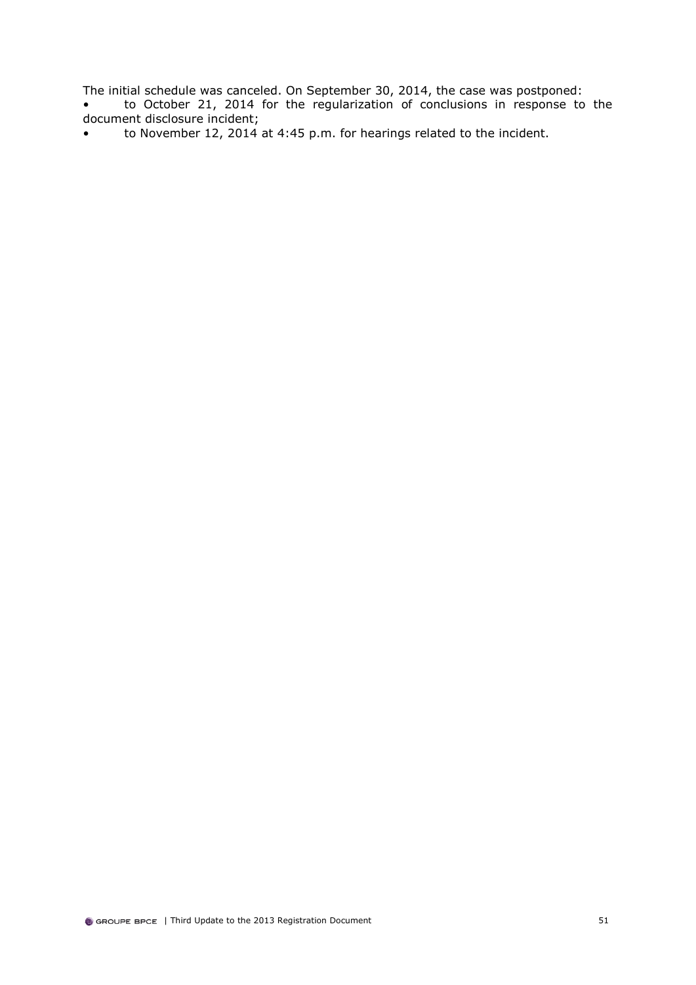The initial schedule was canceled. On September 30, 2014, the case was postponed:

- to October 21, 2014 for the regularization of conclusions in response to the document disclosure incident;
- to November 12, 2014 at 4:45 p.m. for hearings related to the incident.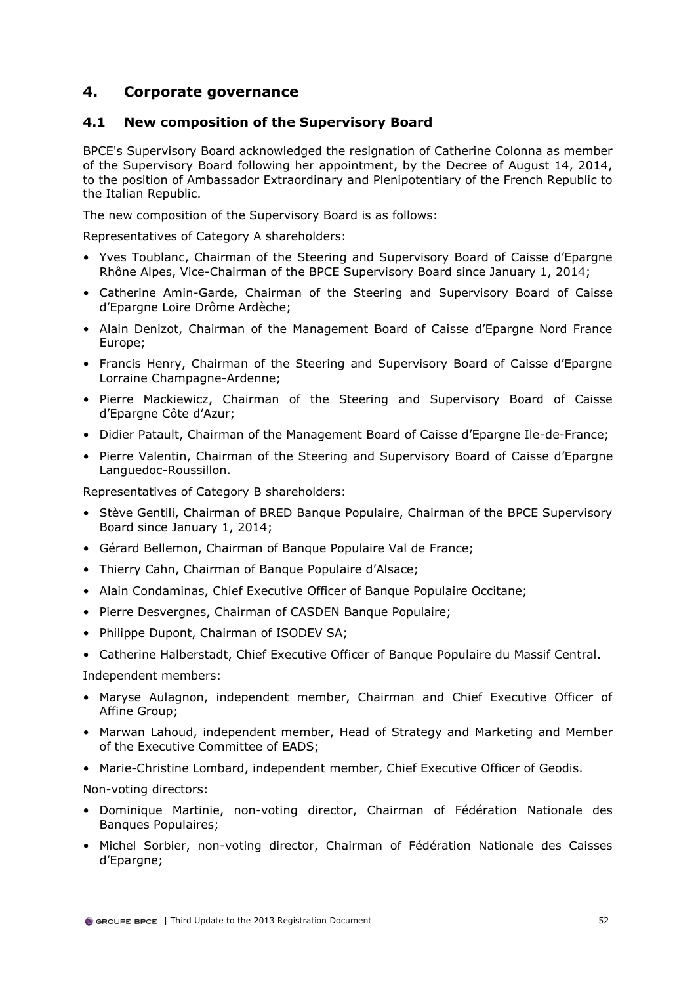## <span id="page-52-0"></span>**4. Corporate governance**

## <span id="page-52-1"></span>**4.1 New composition of the Supervisory Board**

BPCE's Supervisory Board acknowledged the resignation of Catherine Colonna as member of the Supervisory Board following her appointment, by the Decree of August 14, 2014, to the position of Ambassador Extraordinary and Plenipotentiary of the French Republic to the Italian Republic.

The new composition of the Supervisory Board is as follows:

Representatives of Category A shareholders:

- Yves Toublanc, Chairman of the Steering and Supervisory Board of Caisse d'Epargne Rhône Alpes, Vice-Chairman of the BPCE Supervisory Board since January 1, 2014;
- Catherine Amin-Garde, Chairman of the Steering and Supervisory Board of Caisse d'Epargne Loire Drôme Ardèche;
- Alain Denizot, Chairman of the Management Board of Caisse d'Epargne Nord France Europe;
- Francis Henry, Chairman of the Steering and Supervisory Board of Caisse d'Epargne Lorraine Champagne-Ardenne;
- Pierre Mackiewicz, Chairman of the Steering and Supervisory Board of Caisse d'Epargne Côte d'Azur;
- Didier Patault, Chairman of the Management Board of Caisse d'Epargne Ile-de-France;
- Pierre Valentin, Chairman of the Steering and Supervisory Board of Caisse d'Epargne Languedoc-Roussillon.

Representatives of Category B shareholders:

- Stève Gentili, Chairman of BRED Banque Populaire, Chairman of the BPCE Supervisory Board since January 1, 2014;
- Gérard Bellemon, Chairman of Banque Populaire Val de France;
- Thierry Cahn, Chairman of Banque Populaire d'Alsace;
- Alain Condaminas, Chief Executive Officer of Banque Populaire Occitane;
- Pierre Desvergnes, Chairman of CASDEN Banque Populaire;
- Philippe Dupont, Chairman of ISODEV SA;
- Catherine Halberstadt, Chief Executive Officer of Banque Populaire du Massif Central.

Independent members:

- Maryse Aulagnon, independent member, Chairman and Chief Executive Officer of Affine Group;
- Marwan Lahoud, independent member, Head of Strategy and Marketing and Member of the Executive Committee of EADS;
- Marie-Christine Lombard, independent member, Chief Executive Officer of Geodis.

Non-voting directors:

- Dominique Martinie, non-voting director, Chairman of Fédération Nationale des Banques Populaires;
- Michel Sorbier, non-voting director, Chairman of Fédération Nationale des Caisses d'Epargne;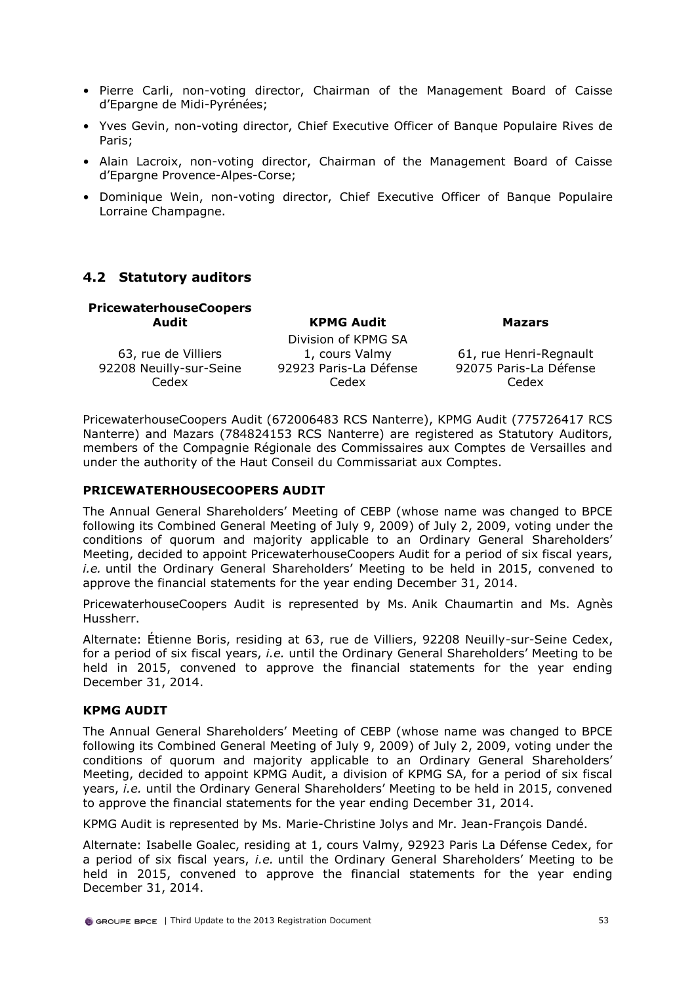- Pierre Carli, non-voting director, Chairman of the Management Board of Caisse d'Epargne de Midi-Pyrénées;
- Yves Gevin, non-voting director, Chief Executive Officer of Banque Populaire Rives de Paris;
- Alain Lacroix, non-voting director, Chairman of the Management Board of Caisse d'Epargne Provence-Alpes-Corse;
- Dominique Wein, non-voting director, Chief Executive Officer of Banque Populaire Lorraine Champagne.

## <span id="page-53-0"></span>**4.2 Statutory auditors**

| <b>PricewaterhouseCoopers</b> |                        |                        |
|-------------------------------|------------------------|------------------------|
| Audit                         | <b>KPMG Audit</b>      | <b>Mazars</b>          |
|                               | Division of KPMG SA    |                        |
| 63, rue de Villiers           | 1, cours Valmy         | 61, rue Henri-Regnault |
| 92208 Neuilly-sur-Seine       | 92923 Paris-La Défense | 92075 Paris-La Défense |
| Cedex                         | Cedex                  | Cedex                  |

PricewaterhouseCoopers Audit (672006483 RCS Nanterre), KPMG Audit (775726417 RCS Nanterre) and Mazars (784824153 RCS Nanterre) are registered as Statutory Auditors, members of the Compagnie Régionale des Commissaires aux Comptes de Versailles and under the authority of the Haut Conseil du Commissariat aux Comptes.

### **PRICEWATERHOUSECOOPERS AUDIT**

The Annual General Shareholders' Meeting of CEBP (whose name was changed to BPCE following its Combined General Meeting of July 9, 2009) of July 2, 2009, voting under the conditions of quorum and majority applicable to an Ordinary General Shareholders' Meeting, decided to appoint PricewaterhouseCoopers Audit for a period of six fiscal years, *i.e.* until the Ordinary General Shareholders' Meeting to be held in 2015, convened to approve the financial statements for the year ending December 31, 2014.

PricewaterhouseCoopers Audit is represented by Ms. Anik Chaumartin and Ms. Agnès Hussherr.

Alternate: Étienne Boris, residing at 63, rue de Villiers, 92208 Neuilly-sur-Seine Cedex, for a period of six fiscal years, *i.e.* until the Ordinary General Shareholders' Meeting to be held in 2015, convened to approve the financial statements for the year ending December 31, 2014.

### **KPMG AUDIT**

The Annual General Shareholders' Meeting of CEBP (whose name was changed to BPCE following its Combined General Meeting of July 9, 2009) of July 2, 2009, voting under the conditions of quorum and majority applicable to an Ordinary General Shareholders' Meeting, decided to appoint KPMG Audit, a division of KPMG SA, for a period of six fiscal years, *i.e.* until the Ordinary General Shareholders' Meeting to be held in 2015, convened to approve the financial statements for the year ending December 31, 2014.

KPMG Audit is represented by Ms. Marie-Christine Jolys and Mr. Jean-François Dandé.

Alternate: Isabelle Goalec, residing at 1, cours Valmy, 92923 Paris La Défense Cedex, for a period of six fiscal years, *i.e.* until the Ordinary General Shareholders' Meeting to be held in 2015, convened to approve the financial statements for the year ending December 31, 2014.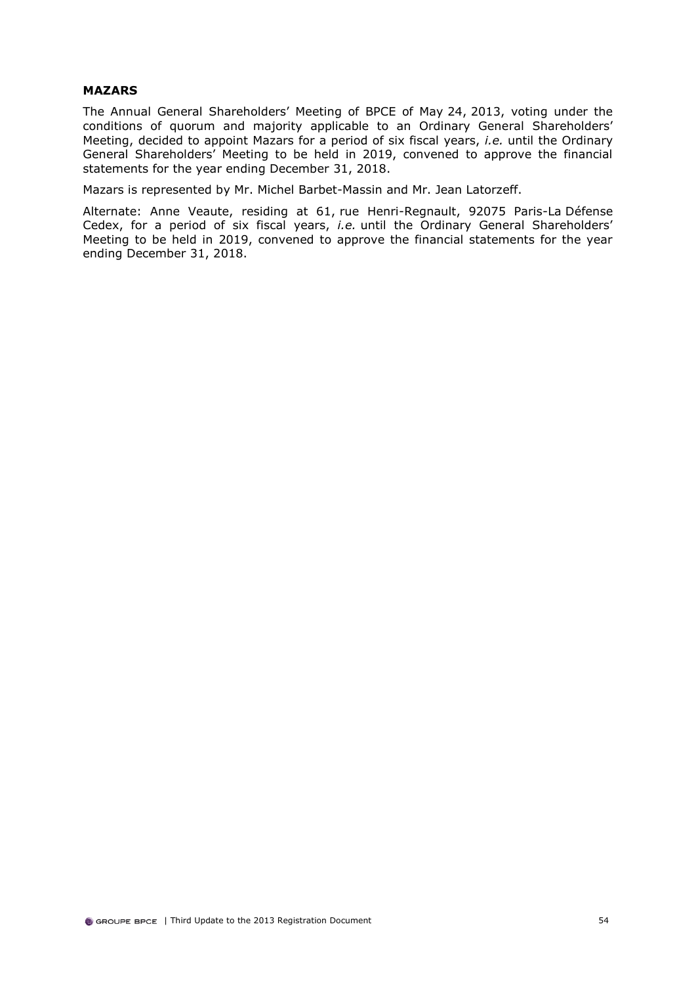### **MAZARS**

The Annual General Shareholders' Meeting of BPCE of May 24, 2013, voting under the conditions of quorum and majority applicable to an Ordinary General Shareholders' Meeting, decided to appoint Mazars for a period of six fiscal years, *i.e.* until the Ordinary General Shareholders' Meeting to be held in 2019, convened to approve the financial statements for the year ending December 31, 2018.

Mazars is represented by Mr. Michel Barbet-Massin and Mr. Jean Latorzeff.

Alternate: Anne Veaute, residing at 61, rue Henri-Regnault, 92075 Paris-La Défense Cedex, for a period of six fiscal years, *i.e.* until the Ordinary General Shareholders' Meeting to be held in 2019, convened to approve the financial statements for the year ending December 31, 2018.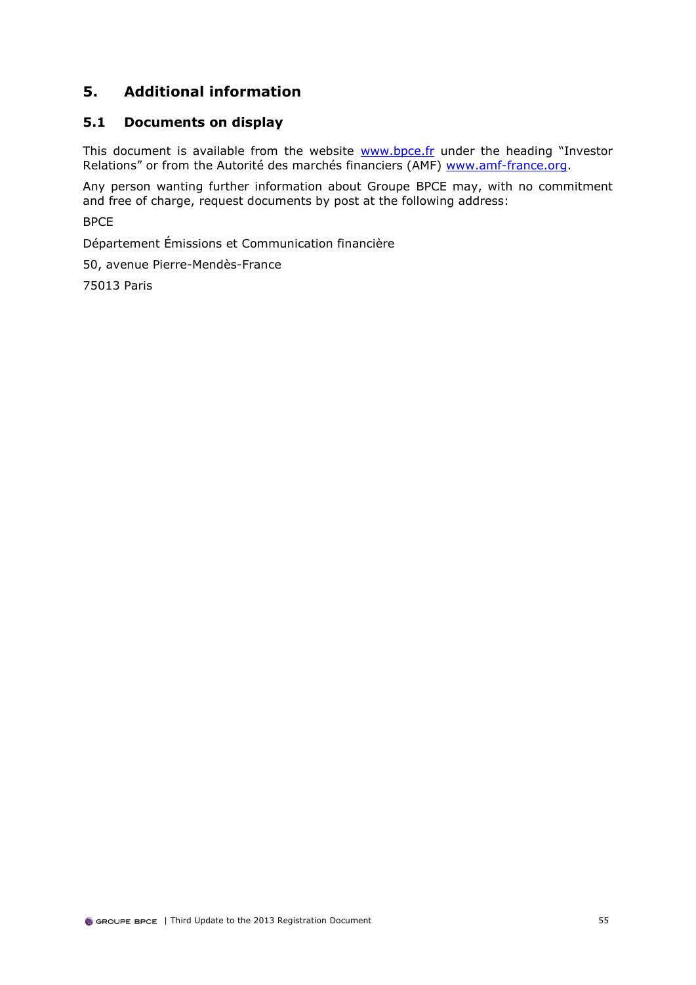## <span id="page-55-0"></span>**5. Additional information**

## <span id="page-55-1"></span>**5.1 Documents on display**

This document is available from the website **www.bpce.fr** under the heading "Investor Relations" or from the Autorité des marchés financiers (AMF) [www.amf-france.org.](http://www.amf-france.org/)

Any person wanting further information about Groupe BPCE may, with no commitment and free of charge, request documents by post at the following address:

BPCE

Département Émissions et Communication financière

50, avenue Pierre-Mendès-France

75013 Paris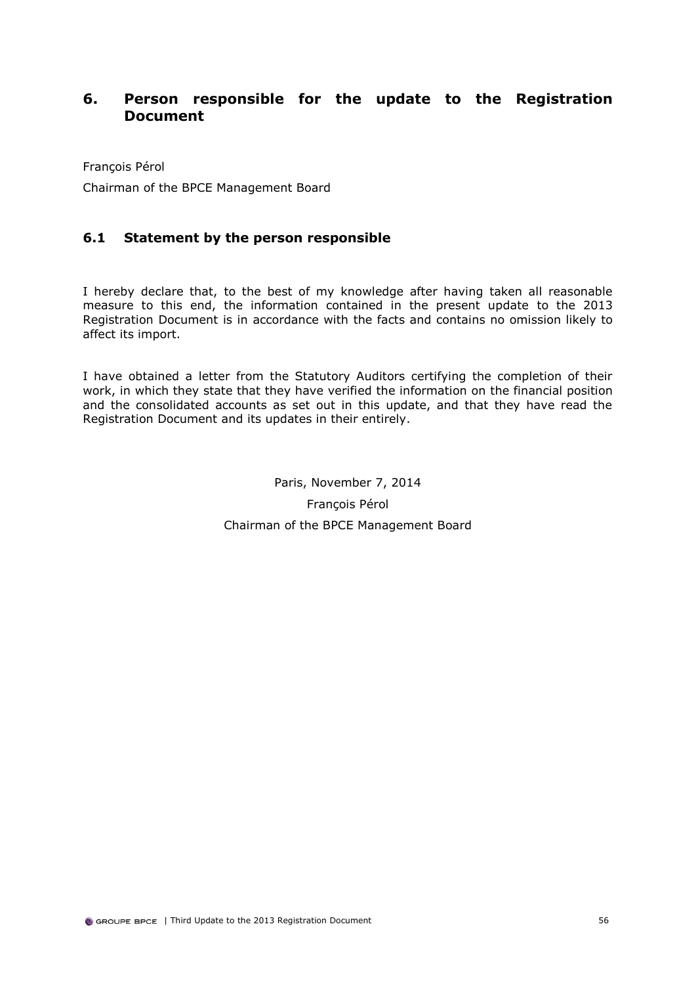## <span id="page-56-0"></span>**6. Person responsible for the update to the Registration Document**

François Pérol

Chairman of the BPCE Management Board

## <span id="page-56-1"></span>**6.1 Statement by the person responsible**

I hereby declare that, to the best of my knowledge after having taken all reasonable measure to this end, the information contained in the present update to the 2013 Registration Document is in accordance with the facts and contains no omission likely to affect its import.

I have obtained a letter from the Statutory Auditors certifying the completion of their work, in which they state that they have verified the information on the financial position and the consolidated accounts as set out in this update, and that they have read the Registration Document and its updates in their entirely.

> Paris, November 7, 2014 François Pérol Chairman of the BPCE Management Board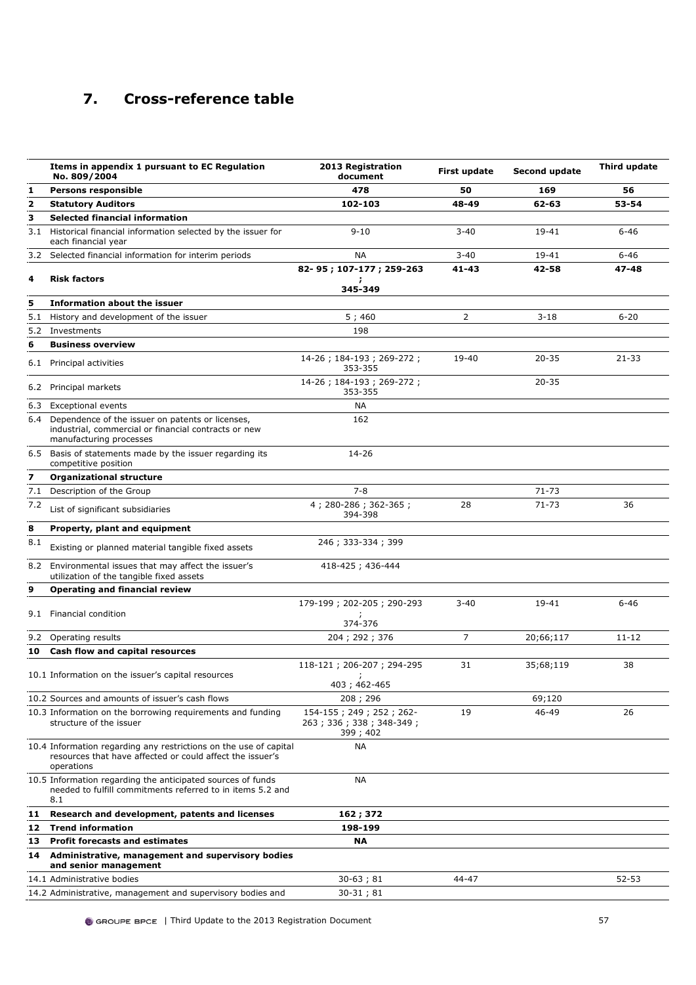## <span id="page-57-0"></span>**7. Cross-reference table**

|                         | Items in appendix 1 pursuant to EC Regulation<br>No. 809/2004                                                                                | 2013 Registration<br>document                                  | First update   | Second update | Third update |
|-------------------------|----------------------------------------------------------------------------------------------------------------------------------------------|----------------------------------------------------------------|----------------|---------------|--------------|
| 1                       | <b>Persons responsible</b>                                                                                                                   | 478                                                            | 50             | 169           | 56           |
| $\overline{\mathbf{2}}$ | <b>Statutory Auditors</b>                                                                                                                    | 102-103                                                        | 48-49          | 62-63         | 53-54        |
| 3                       | Selected financial information                                                                                                               |                                                                |                |               |              |
|                         | 3.1 Historical financial information selected by the issuer for<br>each financial year                                                       | $9 - 10$                                                       | $3 - 40$       | 19-41         | $6 - 46$     |
| 3.2                     | Selected financial information for interim periods                                                                                           | NА                                                             | $3 - 40$       | 19-41         | $6 - 46$     |
|                         |                                                                                                                                              | 82-95; 107-177; 259-263                                        | $41 - 43$      | 42-58         | $47 - 48$    |
| 4                       | <b>Risk factors</b>                                                                                                                          | 345-349                                                        |                |               |              |
| 5                       | <b>Information about the issuer</b>                                                                                                          |                                                                |                |               |              |
| 5.1                     | History and development of the issuer                                                                                                        | 5;460                                                          | $\overline{2}$ | $3 - 18$      | $6 - 20$     |
|                         | 5.2 Investments                                                                                                                              | 198                                                            |                |               |              |
| 6                       | <b>Business overview</b>                                                                                                                     |                                                                |                |               |              |
| 6.1                     | Principal activities                                                                                                                         | 14-26; 184-193; 269-272;<br>353-355                            | $19 - 40$      | 20-35         | $21 - 33$    |
|                         | 6.2 Principal markets                                                                                                                        | 14-26; 184-193; 269-272;<br>353-355                            |                | $20 - 35$     |              |
| 6.3                     | <b>Exceptional events</b>                                                                                                                    | <b>NA</b>                                                      |                |               |              |
| 6.4                     | Dependence of the issuer on patents or licenses,<br>industrial, commercial or financial contracts or new<br>manufacturing processes          | 162                                                            |                |               |              |
| 6.5                     | Basis of statements made by the issuer regarding its<br>competitive position                                                                 | 14-26                                                          |                |               |              |
| 7                       | <b>Organizational structure</b>                                                                                                              |                                                                |                |               |              |
| 7.1                     | Description of the Group                                                                                                                     | $7 - 8$                                                        |                | $71 - 73$     |              |
| 7.2                     | List of significant subsidiaries                                                                                                             | 4; 280-286; 362-365;<br>394-398                                | 28             | $71 - 73$     | 36           |
| 8                       | Property, plant and equipment                                                                                                                |                                                                |                |               |              |
| 8.1                     | Existing or planned material tangible fixed assets                                                                                           | 246; 333-334; 399                                              |                |               |              |
| 8.2                     | Environmental issues that may affect the issuer's<br>utilization of the tangible fixed assets                                                | 418-425; 436-444                                               |                |               |              |
| 9                       | <b>Operating and financial review</b>                                                                                                        |                                                                |                |               |              |
|                         | 9.1 Financial condition                                                                                                                      | 179-199; 202-205; 290-293<br>374-376                           | $3 - 40$       | 19-41         | $6 - 46$     |
|                         | 9.2 Operating results                                                                                                                        | 204 ; 292 ; 376                                                | $\overline{7}$ | 20;66;117     | $11 - 12$    |
| 10                      | Cash flow and capital resources                                                                                                              |                                                                |                |               |              |
|                         |                                                                                                                                              | 118-121; 206-207; 294-295                                      | 31             | 35;68;119     | 38           |
|                         | 10.1 Information on the issuer's capital resources                                                                                           | 403; 462-465                                                   |                |               |              |
|                         | 10.2 Sources and amounts of issuer's cash flows                                                                                              | 208; 296                                                       |                | 69;120        |              |
|                         | 10.3 Information on the borrowing requirements and funding<br>structure of the issuer                                                        | 154-155; 249; 252; 262-<br>263; 336; 338; 348-349;<br>399; 402 | 19             | 46-49         | 26           |
|                         | 10.4 Information regarding any restrictions on the use of capital<br>resources that have affected or could affect the issuer's<br>operations | ΝA                                                             |                |               |              |
|                         | 10.5 Information regarding the anticipated sources of funds<br>needed to fulfill commitments referred to in items 5.2 and<br>8.1             | ΝA                                                             |                |               |              |
| 11                      | Research and development, patents and licenses                                                                                               | 162; 372                                                       |                |               |              |
| 12                      | <b>Trend information</b>                                                                                                                     | 198-199                                                        |                |               |              |
| 13                      | <b>Profit forecasts and estimates</b>                                                                                                        | ΝA                                                             |                |               |              |
|                         | 14 Administrative, management and supervisory bodies<br>and senior management                                                                |                                                                |                |               |              |
|                         | 14.1 Administrative bodies                                                                                                                   | $30-63;81$                                                     | 44-47          |               | 52-53        |
|                         | 14.2 Administrative, management and supervisory bodies and                                                                                   | $30-31;81$                                                     |                |               |              |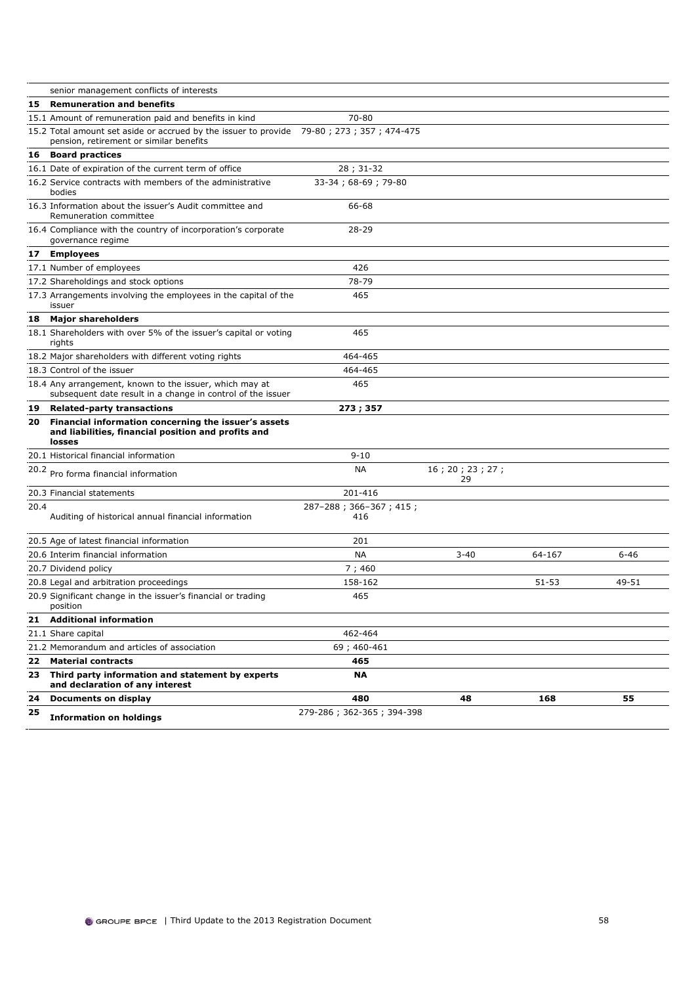|      | senior management conflicts of interests                                                                                            |                               |                       |           |          |
|------|-------------------------------------------------------------------------------------------------------------------------------------|-------------------------------|-----------------------|-----------|----------|
| 15   | <b>Remuneration and benefits</b>                                                                                                    |                               |                       |           |          |
|      | 15.1 Amount of remuneration paid and benefits in kind                                                                               | 70-80                         |                       |           |          |
|      | 15.2 Total amount set aside or accrued by the issuer to provide 79-80; 273; 357; 474-475<br>pension, retirement or similar benefits |                               |                       |           |          |
| 16   | <b>Board practices</b>                                                                                                              |                               |                       |           |          |
|      | 16.1 Date of expiration of the current term of office                                                                               | 28; 31-32                     |                       |           |          |
|      | 16.2 Service contracts with members of the administrative<br>bodies                                                                 | 33-34; 68-69; 79-80           |                       |           |          |
|      | 16.3 Information about the issuer's Audit committee and<br>Remuneration committee                                                   | 66-68                         |                       |           |          |
|      | 16.4 Compliance with the country of incorporation's corporate<br>governance regime                                                  | 28-29                         |                       |           |          |
| 17   | <b>Employees</b>                                                                                                                    |                               |                       |           |          |
|      | 17.1 Number of employees                                                                                                            | 426                           |                       |           |          |
|      | 17.2 Shareholdings and stock options                                                                                                | 78-79                         |                       |           |          |
|      | 17.3 Arrangements involving the employees in the capital of the<br>issuer                                                           | 465                           |                       |           |          |
| 18   | <b>Major shareholders</b>                                                                                                           |                               |                       |           |          |
|      | 18.1 Shareholders with over 5% of the issuer's capital or voting<br>rights                                                          | 465                           |                       |           |          |
|      | 18.2 Major shareholders with different voting rights                                                                                | 464-465                       |                       |           |          |
|      | 18.3 Control of the issuer                                                                                                          | 464-465                       |                       |           |          |
|      | 18.4 Any arrangement, known to the issuer, which may at<br>subsequent date result in a change in control of the issuer              | 465                           |                       |           |          |
|      |                                                                                                                                     |                               |                       |           |          |
|      | 19 Related-party transactions                                                                                                       | 273; 357                      |                       |           |          |
| 20   | Financial information concerning the issuer's assets<br>and liabilities, financial position and profits and<br>losses               |                               |                       |           |          |
|      | 20.1 Historical financial information                                                                                               | $9 - 10$                      |                       |           |          |
| 20.2 | Pro forma financial information                                                                                                     | <b>NA</b>                     | 16; 20; 23; 27;<br>29 |           |          |
|      | 20.3 Financial statements                                                                                                           | 201-416                       |                       |           |          |
| 20.4 | Auditing of historical annual financial information                                                                                 | 287-288; 366-367; 415;<br>416 |                       |           |          |
|      | 20.5 Age of latest financial information                                                                                            | 201                           |                       |           |          |
|      | 20.6 Interim financial information                                                                                                  | NА                            | $3 - 40$              | 64-167    | $6 - 46$ |
|      | 20.7 Dividend policy                                                                                                                | 7;460                         |                       |           |          |
|      | 20.8 Legal and arbitration proceedings                                                                                              | 158-162                       |                       | $51 - 53$ | 49-51    |
|      | 20.9 Significant change in the issuer's financial or trading<br>position                                                            | 465                           |                       |           |          |
| 21   | <b>Additional information</b>                                                                                                       |                               |                       |           |          |
|      | 21.1 Share capital                                                                                                                  | 462-464                       |                       |           |          |
|      | 21.2 Memorandum and articles of association                                                                                         | 69; 460-461                   |                       |           |          |
| 22   | <b>Material contracts</b>                                                                                                           | 465                           |                       |           |          |
| 23   | Third party information and statement by experts<br>and declaration of any interest                                                 | ΝA                            |                       |           |          |
| 24   | Documents on display                                                                                                                | 480                           | 48                    | 168       | 55       |